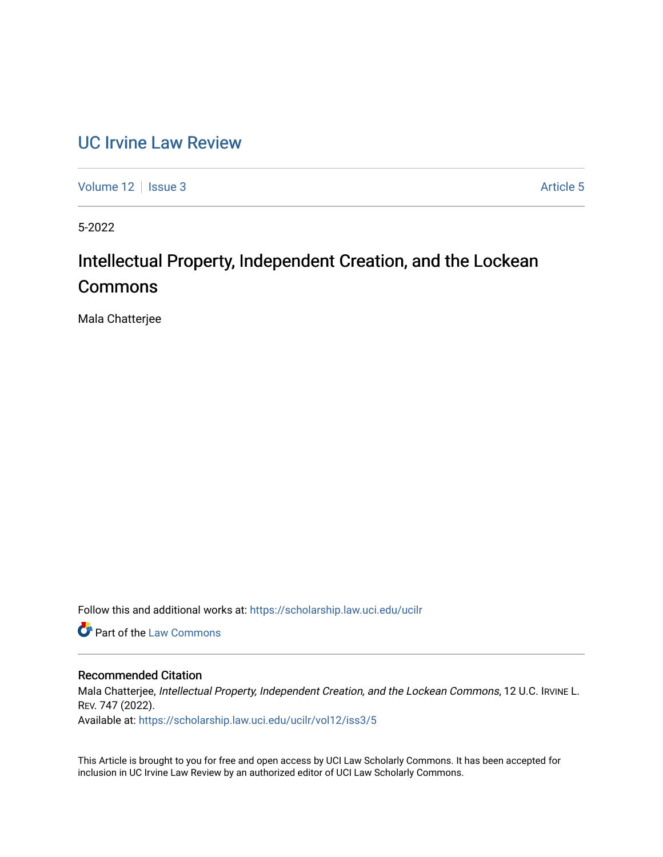# [UC Irvine Law Review](https://scholarship.law.uci.edu/ucilr)

[Volume 12](https://scholarship.law.uci.edu/ucilr/vol12) | [Issue 3](https://scholarship.law.uci.edu/ucilr/vol12/iss3) Article 5

5-2022

# Intellectual Property, Independent Creation, and the Lockean Commons

Mala Chatterjee

Follow this and additional works at: [https://scholarship.law.uci.edu/ucilr](https://scholarship.law.uci.edu/ucilr?utm_source=scholarship.law.uci.edu%2Fucilr%2Fvol12%2Fiss3%2F5&utm_medium=PDF&utm_campaign=PDFCoverPages)

**C** Part of the [Law Commons](https://network.bepress.com/hgg/discipline/578?utm_source=scholarship.law.uci.edu%2Fucilr%2Fvol12%2Fiss3%2F5&utm_medium=PDF&utm_campaign=PDFCoverPages)

# Recommended Citation

Mala Chatterjee, Intellectual Property, Independent Creation, and the Lockean Commons, 12 U.C. IRVINE L. REV. 747 (2022).

Available at: [https://scholarship.law.uci.edu/ucilr/vol12/iss3/5](https://scholarship.law.uci.edu/ucilr/vol12/iss3/5?utm_source=scholarship.law.uci.edu%2Fucilr%2Fvol12%2Fiss3%2F5&utm_medium=PDF&utm_campaign=PDFCoverPages) 

This Article is brought to you for free and open access by UCI Law Scholarly Commons. It has been accepted for inclusion in UC Irvine Law Review by an authorized editor of UCI Law Scholarly Commons.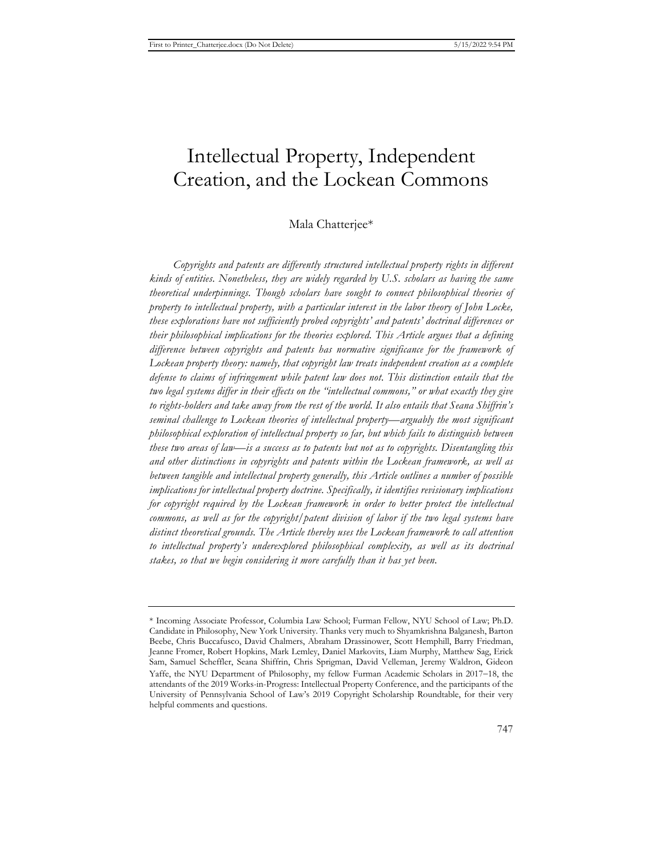# Intellectual Property, Independent Creation, and the Lockean Commons

# Mala Chatterjee\*

*Copyrights and patents are differently structured intellectual property rights in different kinds of entities. Nonetheless, they are widely regarded by U.S. scholars as having the same theoretical underpinnings. Though scholars have sought to connect philosophical theories of property to intellectual property, with a particular interest in the labor theory of John Locke, these explorations have not sufficiently probed copyrights' and patents' doctrinal differences or their philosophical implications for the theories explored. This Article argues that a defining difference between copyrights and patents has normative significance for the framework of Lockean property theory: namely, that copyright law treats independent creation as a complete defense to claims of infringement while patent law does not. This distinction entails that the two legal systems differ in their effects on the "intellectual commons," or what exactly they give to rights-holders and take away from the rest of the world. It also entails that Seana Shiffrin's seminal challenge to Lockean theories of intellectual property—arguably the most significant philosophical exploration of intellectual property so far, but which fails to distinguish between these two areas of law—is a success as to patents but not as to copyrights. Disentangling this and other distinctions in copyrights and patents within the Lockean framework, as well as between tangible and intellectual property generally, this Article outlines a number of possible implications for intellectual property doctrine. Specifically, it identifies revisionary implications for copyright required by the Lockean framework in order to better protect the intellectual commons, as well as for the copyright/patent division of labor if the two legal systems have distinct theoretical grounds. The Article thereby uses the Lockean framework to call attention to intellectual property's underexplored philosophical complexity, as well as its doctrinal stakes, so that we begin considering it more carefully than it has yet been.* 

<sup>\*</sup> Incoming Associate Professor, Columbia Law School; Furman Fellow, NYU School of Law; Ph.D. Candidate in Philosophy, New York University. Thanks very much to Shyamkrishna Balganesh, Barton Beebe, Chris Buccafusco, David Chalmers, Abraham Drassinower, Scott Hemphill, Barry Friedman, Jeanne Fromer, Robert Hopkins, Mark Lemley, Daniel Markovits, Liam Murphy, Matthew Sag, Erick Sam, Samuel Scheffler, Seana Shiffrin, Chris Sprigman, David Velleman, Jeremy Waldron, Gideon Yaffe, the NYU Department of Philosophy, my fellow Furman Academic Scholars in 2017-18, the attendants of the 2019 Works-in-Progress: Intellectual Property Conference, and the participants of the University of Pennsylvania School of Law's 2019 Copyright Scholarship Roundtable, for their very helpful comments and questions.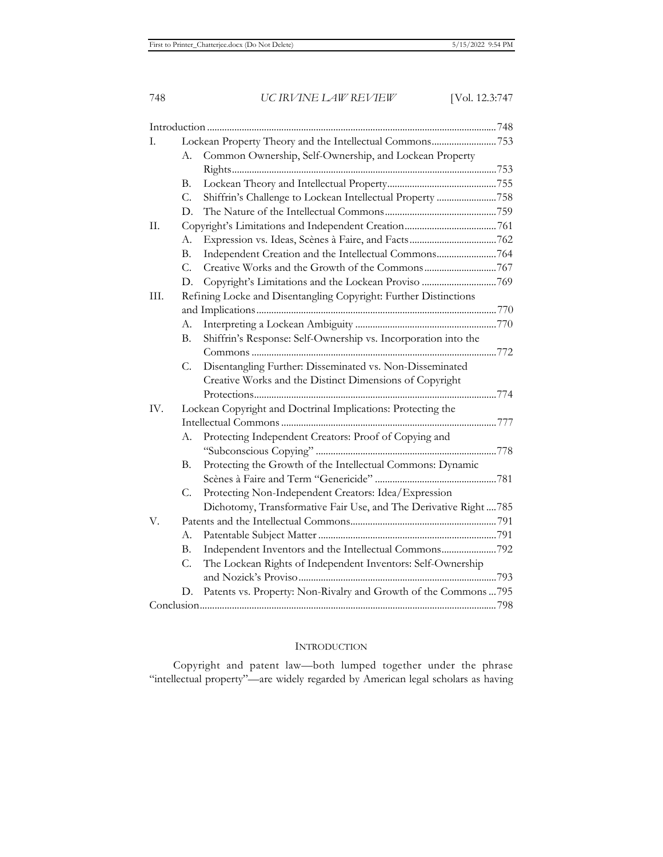| I.      |                                                                  |                                                                   |  |
|---------|------------------------------------------------------------------|-------------------------------------------------------------------|--|
|         | А.                                                               | Common Ownership, Self-Ownership, and Lockean Property            |  |
|         |                                                                  |                                                                   |  |
|         | В.                                                               |                                                                   |  |
|         | C.                                                               | Shiffrin's Challenge to Lockean Intellectual Property 758         |  |
|         | D.                                                               |                                                                   |  |
| $\Pi$ . |                                                                  |                                                                   |  |
|         | А.                                                               |                                                                   |  |
|         | В.                                                               | Independent Creation and the Intellectual Commons764              |  |
|         | C.                                                               |                                                                   |  |
|         | D.                                                               |                                                                   |  |
| III.    | Refining Locke and Disentangling Copyright: Further Distinctions |                                                                   |  |
|         |                                                                  |                                                                   |  |
|         | А.                                                               |                                                                   |  |
|         | В.                                                               | Shiffrin's Response: Self-Ownership vs. Incorporation into the    |  |
|         |                                                                  |                                                                   |  |
|         | C.                                                               | Disentangling Further: Disseminated vs. Non-Disseminated          |  |
|         |                                                                  | Creative Works and the Distinct Dimensions of Copyright           |  |
|         |                                                                  |                                                                   |  |
| IV.     | Lockean Copyright and Doctrinal Implications: Protecting the     |                                                                   |  |
|         |                                                                  |                                                                   |  |
|         | А.                                                               | Protecting Independent Creators: Proof of Copying and             |  |
|         |                                                                  |                                                                   |  |
|         | В.                                                               | Protecting the Growth of the Intellectual Commons: Dynamic        |  |
|         |                                                                  |                                                                   |  |
|         | C.                                                               | Protecting Non-Independent Creators: Idea/Expression              |  |
|         |                                                                  | Dichotomy, Transformative Fair Use, and The Derivative Right  785 |  |
| V.      |                                                                  |                                                                   |  |
|         | А.                                                               |                                                                   |  |
|         | В.                                                               | Independent Inventors and the Intellectual Commons792             |  |
|         | C.                                                               | The Lockean Rights of Independent Inventors: Self-Ownership       |  |
|         |                                                                  |                                                                   |  |
|         | D.                                                               | Patents vs. Property: Non-Rivalry and Growth of the Commons  795  |  |
|         |                                                                  |                                                                   |  |

# **INTRODUCTION**

Copyright and patent law—both lumped together under the phrase "intellectual property"—are widely regarded by American legal scholars as having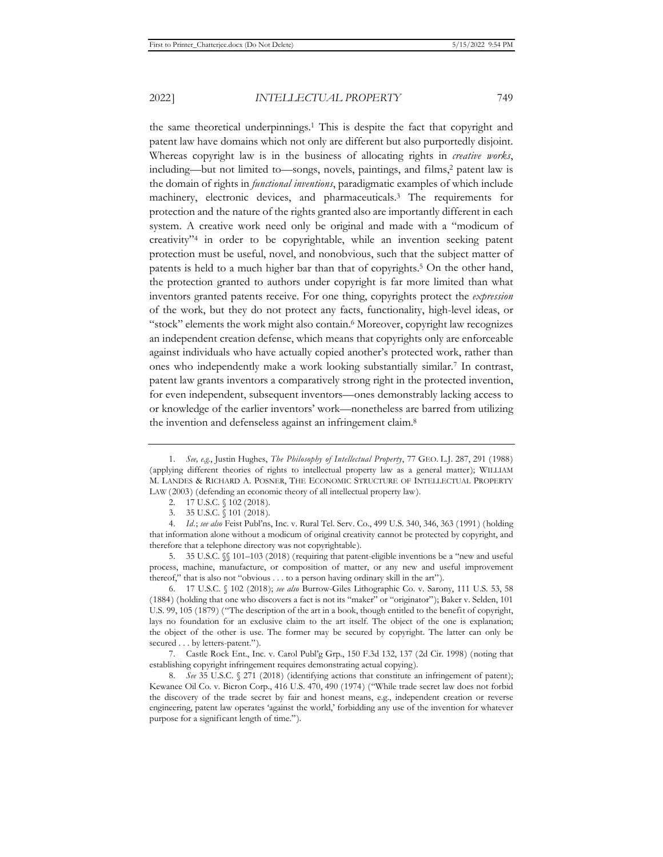the same theoretical underpinnings.1 This is despite the fact that copyright and patent law have domains which not only are different but also purportedly disjoint. Whereas copyright law is in the business of allocating rights in *creative works*, including—but not limited to—songs, novels, paintings, and films,2 patent law is the domain of rights in *functional inventions*, paradigmatic examples of which include machinery, electronic devices, and pharmaceuticals.3 The requirements for protection and the nature of the rights granted also are importantly different in each system. A creative work need only be original and made with a "modicum of creativity"4 in order to be copyrightable, while an invention seeking patent protection must be useful, novel, and nonobvious, such that the subject matter of patents is held to a much higher bar than that of copyrights.5 On the other hand, the protection granted to authors under copyright is far more limited than what inventors granted patents receive. For one thing, copyrights protect the *expression* of the work, but they do not protect any facts, functionality, high-level ideas, or "stock" elements the work might also contain.<sup>6</sup> Moreover, copyright law recognizes an independent creation defense, which means that copyrights only are enforceable against individuals who have actually copied another's protected work, rather than ones who independently make a work looking substantially similar.7 In contrast, patent law grants inventors a comparatively strong right in the protected invention, for even independent, subsequent inventors—ones demonstrably lacking access to or knowledge of the earlier inventors' work—nonetheless are barred from utilizing the invention and defenseless against an infringement claim.8

5. 35 U.S.C. §§ 101–103 (2018) (requiring that patent-eligible inventions be a "new and useful process, machine, manufacture, or composition of matter, or any new and useful improvement thereof," that is also not "obvious . . . to a person having ordinary skill in the art").

6. 17 U.S.C. § 102 (2018); *see also* Burrow-Giles Lithographic Co. v. Sarony, 111 U.S. 53, 58 (1884) (holding that one who discovers a fact is not its "maker" or "originator"); Baker v. Selden, 101 U.S. 99, 105 (1879) ("The description of the art in a book, though entitled to the benefit of copyright, lays no foundation for an exclusive claim to the art itself. The object of the one is explanation; the object of the other is use. The former may be secured by copyright. The latter can only be secured . . . by letters-patent.").

7. Castle Rock Ent., Inc. v. Carol Publ'g Grp., 150 F.3d 132, 137 (2d Cir. 1998) (noting that establishing copyright infringement requires demonstrating actual copying).

8. *See* 35 U.S.C. § 271 (2018) (identifying actions that constitute an infringement of patent); Kewanee Oil Co. v. Bicron Corp., 416 U.S. 470, 490 (1974) ("While trade secret law does not forbid the discovery of the trade secret by fair and honest means, e.g., independent creation or reverse engineering, patent law operates 'against the world,' forbidding any use of the invention for whatever purpose for a significant length of time.").

<sup>1.</sup> *See, e.g.*, Justin Hughes, *The Philosophy of Intellectual Property*, 77 GEO. L.J. 287, 291 (1988) (applying different theories of rights to intellectual property law as a general matter); WILLIAM M. LANDES & RICHARD A. POSNER, THE ECONOMIC STRUCTURE OF INTELLECTUAL PROPERTY LAW (2003) (defending an economic theory of all intellectual property law).

<sup>2. 17</sup> U.S.C. § 102 (2018).

<sup>3. 35</sup> U.S.C. § 101 (2018).

<sup>4.</sup> *Id.*; *see also* Feist Publ'ns, Inc. v. Rural Tel. Serv. Co., 499 U.S. 340, 346, 363 (1991) (holding that information alone without a modicum of original creativity cannot be protected by copyright, and therefore that a telephone directory was not copyrightable).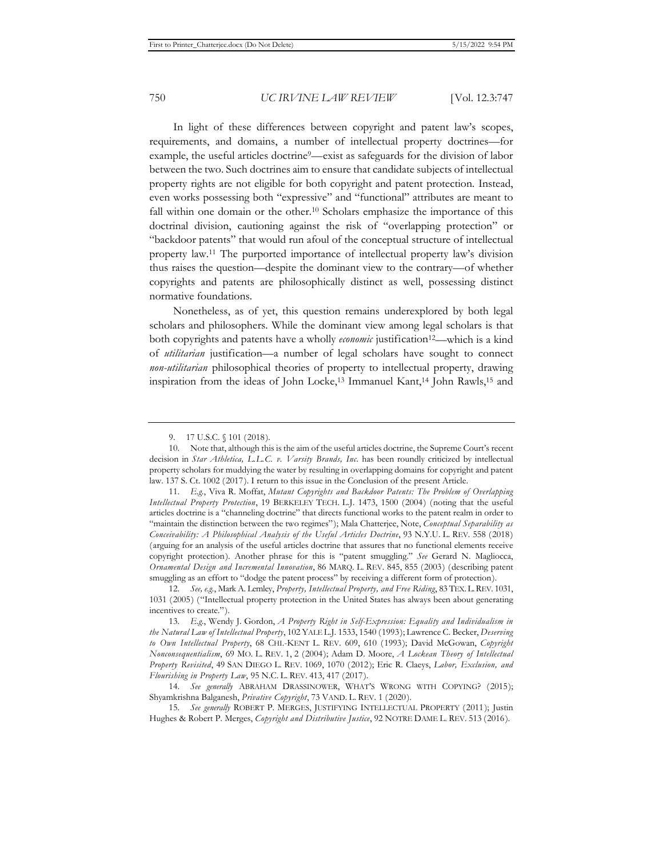In light of these differences between copyright and patent law's scopes, requirements, and domains, a number of intellectual property doctrines—for example, the useful articles doctrine<sup>9</sup>—exist as safeguards for the division of labor between the two. Such doctrines aim to ensure that candidate subjects of intellectual property rights are not eligible for both copyright and patent protection. Instead, even works possessing both "expressive" and "functional" attributes are meant to fall within one domain or the other.<sup>10</sup> Scholars emphasize the importance of this doctrinal division, cautioning against the risk of "overlapping protection" or "backdoor patents" that would run afoul of the conceptual structure of intellectual property law.11 The purported importance of intellectual property law's division thus raises the question—despite the dominant view to the contrary—of whether copyrights and patents are philosophically distinct as well, possessing distinct normative foundations.

Nonetheless, as of yet, this question remains underexplored by both legal scholars and philosophers. While the dominant view among legal scholars is that both copyrights and patents have a wholly *economic* justification<sup>12</sup>—which is a kind of *utilitarian* justification—a number of legal scholars have sought to connect *non-utilitarian* philosophical theories of property to intellectual property, drawing inspiration from the ideas of John Locke,<sup>13</sup> Immanuel Kant,<sup>14</sup> John Rawls,<sup>15</sup> and

<sup>9. 17</sup> U.S.C. § 101 (2018).

<sup>10.</sup> Note that, although this is the aim of the useful articles doctrine, the Supreme Court's recent decision in *Star Athletica, L.L.C. v. Varsity Brands, Inc.* has been roundly criticized by intellectual property scholars for muddying the water by resulting in overlapping domains for copyright and patent law. 137 S. Ct. 1002 (2017). I return to this issue in the Conclusion of the present Article.

<sup>11.</sup> *E.g.*, Viva R. Moffat, *Mutant Copyrights and Backdoor Patents: The Problem of Overlapping Intellectual Property Protection*, 19 BERKELEY TECH. L.J. 1473, 1500 (2004) (noting that the useful articles doctrine is a "channeling doctrine" that directs functional works to the patent realm in order to "maintain the distinction between the two regimes"); Mala Chatterjee, Note, *Conceptual Separability as Conceivability: A Philosophical Analysis of the Useful Articles Doctrine*, 93 N.Y.U. L. REV. 558 (2018) (arguing for an analysis of the useful articles doctrine that assures that no functional elements receive copyright protection). Another phrase for this is "patent smuggling." *See* Gerard N. Magliocca, *Ornamental Design and Incremental Innovation*, 86 MARQ. L. REV. 845, 855 (2003) (describing patent smuggling as an effort to "dodge the patent process" by receiving a different form of protection).

<sup>12.</sup> *See, e.g.*, Mark A. Lemley, *Property, Intellectual Property, and Free Riding*, 83 TEX.L.REV. 1031, 1031 (2005) ("Intellectual property protection in the United States has always been about generating incentives to create.").

<sup>13.</sup> *E.g.*, Wendy J. Gordon, *A Property Right in Self-Expression: Equality and Individualism in the Natural Law of Intellectual Property*, 102 YALE L.J. 1533, 1540 (1993); Lawrence C. Becker, *Deserving to Own Intellectual Property*, 68 CHI.-KENT L. REV. 609, 610 (1993); David McGowan, *Copyright Nonconsequentialism*, 69 MO. L. REV. 1, 2 (2004); Adam D. Moore, *A Lockean Theory of Intellectual Property Revisited*, 49 SAN DIEGO L. REV. 1069, 1070 (2012); Eric R. Claeys, *Labor, Exclusion, and Flourishing in Property Law*, 95 N.C. L. REV. 413, 417 (2017).

<sup>14.</sup> *See generally* ABRAHAM DRASSINOWER, WHAT'S WRONG WITH COPYING? (2015); Shyamkrishna Balganesh, *Privative Copyright*, 73 VAND. L. REV. 1 (2020).

<sup>15.</sup> *See generally* ROBERT P. MERGES, JUSTIFYING INTELLECTUAL PROPERTY (2011); Justin Hughes & Robert P. Merges, *Copyright and Distributive Justice*, 92 NOTRE DAME L. REV. 513 (2016).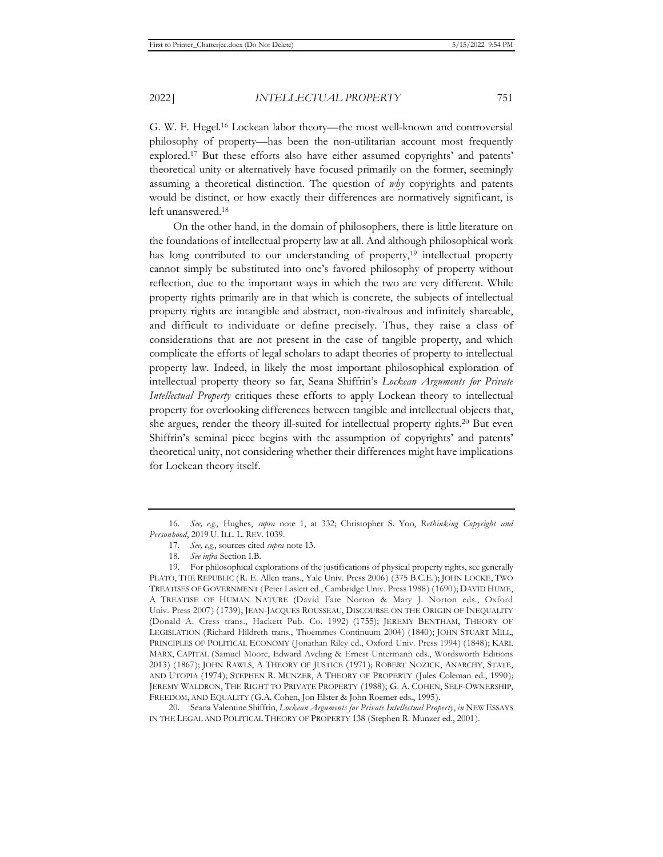G. W. F. Hegel.16 Lockean labor theory—the most well-known and controversial philosophy of property—has been the non-utilitarian account most frequently explored.17 But these efforts also have either assumed copyrights' and patents' theoretical unity or alternatively have focused primarily on the former, seemingly assuming a theoretical distinction. The question of *why* copyrights and patents would be distinct, or how exactly their differences are normatively significant, is left unanswered.18

On the other hand, in the domain of philosophers, there is little literature on the foundations of intellectual property law at all. And although philosophical work has long contributed to our understanding of property,<sup>19</sup> intellectual property cannot simply be substituted into one's favored philosophy of property without reflection, due to the important ways in which the two are very different. While property rights primarily are in that which is concrete, the subjects of intellectual property rights are intangible and abstract, non-rivalrous and infinitely shareable, and difficult to individuate or define precisely. Thus, they raise a class of considerations that are not present in the case of tangible property, and which complicate the efforts of legal scholars to adapt theories of property to intellectual property law. Indeed, in likely the most important philosophical exploration of intellectual property theory so far, Seana Shiffrin's *Lockean Arguments for Private Intellectual Property* critiques these efforts to apply Lockean theory to intellectual property for overlooking differences between tangible and intellectual objects that, she argues, render the theory ill-suited for intellectual property rights.20 But even Shiffrin's seminal piece begins with the assumption of copyrights' and patents' theoretical unity, not considering whether their differences might have implications for Lockean theory itself.

20. Seana Valentine Shiffrin, *Lockean Arguments for Private Intellectual Property*, *in* NEW ESSAYS IN THE LEGAL AND POLITICAL THEORY OF PROPERTY 138 (Stephen R. Munzer ed., 2001).

<sup>16.</sup> *See, e.g.*, Hughes, *supra* note 1, at 332; Christopher S. Yoo, *Rethinking Copyright and Personhood*, 2019 U. ILL. L. REV. 1039.

<sup>17.</sup> *See, e.g.*, sources cited *supra* note 13.

<sup>18.</sup> *See infra* Section I.B.

<sup>19.</sup> For philosophical explorations of the justifications of physical property rights, see generally PLATO, THE REPUBLIC (R. E. Allen trans., Yale Univ. Press 2006) (375 B.C.E.); JOHN LOCKE, TWO TREATISES OF GOVERNMENT (Peter Laslett ed., Cambridge Univ. Press 1988) (1690); DAVID HUME, A TREATISE OF HUMAN NATURE (David Fate Norton & Mary J. Norton eds., Oxford Univ. Press 2007) (1739); JEAN-JACQUES ROUSSEAU, DISCOURSE ON THE ORIGIN OF INEQUALITY (Donald A. Cress trans., Hackett Pub. Co. 1992) (1755); JEREMY BENTHAM, THEORY OF LEGISLATION (Richard Hildreth trans., Thoemmes Continuum 2004) (1840); JOHN STUART MILL, PRINCIPLES OF POLITICAL ECONOMY (Jonathan Riley ed., Oxford Univ. Press 1994) (1848); KARL MARX, CAPITAL (Samuel Moore, Edward Aveling & Ernest Untermann eds., Wordsworth Editions 2013) (1867); JOHN RAWLS, A THEORY OF JUSTICE (1971); ROBERT NOZICK, ANARCHY, STATE, AND UTOPIA (1974); STEPHEN R. MUNZER, A THEORY OF PROPERTY (Jules Coleman ed., 1990); JEREMY WALDRON, THE RIGHT TO PRIVATE PROPERTY (1988); G. A. COHEN, SELF-OWNERSHIP, FREEDOM, AND EQUALITY (G.A. Cohen, Jon Elster & John Roemer eds., 1995).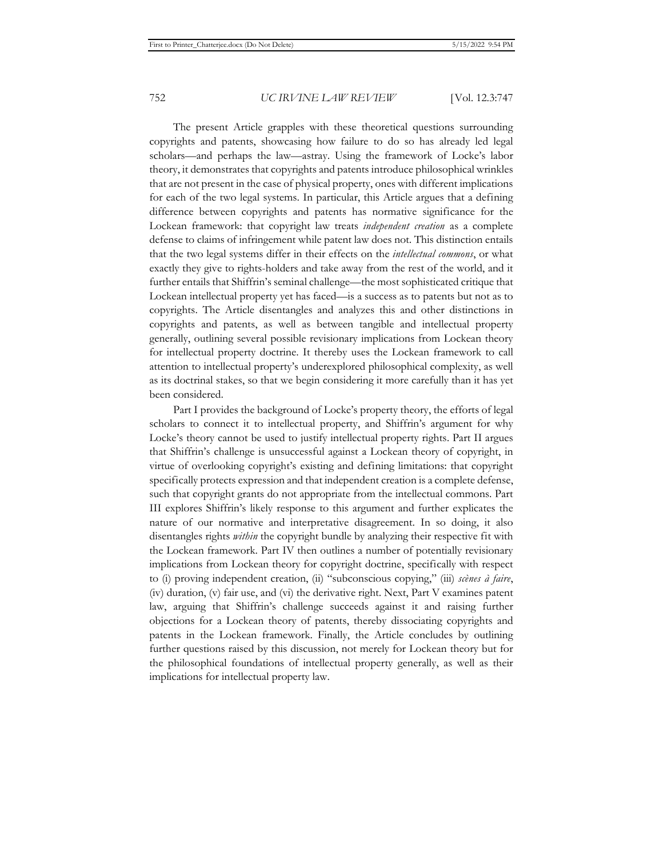The present Article grapples with these theoretical questions surrounding copyrights and patents, showcasing how failure to do so has already led legal scholars—and perhaps the law—astray. Using the framework of Locke's labor theory, it demonstrates that copyrights and patents introduce philosophical wrinkles that are not present in the case of physical property, ones with different implications for each of the two legal systems. In particular, this Article argues that a defining difference between copyrights and patents has normative significance for the Lockean framework: that copyright law treats *independent creation* as a complete defense to claims of infringement while patent law does not. This distinction entails that the two legal systems differ in their effects on the *intellectual commons*, or what exactly they give to rights-holders and take away from the rest of the world, and it further entails that Shiffrin's seminal challenge—the most sophisticated critique that Lockean intellectual property yet has faced—is a success as to patents but not as to copyrights. The Article disentangles and analyzes this and other distinctions in copyrights and patents, as well as between tangible and intellectual property generally, outlining several possible revisionary implications from Lockean theory for intellectual property doctrine. It thereby uses the Lockean framework to call attention to intellectual property's underexplored philosophical complexity, as well as its doctrinal stakes, so that we begin considering it more carefully than it has yet been considered.

Part I provides the background of Locke's property theory, the efforts of legal scholars to connect it to intellectual property, and Shiffrin's argument for why Locke's theory cannot be used to justify intellectual property rights. Part II argues that Shiffrin's challenge is unsuccessful against a Lockean theory of copyright, in virtue of overlooking copyright's existing and defining limitations: that copyright specifically protects expression and that independent creation is a complete defense, such that copyright grants do not appropriate from the intellectual commons. Part III explores Shiffrin's likely response to this argument and further explicates the nature of our normative and interpretative disagreement. In so doing, it also disentangles rights *within* the copyright bundle by analyzing their respective fit with the Lockean framework. Part IV then outlines a number of potentially revisionary implications from Lockean theory for copyright doctrine, specifically with respect to (i) proving independent creation, (ii) "subconscious copying," (iii) *scènes à faire*, (iv) duration, (v) fair use, and (vi) the derivative right. Next, Part V examines patent law, arguing that Shiffrin's challenge succeeds against it and raising further objections for a Lockean theory of patents, thereby dissociating copyrights and patents in the Lockean framework. Finally, the Article concludes by outlining further questions raised by this discussion, not merely for Lockean theory but for the philosophical foundations of intellectual property generally, as well as their implications for intellectual property law.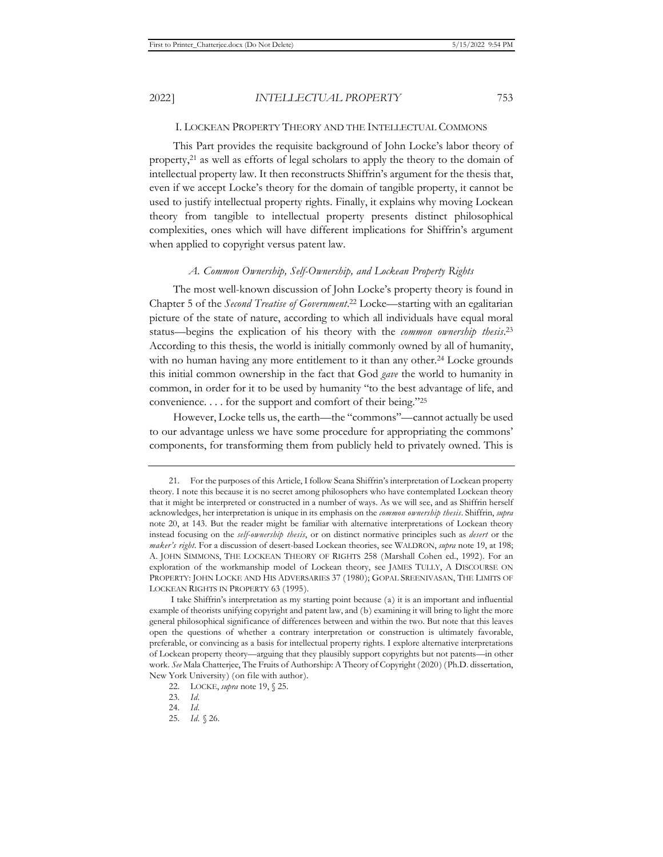## I. LOCKEAN PROPERTY THEORY AND THE INTELLECTUAL COMMONS

This Part provides the requisite background of John Locke's labor theory of property,21 as well as efforts of legal scholars to apply the theory to the domain of intellectual property law. It then reconstructs Shiffrin's argument for the thesis that, even if we accept Locke's theory for the domain of tangible property, it cannot be used to justify intellectual property rights. Finally, it explains why moving Lockean theory from tangible to intellectual property presents distinct philosophical complexities, ones which will have different implications for Shiffrin's argument when applied to copyright versus patent law.

### *A. Common Ownership, Self-Ownership, and Lockean Property Rights*

The most well-known discussion of John Locke's property theory is found in Chapter 5 of the *Second Treatise of Government*. 22 Locke—starting with an egalitarian picture of the state of nature, according to which all individuals have equal moral status—begins the explication of his theory with the *common ownership thesis*. 23 According to this thesis, the world is initially commonly owned by all of humanity, with no human having any more entitlement to it than any other.<sup>24</sup> Locke grounds this initial common ownership in the fact that God *gave* the world to humanity in common, in order for it to be used by humanity "to the best advantage of life, and convenience. . . . for the support and comfort of their being."25

However, Locke tells us, the earth—the "commons"—cannot actually be used to our advantage unless we have some procedure for appropriating the commons' components, for transforming them from publicly held to privately owned. This is

<sup>21.</sup> For the purposes of this Article, I follow Seana Shiffrin's interpretation of Lockean property theory. I note this because it is no secret among philosophers who have contemplated Lockean theory that it might be interpreted or constructed in a number of ways. As we will see, and as Shiffrin herself acknowledges, her interpretation is unique in its emphasis on the *common ownership thesis*. Shiffrin, *supra* note 20, at 143. But the reader might be familiar with alternative interpretations of Lockean theory instead focusing on the *self-ownership thesis*, or on distinct normative principles such as *desert* or the *maker's right*. For a discussion of desert-based Lockean theories, see WALDRON, *supra* note 19, at 198; A. JOHN SIMMONS, THE LOCKEAN THEORY OF RIGHTS 258 (Marshall Cohen ed., 1992). For an exploration of the workmanship model of Lockean theory, see JAMES TULLY, A DISCOURSE ON PROPERTY: JOHN LOCKE AND HIS ADVERSARIES 37 (1980); GOPAL SREENIVASAN, THE LIMITS OF LOCKEAN RIGHTS IN PROPERTY 63 (1995).

I take Shiffrin's interpretation as my starting point because (a) it is an important and influential example of theorists unifying copyright and patent law, and (b) examining it will bring to light the more general philosophical significance of differences between and within the two. But note that this leaves open the questions of whether a contrary interpretation or construction is ultimately favorable, preferable, or convincing as a basis for intellectual property rights. I explore alternative interpretations of Lockean property theory—arguing that they plausibly support copyrights but not patents—in other work. *See* Mala Chatterjee, The Fruits of Authorship: A Theory of Copyright (2020) (Ph.D. dissertation, New York University) (on file with author).

<sup>22.</sup> LOCKE, *supra* note 19, § 25.

<sup>23.</sup> *Id.*

<sup>24.</sup> *Id.* 

<sup>25.</sup> *Id.* § 26.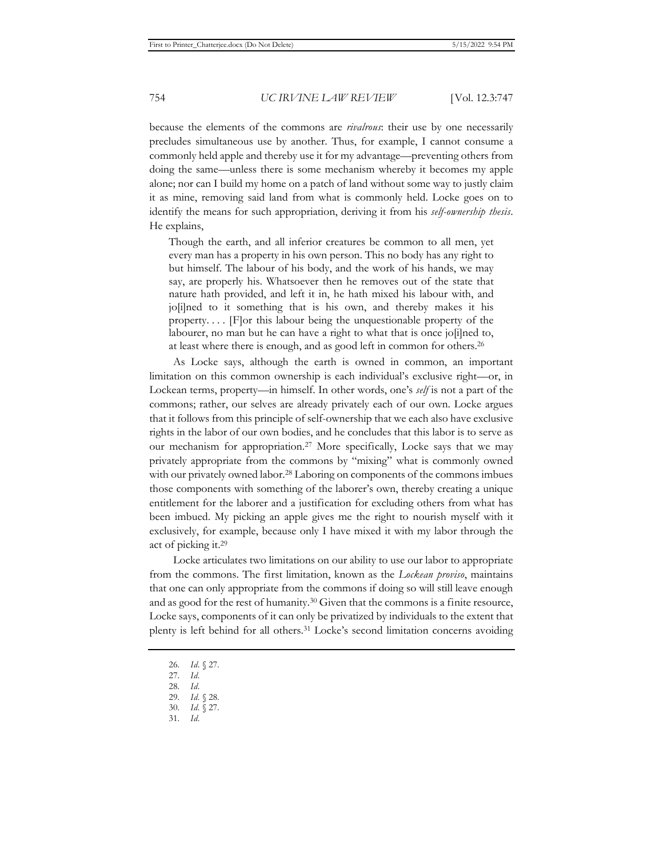because the elements of the commons are *rivalrous*: their use by one necessarily precludes simultaneous use by another. Thus, for example, I cannot consume a commonly held apple and thereby use it for my advantage—preventing others from doing the same—unless there is some mechanism whereby it becomes my apple alone; nor can I build my home on a patch of land without some way to justly claim it as mine, removing said land from what is commonly held. Locke goes on to identify the means for such appropriation, deriving it from his *self-ownership thesis*. He explains,

Though the earth, and all inferior creatures be common to all men, yet every man has a property in his own person. This no body has any right to but himself. The labour of his body, and the work of his hands, we may say, are properly his. Whatsoever then he removes out of the state that nature hath provided, and left it in, he hath mixed his labour with, and jo[i]ned to it something that is his own, and thereby makes it his property. . . . [F]or this labour being the unquestionable property of the labourer, no man but he can have a right to what that is once jo[i]ned to, at least where there is enough, and as good left in common for others.26

As Locke says, although the earth is owned in common, an important limitation on this common ownership is each individual's exclusive right—or, in Lockean terms, property—in himself. In other words, one's *self* is not a part of the commons; rather, our selves are already privately each of our own. Locke argues that it follows from this principle of self-ownership that we each also have exclusive rights in the labor of our own bodies, and he concludes that this labor is to serve as our mechanism for appropriation.27 More specifically, Locke says that we may privately appropriate from the commons by "mixing" what is commonly owned with our privately owned labor.<sup>28</sup> Laboring on components of the commons imbues those components with something of the laborer's own, thereby creating a unique entitlement for the laborer and a justification for excluding others from what has been imbued. My picking an apple gives me the right to nourish myself with it exclusively, for example, because only I have mixed it with my labor through the act of picking it.29

Locke articulates two limitations on our ability to use our labor to appropriate from the commons. The first limitation, known as the *Lockean proviso*, maintains that one can only appropriate from the commons if doing so will still leave enough and as good for the rest of humanity.30 Given that the commons is a finite resource, Locke says, components of it can only be privatized by individuals to the extent that plenty is left behind for all others.31 Locke's second limitation concerns avoiding

- 26. *Id.* § 27.
- 27. *Id.*
- 28. *Id.*

31. *Id.* 

<sup>29.</sup> *Id.* § 28.

<sup>30.</sup> *Id.* § 27.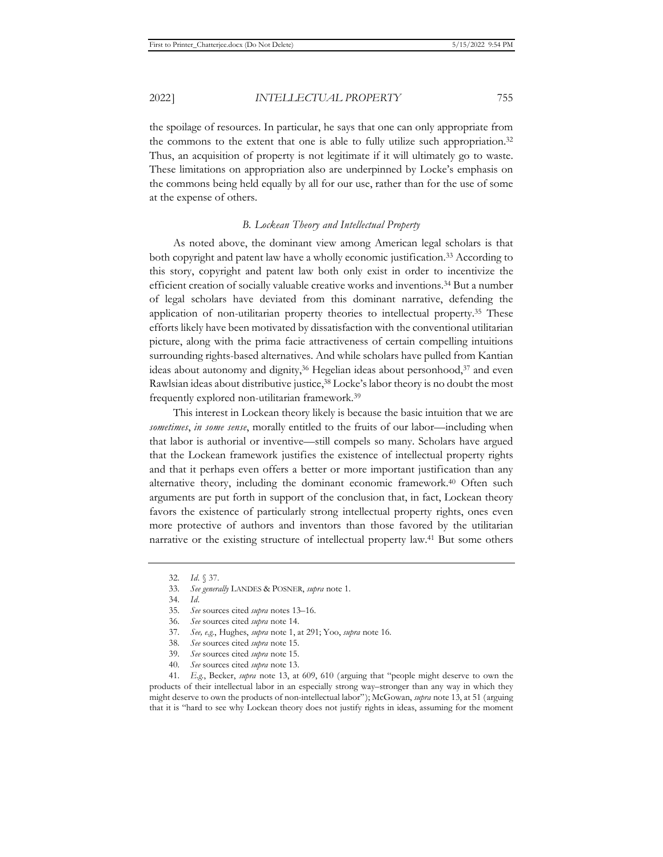the spoilage of resources. In particular, he says that one can only appropriate from the commons to the extent that one is able to fully utilize such appropriation.<sup>32</sup> Thus, an acquisition of property is not legitimate if it will ultimately go to waste. These limitations on appropriation also are underpinned by Locke's emphasis on the commons being held equally by all for our use, rather than for the use of some at the expense of others.

## *B. Lockean Theory and Intellectual Property*

As noted above, the dominant view among American legal scholars is that both copyright and patent law have a wholly economic justification.33 According to this story, copyright and patent law both only exist in order to incentivize the efficient creation of socially valuable creative works and inventions.34 But a number of legal scholars have deviated from this dominant narrative, defending the application of non-utilitarian property theories to intellectual property.35 These efforts likely have been motivated by dissatisfaction with the conventional utilitarian picture, along with the prima facie attractiveness of certain compelling intuitions surrounding rights-based alternatives. And while scholars have pulled from Kantian ideas about autonomy and dignity,36 Hegelian ideas about personhood,37 and even Rawlsian ideas about distributive justice,38 Locke's labor theory is no doubt the most frequently explored non-utilitarian framework.39

This interest in Lockean theory likely is because the basic intuition that we are *sometimes*, *in some sense*, morally entitled to the fruits of our labor—including when that labor is authorial or inventive—still compels so many. Scholars have argued that the Lockean framework justifies the existence of intellectual property rights and that it perhaps even offers a better or more important justification than any alternative theory, including the dominant economic framework.40 Often such arguments are put forth in support of the conclusion that, in fact, Lockean theory favors the existence of particularly strong intellectual property rights, ones even more protective of authors and inventors than those favored by the utilitarian narrative or the existing structure of intellectual property law.41 But some others

41. *E.g.*, Becker, *supra* note 13, at 609, 610 (arguing that "people might deserve to own the products of their intellectual labor in an especially strong way–stronger than any way in which they might deserve to own the products of non-intellectual labor"); McGowan, *supra* note 13, at 51 (arguing that it is "hard to see why Lockean theory does not justify rights in ideas, assuming for the moment

<sup>32.</sup> *Id.* § 37.

<sup>33.</sup> *See generally* LANDES & POSNER, *supra* note 1.

<sup>34.</sup> *Id.*

<sup>35.</sup> *See* sources cited *supra* notes 13–16.

<sup>36.</sup> *See* sources cited *supra* note 14.

<sup>37.</sup> *See, e.g.*, Hughes, *supra* note 1, at 291; Yoo, *supra* note 16.

<sup>38.</sup> *See* sources cited *supra* note 15.

<sup>39.</sup> *See* sources cited *supra* note 15.

<sup>40.</sup> *See* sources cited *supra* note 13.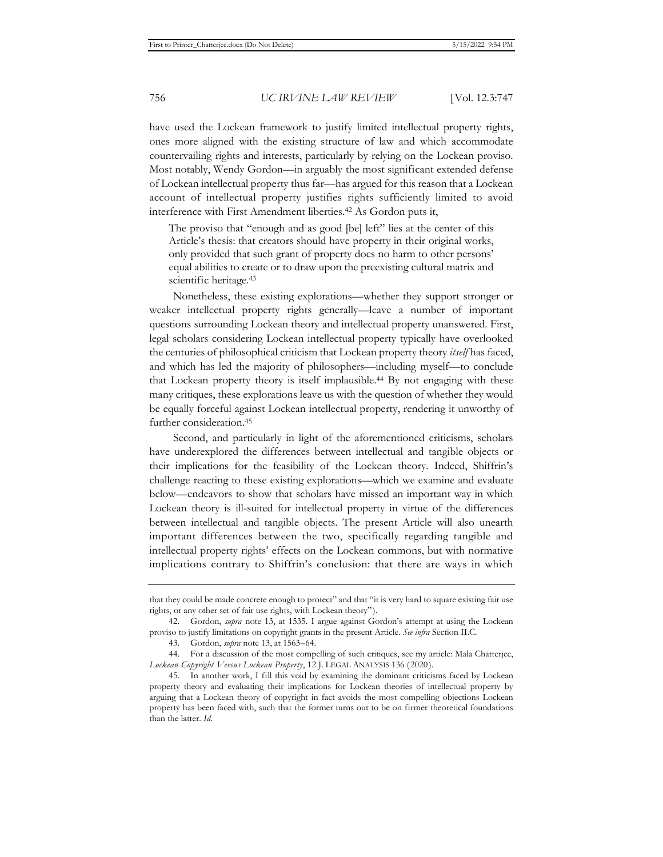have used the Lockean framework to justify limited intellectual property rights, ones more aligned with the existing structure of law and which accommodate countervailing rights and interests, particularly by relying on the Lockean proviso. Most notably, Wendy Gordon—in arguably the most significant extended defense of Lockean intellectual property thus far—has argued for this reason that a Lockean account of intellectual property justifies rights sufficiently limited to avoid interference with First Amendment liberties.42 As Gordon puts it,

The proviso that "enough and as good [be] left" lies at the center of this Article's thesis: that creators should have property in their original works, only provided that such grant of property does no harm to other persons' equal abilities to create or to draw upon the preexisting cultural matrix and scientific heritage.<sup>43</sup>

Nonetheless, these existing explorations—whether they support stronger or weaker intellectual property rights generally—leave a number of important questions surrounding Lockean theory and intellectual property unanswered. First, legal scholars considering Lockean intellectual property typically have overlooked the centuries of philosophical criticism that Lockean property theory *itself* has faced, and which has led the majority of philosophers—including myself—to conclude that Lockean property theory is itself implausible.44 By not engaging with these many critiques, these explorations leave us with the question of whether they would be equally forceful against Lockean intellectual property, rendering it unworthy of further consideration.45

Second, and particularly in light of the aforementioned criticisms, scholars have underexplored the differences between intellectual and tangible objects or their implications for the feasibility of the Lockean theory. Indeed, Shiffrin's challenge reacting to these existing explorations—which we examine and evaluate below—endeavors to show that scholars have missed an important way in which Lockean theory is ill-suited for intellectual property in virtue of the differences between intellectual and tangible objects. The present Article will also unearth important differences between the two, specifically regarding tangible and intellectual property rights' effects on the Lockean commons, but with normative implications contrary to Shiffrin's conclusion: that there are ways in which

that they could be made concrete enough to protect" and that "it is very hard to square existing fair use rights, or any other set of fair use rights, with Lockean theory").

<sup>42.</sup> Gordon, *supra* note 13, at 1535. I argue against Gordon's attempt at using the Lockean proviso to justify limitations on copyright grants in the present Article. *See infra* Section II.C.

<sup>43.</sup> Gordon, *supra* note 13, at 1563–64.

<sup>44.</sup> For a discussion of the most compelling of such critiques, see my article: Mala Chatterjee, *Lockean Copyright Versus Lockean Property*, 12 J. LEGAL ANALYSIS 136 (2020).

<sup>45.</sup> In another work, I fill this void by examining the dominant criticisms faced by Lockean property theory and evaluating their implications for Lockean theories of intellectual property by arguing that a Lockean theory of copyright in fact avoids the most compelling objections Lockean property has been faced with, such that the former turns out to be on firmer theoretical foundations than the latter. *Id.*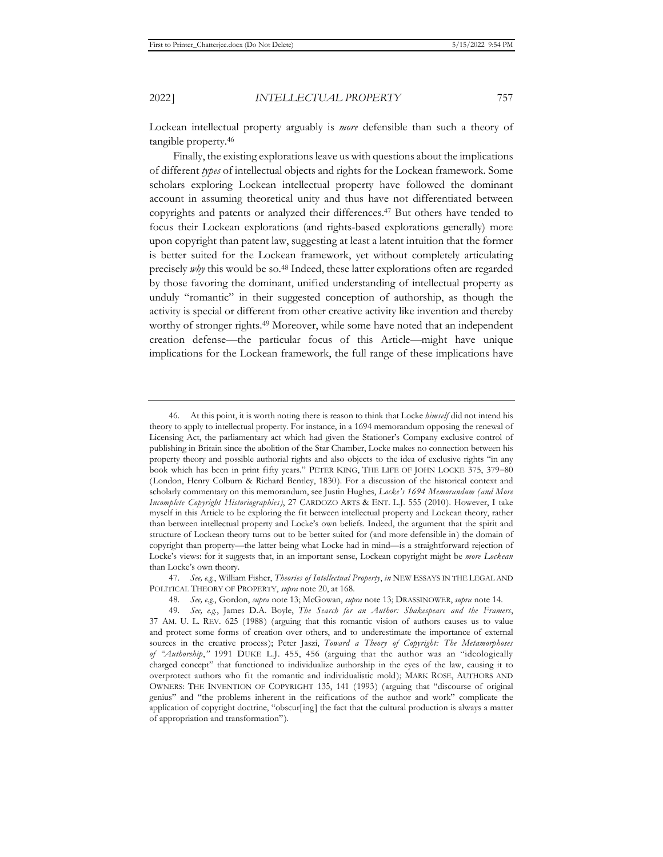Lockean intellectual property arguably is *more* defensible than such a theory of tangible property.46

Finally, the existing explorations leave us with questions about the implications of different *types* of intellectual objects and rights for the Lockean framework. Some scholars exploring Lockean intellectual property have followed the dominant account in assuming theoretical unity and thus have not differentiated between copyrights and patents or analyzed their differences.47 But others have tended to focus their Lockean explorations (and rights-based explorations generally) more upon copyright than patent law, suggesting at least a latent intuition that the former is better suited for the Lockean framework, yet without completely articulating precisely *why* this would be so.<sup>48</sup> Indeed, these latter explorations often are regarded by those favoring the dominant, unified understanding of intellectual property as unduly "romantic" in their suggested conception of authorship, as though the activity is special or different from other creative activity like invention and thereby worthy of stronger rights.<sup>49</sup> Moreover, while some have noted that an independent creation defense—the particular focus of this Article—might have unique implications for the Lockean framework, the full range of these implications have

47. *See, e.g.*, William Fisher, *Theories of Intellectual Property*, *in* NEW ESSAYS IN THE LEGAL AND POLITICAL THEORY OF PROPERTY, *supra* note 20, at 168.

48. *See, e.g.*, Gordon, *supra* note 13; McGowan, *supra* note 13; DRASSINOWER, *supra* note 14.

<sup>46.</sup> At this point, it is worth noting there is reason to think that Locke *himself* did not intend his theory to apply to intellectual property. For instance, in a 1694 memorandum opposing the renewal of Licensing Act, the parliamentary act which had given the Stationer's Company exclusive control of publishing in Britain since the abolition of the Star Chamber, Locke makes no connection between his property theory and possible authorial rights and also objects to the idea of exclusive rights "in any book which has been in print fifty years." PETER KING, THE LIFE OF JOHN LOCKE 375, 379-80 (London, Henry Colburn & Richard Bentley, 1830). For a discussion of the historical context and scholarly commentary on this memorandum, see Justin Hughes, *Locke's 1694 Memorandum (and More Incomplete Copyright Historiographies)*, 27 CARDOZO ARTS & ENT. L.J. 555 (2010). However, I take myself in this Article to be exploring the fit between intellectual property and Lockean theory, rather than between intellectual property and Locke's own beliefs. Indeed, the argument that the spirit and structure of Lockean theory turns out to be better suited for (and more defensible in) the domain of copyright than property—the latter being what Locke had in mind—is a straightforward rejection of Locke's views: for it suggests that, in an important sense, Lockean copyright might be *more Lockean*  than Locke's own theory.

<sup>49.</sup> *See, e.g.*, James D.A. Boyle, *The Search for an Author: Shakespeare and the Framers*, 37 AM. U. L. REV. 625 (1988) (arguing that this romantic vision of authors causes us to value and protect some forms of creation over others, and to underestimate the importance of external sources in the creative process); Peter Jaszi, *Toward a Theory of Copyright: The Metamorphoses of "Authorship*,*"* 1991 DUKE L.J. 455, 456 (arguing that the author was an "ideologically charged concept" that functioned to individualize authorship in the eyes of the law, causing it to overprotect authors who fit the romantic and individualistic mold); MARK ROSE, AUTHORS AND OWNERS: THE INVENTION OF COPYRIGHT 135, 141 (1993) (arguing that "discourse of original genius" and "the problems inherent in the reifications of the author and work" complicate the application of copyright doctrine, "obscur[ing] the fact that the cultural production is always a matter of appropriation and transformation").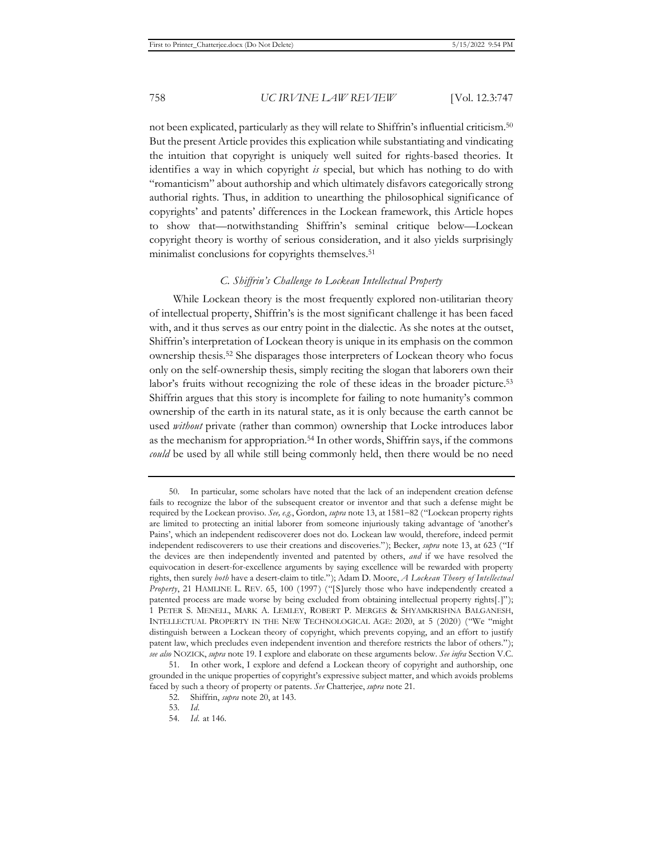not been explicated, particularly as they will relate to Shiffrin's influential criticism.50 But the present Article provides this explication while substantiating and vindicating the intuition that copyright is uniquely well suited for rights-based theories. It identifies a way in which copyright *is* special, but which has nothing to do with "romanticism" about authorship and which ultimately disfavors categorically strong authorial rights. Thus, in addition to unearthing the philosophical significance of copyrights' and patents' differences in the Lockean framework, this Article hopes to show that—notwithstanding Shiffrin's seminal critique below—Lockean copyright theory is worthy of serious consideration, and it also yields surprisingly minimalist conclusions for copyrights themselves.<sup>51</sup>

## *C. Shiffrin's Challenge to Lockean Intellectual Property*

While Lockean theory is the most frequently explored non-utilitarian theory of intellectual property, Shiffrin's is the most significant challenge it has been faced with, and it thus serves as our entry point in the dialectic. As she notes at the outset, Shiffrin's interpretation of Lockean theory is unique in its emphasis on the common ownership thesis.52 She disparages those interpreters of Lockean theory who focus only on the self-ownership thesis, simply reciting the slogan that laborers own their labor's fruits without recognizing the role of these ideas in the broader picture.53 Shiffrin argues that this story is incomplete for failing to note humanity's common ownership of the earth in its natural state, as it is only because the earth cannot be used *without* private (rather than common) ownership that Locke introduces labor as the mechanism for appropriation.<sup>54</sup> In other words, Shiffrin says, if the commons *could* be used by all while still being commonly held, then there would be no need

<sup>50.</sup> In particular, some scholars have noted that the lack of an independent creation defense fails to recognize the labor of the subsequent creator or inventor and that such a defense might be required by the Lockean proviso. *See, e.g.*, Gordon, *supra* note 13, at 1581-82 ("Lockean property rights are limited to protecting an initial laborer from someone injuriously taking advantage of 'another's Pains', which an independent rediscoverer does not do. Lockean law would, therefore, indeed permit independent rediscoverers to use their creations and discoveries."); Becker, *supra* note 13, at 623 ("If the devices are then independently invented and patented by others, *and* if we have resolved the equivocation in desert-for-excellence arguments by saying excellence will be rewarded with property rights, then surely *both* have a desert-claim to title."); Adam D. Moore, *A Lockean Theory of Intellectual Property*, 21 HAMLINE L. REV. 65, 100 (1997) ("[S]urely those who have independently created a patented process are made worse by being excluded from obtaining intellectual property rights[.]"); 1 PETER S. MENELL, MARK A. LEMLEY, ROBERT P. MERGES & SHYAMKRISHNA BALGANESH, INTELLECTUAL PROPERTY IN THE NEW TECHNOLOGICAL AGE: 2020, at 5 (2020) ("We "might distinguish between a Lockean theory of copyright, which prevents copying, and an effort to justify patent law, which precludes even independent invention and therefore restricts the labor of others."); *see also* NOZICK, *supra* note 19. I explore and elaborate on these arguments below. *See infra* Section V.C.

<sup>51.</sup> In other work, I explore and defend a Lockean theory of copyright and authorship, one grounded in the unique properties of copyright's expressive subject matter, and which avoids problems faced by such a theory of property or patents. *See* Chatterjee, *supra* note 21.

<sup>52.</sup> Shiffrin, *supra* note 20, at 143.

<sup>53.</sup> *Id.*

<sup>54.</sup> *Id.* at 146.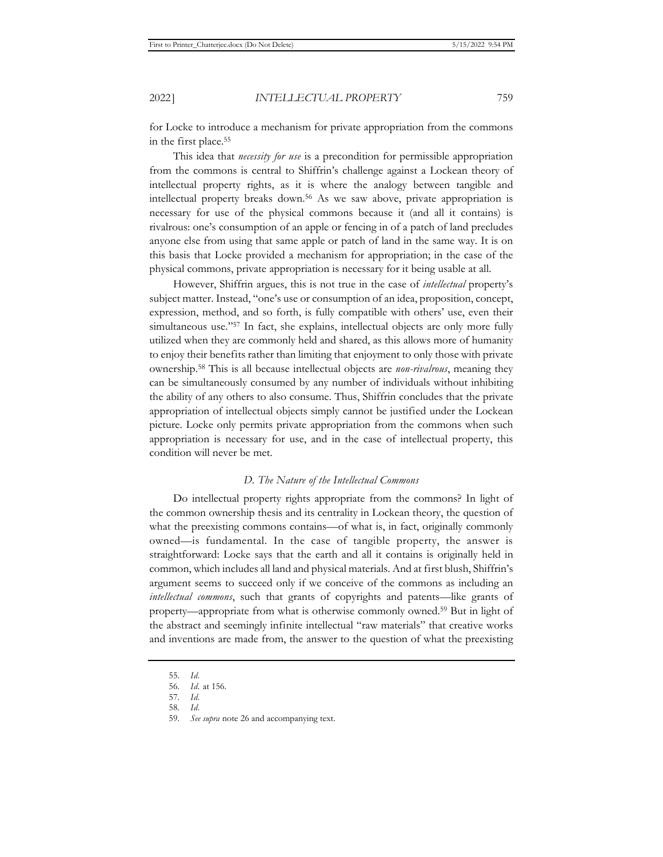for Locke to introduce a mechanism for private appropriation from the commons in the first place.55

This idea that *necessity for use* is a precondition for permissible appropriation from the commons is central to Shiffrin's challenge against a Lockean theory of intellectual property rights, as it is where the analogy between tangible and intellectual property breaks down.56 As we saw above, private appropriation is necessary for use of the physical commons because it (and all it contains) is rivalrous: one's consumption of an apple or fencing in of a patch of land precludes anyone else from using that same apple or patch of land in the same way. It is on this basis that Locke provided a mechanism for appropriation; in the case of the physical commons, private appropriation is necessary for it being usable at all.

However, Shiffrin argues, this is not true in the case of *intellectual* property's subject matter. Instead, "one's use or consumption of an idea, proposition, concept, expression, method, and so forth, is fully compatible with others' use, even their simultaneous use."<sup>57</sup> In fact, she explains, intellectual objects are only more fully utilized when they are commonly held and shared, as this allows more of humanity to enjoy their benefits rather than limiting that enjoyment to only those with private ownership.58 This is all because intellectual objects are *non-rivalrous*, meaning they can be simultaneously consumed by any number of individuals without inhibiting the ability of any others to also consume. Thus, Shiffrin concludes that the private appropriation of intellectual objects simply cannot be justified under the Lockean picture. Locke only permits private appropriation from the commons when such appropriation is necessary for use, and in the case of intellectual property, this condition will never be met.

### *D. The Nature of the Intellectual Commons*

Do intellectual property rights appropriate from the commons? In light of the common ownership thesis and its centrality in Lockean theory, the question of what the preexisting commons contains—of what is, in fact, originally commonly owned—is fundamental. In the case of tangible property, the answer is straightforward: Locke says that the earth and all it contains is originally held in common, which includes all land and physical materials. And at first blush, Shiffrin's argument seems to succeed only if we conceive of the commons as including an *intellectual commons*, such that grants of copyrights and patents—like grants of property—appropriate from what is otherwise commonly owned.59 But in light of the abstract and seemingly infinite intellectual "raw materials" that creative works and inventions are made from, the answer to the question of what the preexisting

<sup>55.</sup> *Id.*

<sup>56.</sup> *Id.* at 156.

<sup>57.</sup> *Id.*

<sup>58.</sup> *Id.* 

<sup>59.</sup> *See supra* note 26 and accompanying text.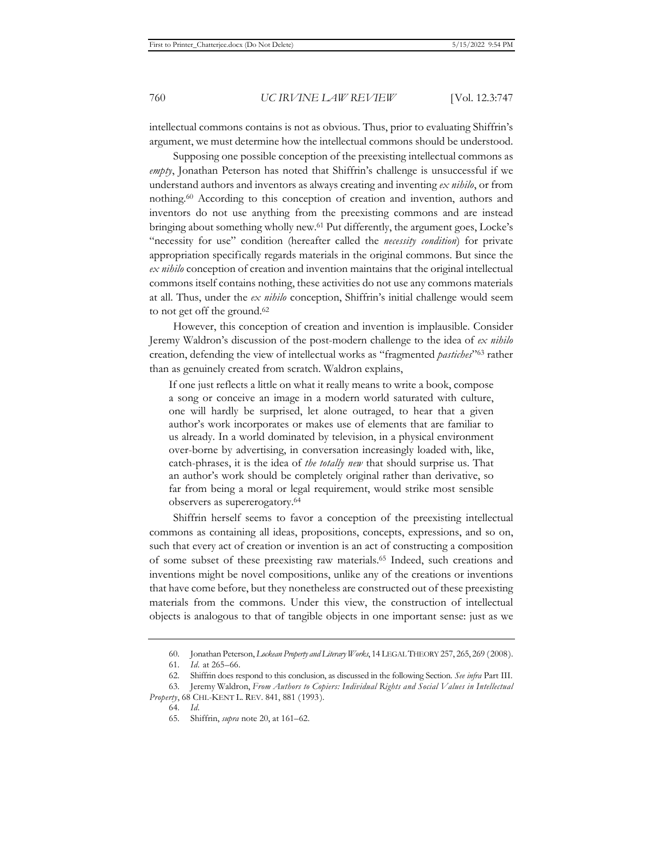intellectual commons contains is not as obvious. Thus, prior to evaluating Shiffrin's argument, we must determine how the intellectual commons should be understood.

Supposing one possible conception of the preexisting intellectual commons as *empty*, Jonathan Peterson has noted that Shiffrin's challenge is unsuccessful if we understand authors and inventors as always creating and inventing *ex nihilo*, or from nothing.60 According to this conception of creation and invention, authors and inventors do not use anything from the preexisting commons and are instead bringing about something wholly new.61 Put differently, the argument goes, Locke's "necessity for use" condition (hereafter called the *necessity condition*) for private appropriation specifically regards materials in the original commons. But since the *ex nihilo* conception of creation and invention maintains that the original intellectual commons itself contains nothing, these activities do not use any commons materials at all. Thus, under the *ex nihilo* conception, Shiffrin's initial challenge would seem to not get off the ground.62

However, this conception of creation and invention is implausible. Consider Jeremy Waldron's discussion of the post-modern challenge to the idea of *ex nihilo* creation, defending the view of intellectual works as "fragmented *pastiches*"63 rather than as genuinely created from scratch. Waldron explains,

If one just reflects a little on what it really means to write a book, compose a song or conceive an image in a modern world saturated with culture, one will hardly be surprised, let alone outraged, to hear that a given author's work incorporates or makes use of elements that are familiar to us already. In a world dominated by television, in a physical environment over-borne by advertising, in conversation increasingly loaded with, like, catch-phrases, it is the idea of *the totally new* that should surprise us. That an author's work should be completely original rather than derivative, so far from being a moral or legal requirement, would strike most sensible observers as supererogatory.64

Shiffrin herself seems to favor a conception of the preexisting intellectual commons as containing all ideas, propositions, concepts, expressions, and so on, such that every act of creation or invention is an act of constructing a composition of some subset of these preexisting raw materials.65 Indeed, such creations and inventions might be novel compositions, unlike any of the creations or inventions that have come before, but they nonetheless are constructed out of these preexisting materials from the commons. Under this view, the construction of intellectual objects is analogous to that of tangible objects in one important sense: just as we

<sup>60.</sup> Jonathan Peterson, *Lockean Property and Literary Works*, 14 LEGAL THEORY 257, 265, 269 (2008). 61. *Id.* at 265–66.

<sup>62.</sup> Shiffrin does respond to this conclusion, as discussed in the following Section. *See infra* Part III.

<sup>63.</sup> Jeremy Waldron, *From Authors to Copiers: Individual Rights and Social Values in Intellectual Property*, 68 CHI.-KENT L. REV. 841, 881 (1993).

<sup>64.</sup> *Id.*

<sup>65.</sup> Shiffrin, *supra* note 20, at 161–62.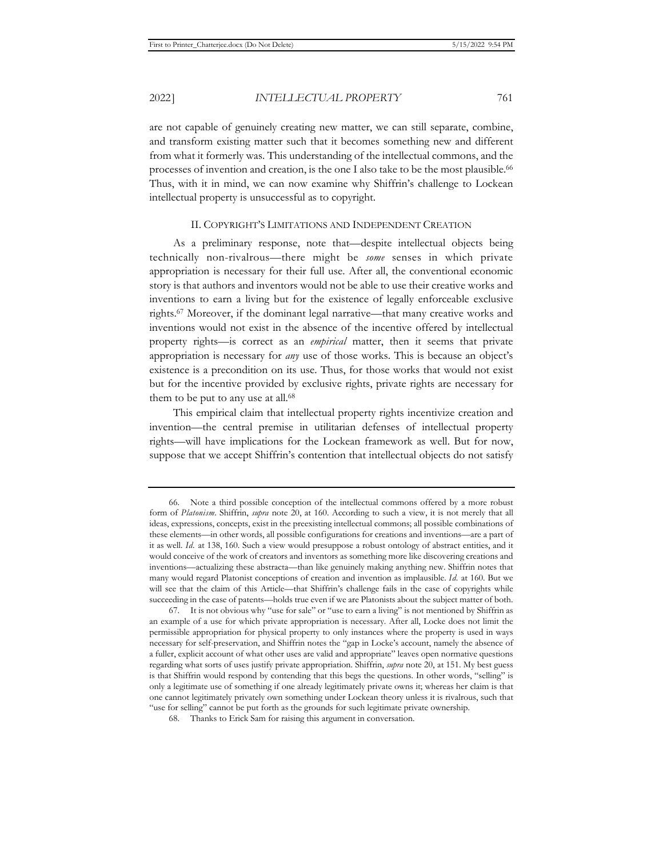are not capable of genuinely creating new matter, we can still separate, combine, and transform existing matter such that it becomes something new and different from what it formerly was. This understanding of the intellectual commons, and the processes of invention and creation, is the one I also take to be the most plausible.66 Thus, with it in mind, we can now examine why Shiffrin's challenge to Lockean intellectual property is unsuccessful as to copyright.

#### II. COPYRIGHT'S LIMITATIONS AND INDEPENDENT CREATION

As a preliminary response, note that—despite intellectual objects being technically non-rivalrous—there might be *some* senses in which private appropriation is necessary for their full use. After all, the conventional economic story is that authors and inventors would not be able to use their creative works and inventions to earn a living but for the existence of legally enforceable exclusive rights.67 Moreover, if the dominant legal narrative—that many creative works and inventions would not exist in the absence of the incentive offered by intellectual property rights—is correct as an *empirical* matter, then it seems that private appropriation is necessary for *any* use of those works. This is because an object's existence is a precondition on its use. Thus, for those works that would not exist but for the incentive provided by exclusive rights, private rights are necessary for them to be put to any use at all.<sup>68</sup>

This empirical claim that intellectual property rights incentivize creation and invention—the central premise in utilitarian defenses of intellectual property rights—will have implications for the Lockean framework as well. But for now, suppose that we accept Shiffrin's contention that intellectual objects do not satisfy

<sup>66.</sup> Note a third possible conception of the intellectual commons offered by a more robust form of *Platonism*. Shiffrin, *supra* note 20, at 160. According to such a view, it is not merely that all ideas, expressions, concepts, exist in the preexisting intellectual commons; all possible combinations of these elements—in other words, all possible configurations for creations and inventions—are a part of it as well. *Id.* at 138, 160. Such a view would presuppose a robust ontology of abstract entities, and it would conceive of the work of creators and inventors as something more like discovering creations and inventions—actualizing these abstracta—than like genuinely making anything new. Shiffrin notes that many would regard Platonist conceptions of creation and invention as implausible. *Id.* at 160. But we will see that the claim of this Article—that Shiffrin's challenge fails in the case of copyrights while succeeding in the case of patents—holds true even if we are Platonists about the subject matter of both.

<sup>67.</sup> It is not obvious why "use for sale" or "use to earn a living" is not mentioned by Shiffrin as an example of a use for which private appropriation is necessary. After all, Locke does not limit the permissible appropriation for physical property to only instances where the property is used in ways necessary for self-preservation, and Shiffrin notes the "gap in Locke's account, namely the absence of a fuller, explicit account of what other uses are valid and appropriate" leaves open normative questions regarding what sorts of uses justify private appropriation. Shiffrin, *supra* note 20, at 151. My best guess is that Shiffrin would respond by contending that this begs the questions. In other words, "selling" is only a legitimate use of something if one already legitimately private owns it; whereas her claim is that one cannot legitimately privately own something under Lockean theory unless it is rivalrous, such that "use for selling" cannot be put forth as the grounds for such legitimate private ownership.

<sup>68.</sup> Thanks to Erick Sam for raising this argument in conversation.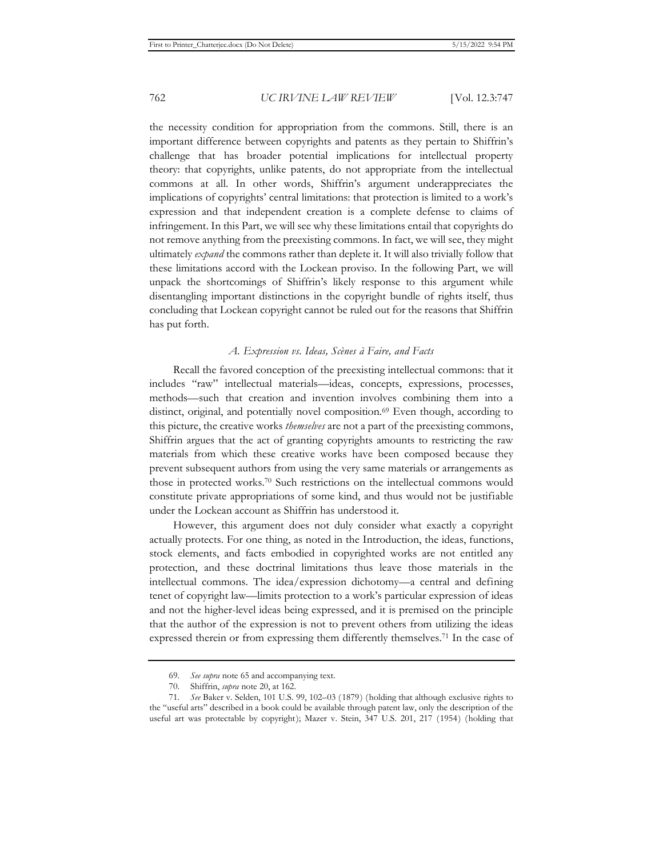the necessity condition for appropriation from the commons. Still, there is an important difference between copyrights and patents as they pertain to Shiffrin's challenge that has broader potential implications for intellectual property theory: that copyrights, unlike patents, do not appropriate from the intellectual commons at all. In other words, Shiffrin's argument underappreciates the implications of copyrights' central limitations: that protection is limited to a work's expression and that independent creation is a complete defense to claims of infringement. In this Part, we will see why these limitations entail that copyrights do not remove anything from the preexisting commons. In fact, we will see, they might ultimately *expand* the commons rather than deplete it. It will also trivially follow that these limitations accord with the Lockean proviso. In the following Part, we will unpack the shortcomings of Shiffrin's likely response to this argument while disentangling important distinctions in the copyright bundle of rights itself, thus concluding that Lockean copyright cannot be ruled out for the reasons that Shiffrin has put forth.

### *A. Expression vs. Ideas, Scènes à Faire, and Facts*

Recall the favored conception of the preexisting intellectual commons: that it includes "raw" intellectual materials—ideas, concepts, expressions, processes, methods—such that creation and invention involves combining them into a distinct, original, and potentially novel composition.69 Even though, according to this picture, the creative works *themselves* are not a part of the preexisting commons, Shiffrin argues that the act of granting copyrights amounts to restricting the raw materials from which these creative works have been composed because they prevent subsequent authors from using the very same materials or arrangements as those in protected works.70 Such restrictions on the intellectual commons would constitute private appropriations of some kind, and thus would not be justifiable under the Lockean account as Shiffrin has understood it.

However, this argument does not duly consider what exactly a copyright actually protects. For one thing, as noted in the Introduction, the ideas, functions, stock elements, and facts embodied in copyrighted works are not entitled any protection, and these doctrinal limitations thus leave those materials in the intellectual commons. The idea/expression dichotomy—a central and defining tenet of copyright law—limits protection to a work's particular expression of ideas and not the higher-level ideas being expressed, and it is premised on the principle that the author of the expression is not to prevent others from utilizing the ideas expressed therein or from expressing them differently themselves.<sup>71</sup> In the case of

<sup>69.</sup> *See supra* note 65 and accompanying text.

<sup>70.</sup> Shiffrin, *supra* note 20, at 162.

<sup>71.</sup> *See* Baker v. Selden, 101 U.S. 99, 102–03 (1879) (holding that although exclusive rights to the "useful arts" described in a book could be available through patent law, only the description of the useful art was protectable by copyright); Mazer v. Stein, 347 U.S. 201, 217 (1954) (holding that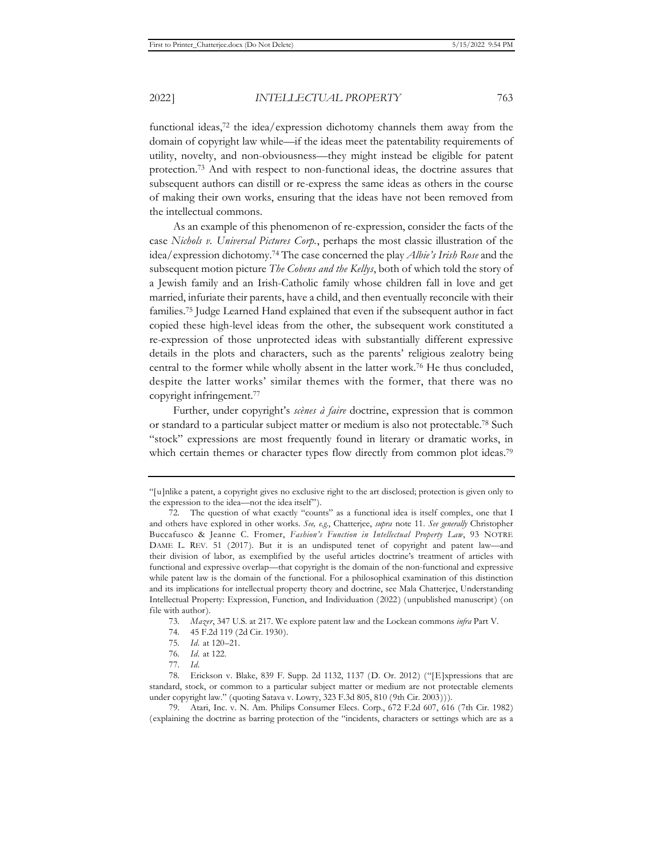functional ideas,72 the idea/expression dichotomy channels them away from the domain of copyright law while—if the ideas meet the patentability requirements of utility, novelty, and non-obviousness—they might instead be eligible for patent protection.73 And with respect to non-functional ideas, the doctrine assures that subsequent authors can distill or re-express the same ideas as others in the course of making their own works, ensuring that the ideas have not been removed from the intellectual commons.

As an example of this phenomenon of re-expression, consider the facts of the case *Nichols v. Universal Pictures Corp.*, perhaps the most classic illustration of the idea/expression dichotomy.74 The case concerned the play *Albie's Irish Rose* and the subsequent motion picture *The Cohens and the Kellys*, both of which told the story of a Jewish family and an Irish-Catholic family whose children fall in love and get married, infuriate their parents, have a child, and then eventually reconcile with their families.75 Judge Learned Hand explained that even if the subsequent author in fact copied these high-level ideas from the other, the subsequent work constituted a re-expression of those unprotected ideas with substantially different expressive details in the plots and characters, such as the parents' religious zealotry being central to the former while wholly absent in the latter work.76 He thus concluded, despite the latter works' similar themes with the former, that there was no copyright infringement.77

Further, under copyright's *scènes à faire* doctrine, expression that is common or standard to a particular subject matter or medium is also not protectable.78 Such "stock" expressions are most frequently found in literary or dramatic works, in which certain themes or character types flow directly from common plot ideas.<sup>79</sup>

<sup>&</sup>quot;[u]nlike a patent, a copyright gives no exclusive right to the art disclosed; protection is given only to the expression to the idea—not the idea itself").

<sup>72.</sup> The question of what exactly "counts" as a functional idea is itself complex, one that I and others have explored in other works. *See, e.g.*, Chatterjee, *supra* note 11. *See generally* Christopher Buccafusco & Jeanne C. Fromer, *Fashion's Function in Intellectual Property Law*, 93 NOTRE DAME L. REV. 51 (2017). But it is an undisputed tenet of copyright and patent law—and their division of labor, as exemplified by the useful articles doctrine's treatment of articles with functional and expressive overlap—that copyright is the domain of the non-functional and expressive while patent law is the domain of the functional. For a philosophical examination of this distinction and its implications for intellectual property theory and doctrine, see Mala Chatterjee, Understanding Intellectual Property: Expression, Function, and Individuation (2022) (unpublished manuscript) (on file with author).

<sup>73.</sup> *Mazer*, 347 U.S. at 217. We explore patent law and the Lockean commons *infra* Part V.

<sup>74. 45</sup> F.2d 119 (2d Cir. 1930).

<sup>75.</sup> *Id.* at 120–21.

<sup>76.</sup> *Id.* at 122.

<sup>77.</sup> *Id.*

<sup>78.</sup> Erickson v. Blake, 839 F. Supp. 2d 1132, 1137 (D. Or. 2012) ("[E]xpressions that are standard, stock, or common to a particular subject matter or medium are not protectable elements under copyright law." (quoting Satava v. Lowry, 323 F.3d 805, 810 (9th Cir. 2003))).

<sup>79.</sup> Atari, Inc. v. N. Am. Philips Consumer Elecs. Corp., 672 F.2d 607, 616 (7th Cir. 1982) (explaining the doctrine as barring protection of the "incidents, characters or settings which are as a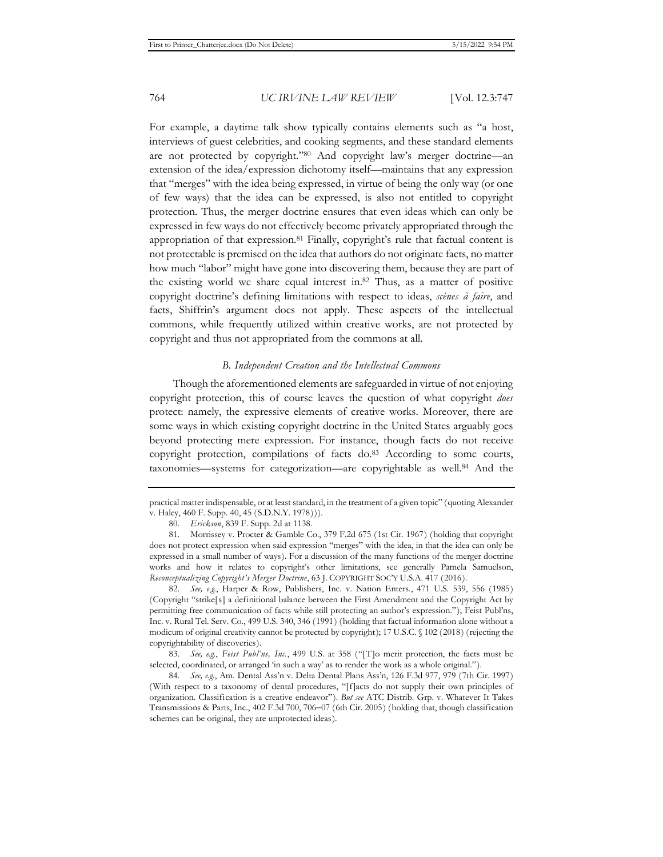For example, a daytime talk show typically contains elements such as "a host, interviews of guest celebrities, and cooking segments, and these standard elements are not protected by copyright."80 And copyright law's merger doctrine—an extension of the idea/expression dichotomy itself—maintains that any expression that "merges" with the idea being expressed, in virtue of being the only way (or one of few ways) that the idea can be expressed, is also not entitled to copyright protection. Thus, the merger doctrine ensures that even ideas which can only be expressed in few ways do not effectively become privately appropriated through the appropriation of that expression.81 Finally, copyright's rule that factual content is not protectable is premised on the idea that authors do not originate facts, no matter how much "labor" might have gone into discovering them, because they are part of the existing world we share equal interest in.82 Thus, as a matter of positive copyright doctrine's defining limitations with respect to ideas, *scènes à faire*, and facts, Shiffrin's argument does not apply. These aspects of the intellectual commons, while frequently utilized within creative works, are not protected by copyright and thus not appropriated from the commons at all.

#### *B. Independent Creation and the Intellectual Commons*

Though the aforementioned elements are safeguarded in virtue of not enjoying copyright protection, this of course leaves the question of what copyright *does* protect: namely, the expressive elements of creative works. Moreover, there are some ways in which existing copyright doctrine in the United States arguably goes beyond protecting mere expression. For instance, though facts do not receive copyright protection, compilations of facts do.83 According to some courts, taxonomies—systems for categorization—are copyrightable as well.84 And the

82. *See, e.g.*, Harper & Row, Publishers, Inc. v. Nation Enters., 471 U.S. 539, 556 (1985) (Copyright "strike[s] a definitional balance between the First Amendment and the Copyright Act by permitting free communication of facts while still protecting an author's expression."); Feist Publ'ns, Inc. v. Rural Tel. Serv. Co., 499 U.S. 340, 346 (1991) (holding that factual information alone without a modicum of original creativity cannot be protected by copyright); 17 U.S.C. § 102 (2018) (rejecting the copyrightability of discoveries).

83. *See, e.g.*, *Feist Publ'ns, Inc.*, 499 U.S. at 358 ("[T]o merit protection, the facts must be selected, coordinated, or arranged 'in such a way' as to render the work as a whole original.").

84. *See, e.g.*, Am. Dental Ass'n v. Delta Dental Plans Ass'n, 126 F.3d 977, 979 (7th Cir. 1997) (With respect to a taxonomy of dental procedures, "[f]acts do not supply their own principles of organization. Classification is a creative endeavor"). *But see* ATC Distrib. Grp. v. Whatever It Takes Transmissions & Parts, Inc., 402 F.3d 700, 706-07 (6th Cir. 2005) (holding that, though classification schemes can be original, they are unprotected ideas).

practical matter indispensable, or at least standard, in the treatment of a given topic" (quoting Alexander v. Haley, 460 F. Supp. 40, 45 (S.D.N.Y. 1978))).

<sup>80.</sup> *Erickson*, 839 F. Supp. 2d at 1138.

<sup>81.</sup> Morrissey v. Procter & Gamble Co., 379 F.2d 675 (1st Cir. 1967) (holding that copyright does not protect expression when said expression "merges" with the idea, in that the idea can only be expressed in a small number of ways). For a discussion of the many functions of the merger doctrine works and how it relates to copyright's other limitations, see generally Pamela Samuelson, *Reconceptualizing Copyright's Merger Doctrine*, 63 J. COPYRIGHT SOC'Y U.S.A. 417 (2016).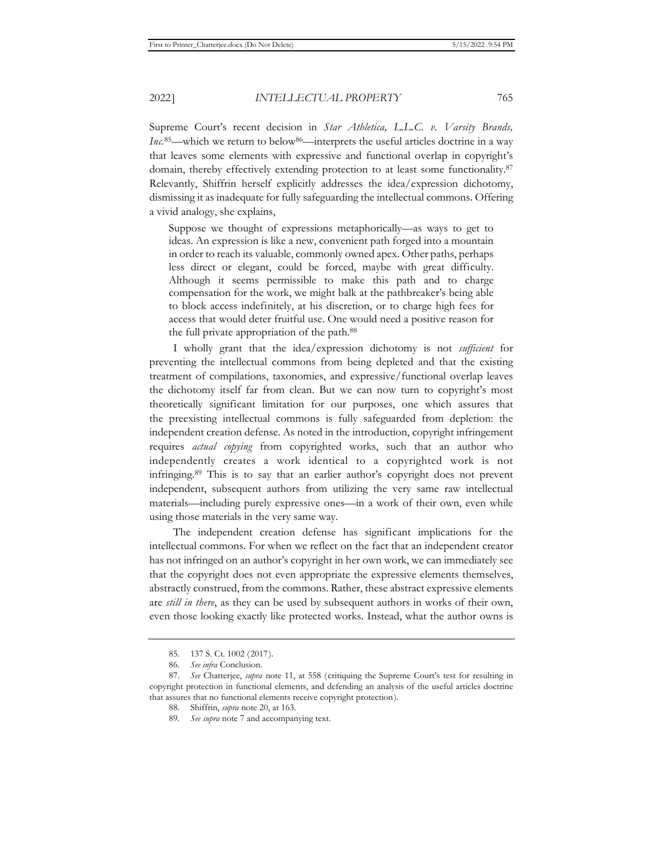Supreme Court's recent decision in *Star Athletica, L.L.C. v. Varsity Brands, Inc.*<sup>85</sup>—which we return to below<sup>86</sup>—interprets the useful articles doctrine in a way that leaves some elements with expressive and functional overlap in copyright's domain, thereby effectively extending protection to at least some functionality.<sup>87</sup> Relevantly, Shiffrin herself explicitly addresses the idea/expression dichotomy, dismissing it as inadequate for fully safeguarding the intellectual commons. Offering a vivid analogy, she explains,

Suppose we thought of expressions metaphorically—as ways to get to ideas. An expression is like a new, convenient path forged into a mountain in order to reach its valuable, commonly owned apex. Other paths, perhaps less direct or elegant, could be forced, maybe with great difficulty. Although it seems permissible to make this path and to charge compensation for the work, we might balk at the pathbreaker's being able to block access indefinitely, at his discretion, or to charge high fees for access that would deter fruitful use. One would need a positive reason for the full private appropriation of the path.88

I wholly grant that the idea/expression dichotomy is not *sufficient* for preventing the intellectual commons from being depleted and that the existing treatment of compilations, taxonomies, and expressive/functional overlap leaves the dichotomy itself far from clean. But we can now turn to copyright's most theoretically significant limitation for our purposes, one which assures that the preexisting intellectual commons is fully safeguarded from depletion: the independent creation defense. As noted in the introduction, copyright infringement requires *actual copying* from copyrighted works, such that an author who independently creates a work identical to a copyrighted work is not infringing.89 This is to say that an earlier author's copyright does not prevent independent, subsequent authors from utilizing the very same raw intellectual materials—including purely expressive ones—in a work of their own, even while using those materials in the very same way.

The independent creation defense has significant implications for the intellectual commons. For when we reflect on the fact that an independent creator has not infringed on an author's copyright in her own work, we can immediately see that the copyright does not even appropriate the expressive elements themselves, abstractly construed, from the commons. Rather, these abstract expressive elements are *still in there*, as they can be used by subsequent authors in works of their own, even those looking exactly like protected works. Instead, what the author owns is

<sup>85. 137</sup> S. Ct. 1002 (2017).

<sup>86.</sup> *See infra* Conclusion.

<sup>87.</sup> *See* Chatterjee, *supra* note 11, at 558 (critiquing the Supreme Court's test for resulting in copyright protection in functional elements, and defending an analysis of the useful articles doctrine that assures that no functional elements receive copyright protection).

<sup>88.</sup> Shiffrin, *supra* note 20, at 163.

<sup>89.</sup> *See supra* note 7 and accompanying text.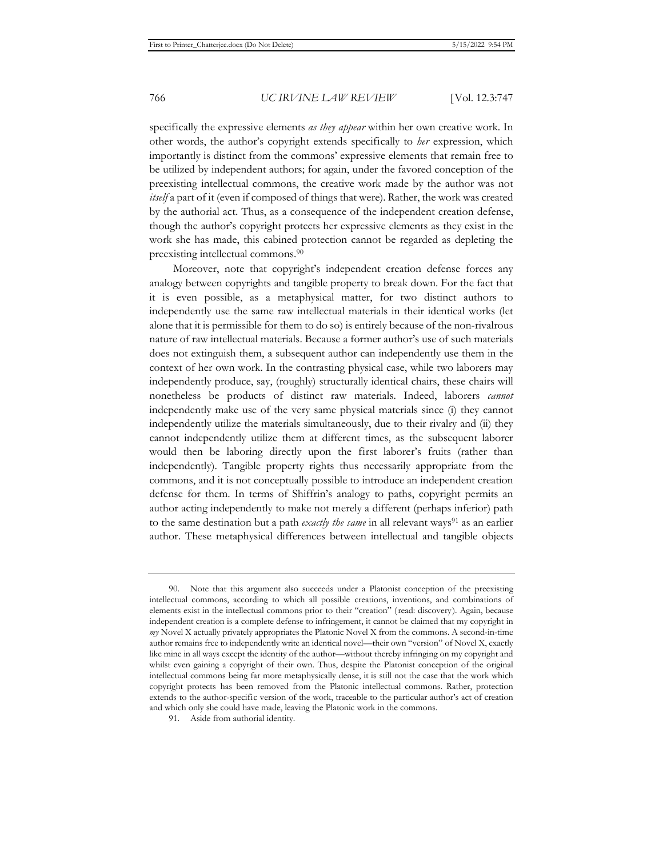specifically the expressive elements *as they appear* within her own creative work. In other words, the author's copyright extends specifically to *her* expression, which importantly is distinct from the commons' expressive elements that remain free to be utilized by independent authors; for again, under the favored conception of the preexisting intellectual commons, the creative work made by the author was not *itself* a part of it (even if composed of things that were). Rather, the work was created by the authorial act. Thus, as a consequence of the independent creation defense, though the author's copyright protects her expressive elements as they exist in the work she has made, this cabined protection cannot be regarded as depleting the preexisting intellectual commons.90

Moreover, note that copyright's independent creation defense forces any analogy between copyrights and tangible property to break down. For the fact that it is even possible, as a metaphysical matter, for two distinct authors to independently use the same raw intellectual materials in their identical works (let alone that it is permissible for them to do so) is entirely because of the non-rivalrous nature of raw intellectual materials. Because a former author's use of such materials does not extinguish them, a subsequent author can independently use them in the context of her own work. In the contrasting physical case, while two laborers may independently produce, say, (roughly) structurally identical chairs, these chairs will nonetheless be products of distinct raw materials. Indeed, laborers *cannot* independently make use of the very same physical materials since (i) they cannot independently utilize the materials simultaneously, due to their rivalry and (ii) they cannot independently utilize them at different times, as the subsequent laborer would then be laboring directly upon the first laborer's fruits (rather than independently). Tangible property rights thus necessarily appropriate from the commons, and it is not conceptually possible to introduce an independent creation defense for them. In terms of Shiffrin's analogy to paths, copyright permits an author acting independently to make not merely a different (perhaps inferior) path to the same destination but a path *exactly the same* in all relevant ways<sup>91</sup> as an earlier author. These metaphysical differences between intellectual and tangible objects

<sup>90.</sup> Note that this argument also succeeds under a Platonist conception of the preexisting intellectual commons, according to which all possible creations, inventions, and combinations of elements exist in the intellectual commons prior to their "creation" (read: discovery). Again, because independent creation is a complete defense to infringement, it cannot be claimed that my copyright in *my* Novel X actually privately appropriates the Platonic Novel X from the commons. A second-in-time author remains free to independently write an identical novel—their own "version" of Novel X, exactly like mine in all ways except the identity of the author—without thereby infringing on my copyright and whilst even gaining a copyright of their own. Thus, despite the Platonist conception of the original intellectual commons being far more metaphysically dense, it is still not the case that the work which copyright protects has been removed from the Platonic intellectual commons. Rather, protection extends to the author-specific version of the work, traceable to the particular author's act of creation and which only she could have made, leaving the Platonic work in the commons.

<sup>91.</sup> Aside from authorial identity.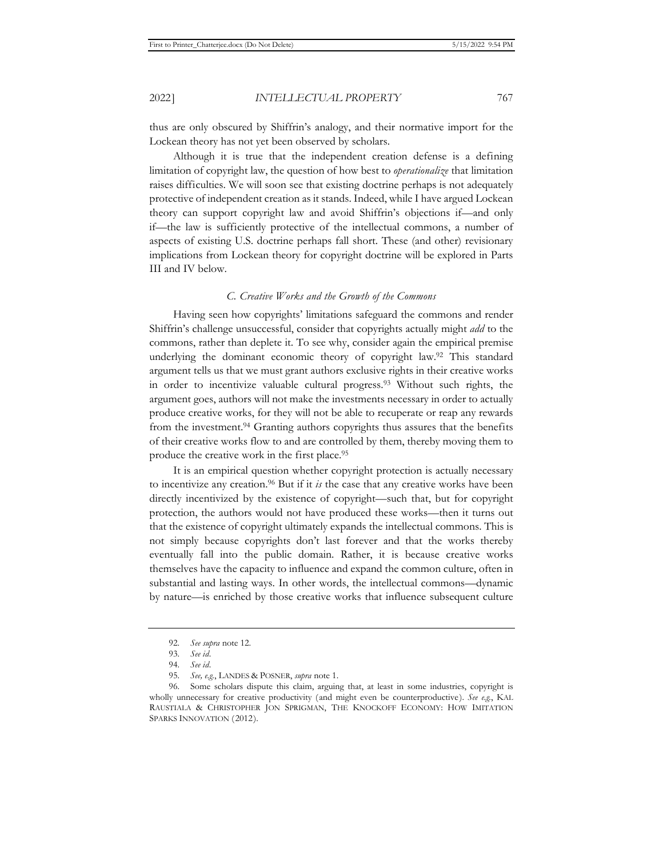thus are only obscured by Shiffrin's analogy, and their normative import for the Lockean theory has not yet been observed by scholars.

Although it is true that the independent creation defense is a defining limitation of copyright law, the question of how best to *operationalize* that limitation raises difficulties. We will soon see that existing doctrine perhaps is not adequately protective of independent creation as it stands. Indeed, while I have argued Lockean theory can support copyright law and avoid Shiffrin's objections if—and only if—the law is sufficiently protective of the intellectual commons, a number of aspects of existing U.S. doctrine perhaps fall short. These (and other) revisionary implications from Lockean theory for copyright doctrine will be explored in Parts III and IV below.

## *C. Creative Works and the Growth of the Commons*

Having seen how copyrights' limitations safeguard the commons and render Shiffrin's challenge unsuccessful, consider that copyrights actually might *add* to the commons, rather than deplete it. To see why, consider again the empirical premise underlying the dominant economic theory of copyright law.92 This standard argument tells us that we must grant authors exclusive rights in their creative works in order to incentivize valuable cultural progress.93 Without such rights, the argument goes, authors will not make the investments necessary in order to actually produce creative works, for they will not be able to recuperate or reap any rewards from the investment.94 Granting authors copyrights thus assures that the benefits of their creative works flow to and are controlled by them, thereby moving them to produce the creative work in the first place.95

It is an empirical question whether copyright protection is actually necessary to incentivize any creation.<sup>96</sup> But if it  $i<sub>s</sub>$  the case that any creative works have been directly incentivized by the existence of copyright—such that, but for copyright protection, the authors would not have produced these works—then it turns out that the existence of copyright ultimately expands the intellectual commons. This is not simply because copyrights don't last forever and that the works thereby eventually fall into the public domain. Rather, it is because creative works themselves have the capacity to influence and expand the common culture, often in substantial and lasting ways. In other words, the intellectual commons—dynamic by nature—is enriched by those creative works that influence subsequent culture

<sup>92.</sup> *See supra* note 12.

<sup>93.</sup> *See id.*

<sup>94.</sup> *See id.*

<sup>95.</sup> *See, e.g.*, LANDES & POSNER, *supra* note 1.

<sup>96.</sup> Some scholars dispute this claim, arguing that, at least in some industries, copyright is wholly unnecessary for creative productivity (and might even be counterproductive). *See e.g.*, KAL RAUSTIALA & CHRISTOPHER JON SPRIGMAN, THE KNOCKOFF ECONOMY: HOW IMITATION SPARKS INNOVATION (2012).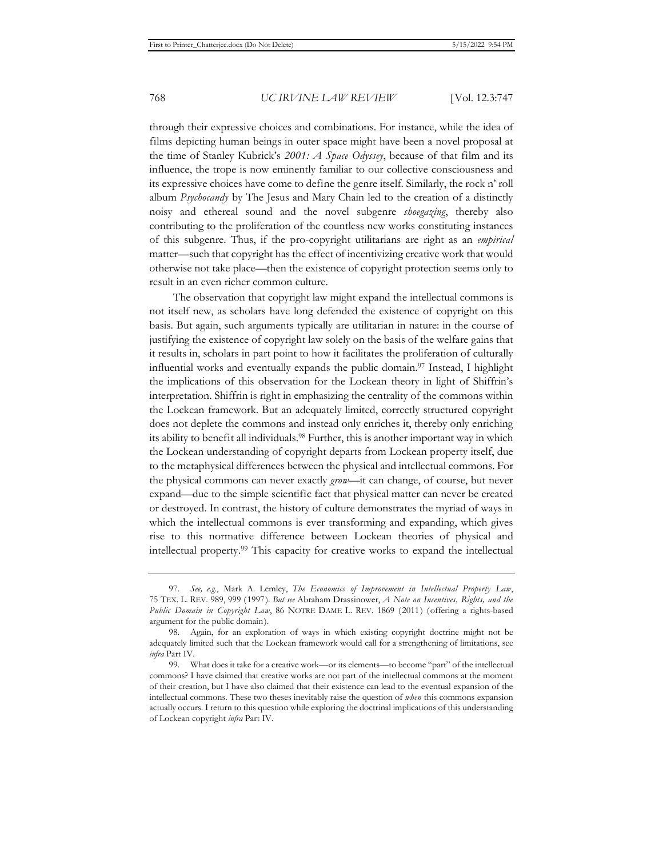through their expressive choices and combinations. For instance, while the idea of films depicting human beings in outer space might have been a novel proposal at the time of Stanley Kubrick's *2001: A Space Odyssey*, because of that film and its influence, the trope is now eminently familiar to our collective consciousness and its expressive choices have come to define the genre itself. Similarly, the rock n' roll album *Psychocandy* by The Jesus and Mary Chain led to the creation of a distinctly noisy and ethereal sound and the novel subgenre *shoegazing*, thereby also contributing to the proliferation of the countless new works constituting instances of this subgenre. Thus, if the pro-copyright utilitarians are right as an *empirical*  matter—such that copyright has the effect of incentivizing creative work that would otherwise not take place—then the existence of copyright protection seems only to result in an even richer common culture.

The observation that copyright law might expand the intellectual commons is not itself new, as scholars have long defended the existence of copyright on this basis. But again, such arguments typically are utilitarian in nature: in the course of justifying the existence of copyright law solely on the basis of the welfare gains that it results in, scholars in part point to how it facilitates the proliferation of culturally influential works and eventually expands the public domain.97 Instead, I highlight the implications of this observation for the Lockean theory in light of Shiffrin's interpretation. Shiffrin is right in emphasizing the centrality of the commons within the Lockean framework. But an adequately limited, correctly structured copyright does not deplete the commons and instead only enriches it, thereby only enriching its ability to benefit all individuals.<sup>98</sup> Further, this is another important way in which the Lockean understanding of copyright departs from Lockean property itself, due to the metaphysical differences between the physical and intellectual commons. For the physical commons can never exactly *grow*—it can change, of course, but never expand—due to the simple scientific fact that physical matter can never be created or destroyed. In contrast, the history of culture demonstrates the myriad of ways in which the intellectual commons is ever transforming and expanding, which gives rise to this normative difference between Lockean theories of physical and intellectual property.99 This capacity for creative works to expand the intellectual

<sup>97.</sup> *See, e.g.*, Mark A. Lemley, *The Economics of Improvement in Intellectual Property Law*, 75 TEX. L. REV. 989, 999 (1997). *But see* Abraham Drassinower, *A Note on Incentives, Rights, and the Public Domain in Copyright Law*, 86 NOTRE DAME L. REV. 1869 (2011) (offering a rights-based argument for the public domain).

<sup>98.</sup> Again, for an exploration of ways in which existing copyright doctrine might not be adequately limited such that the Lockean framework would call for a strengthening of limitations, see *infra* Part IV.

<sup>99.</sup> What does it take for a creative work—or its elements—to become "part" of the intellectual commons? I have claimed that creative works are not part of the intellectual commons at the moment of their creation, but I have also claimed that their existence can lead to the eventual expansion of the intellectual commons. These two theses inevitably raise the question of *when* this commons expansion actually occurs. I return to this question while exploring the doctrinal implications of this understanding of Lockean copyright *infra* Part IV.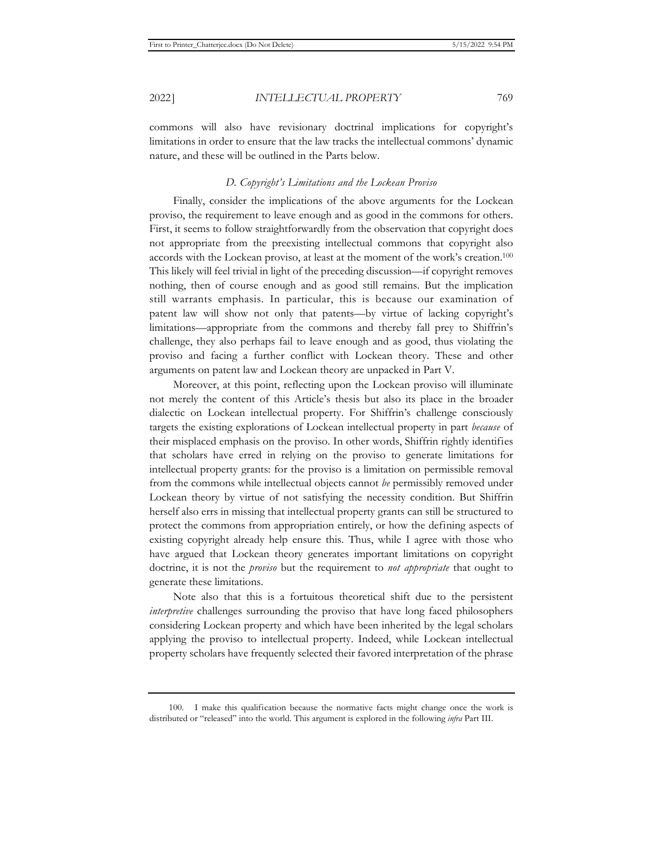commons will also have revisionary doctrinal implications for copyright's limitations in order to ensure that the law tracks the intellectual commons' dynamic nature, and these will be outlined in the Parts below.

#### *D. Copyright's Limitations and the Lockean Proviso*

Finally, consider the implications of the above arguments for the Lockean proviso, the requirement to leave enough and as good in the commons for others. First, it seems to follow straightforwardly from the observation that copyright does not appropriate from the preexisting intellectual commons that copyright also accords with the Lockean proviso, at least at the moment of the work's creation.100 This likely will feel trivial in light of the preceding discussion—if copyright removes nothing, then of course enough and as good still remains. But the implication still warrants emphasis. In particular, this is because our examination of patent law will show not only that patents—by virtue of lacking copyright's limitations—appropriate from the commons and thereby fall prey to Shiffrin's challenge, they also perhaps fail to leave enough and as good, thus violating the proviso and facing a further conflict with Lockean theory. These and other arguments on patent law and Lockean theory are unpacked in Part V.

Moreover, at this point, reflecting upon the Lockean proviso will illuminate not merely the content of this Article's thesis but also its place in the broader dialectic on Lockean intellectual property. For Shiffrin's challenge consciously targets the existing explorations of Lockean intellectual property in part *because* of their misplaced emphasis on the proviso. In other words, Shiffrin rightly identifies that scholars have erred in relying on the proviso to generate limitations for intellectual property grants: for the proviso is a limitation on permissible removal from the commons while intellectual objects cannot *be* permissibly removed under Lockean theory by virtue of not satisfying the necessity condition. But Shiffrin herself also errs in missing that intellectual property grants can still be structured to protect the commons from appropriation entirely, or how the defining aspects of existing copyright already help ensure this. Thus, while I agree with those who have argued that Lockean theory generates important limitations on copyright doctrine, it is not the *proviso* but the requirement to *not appropriate* that ought to generate these limitations.

Note also that this is a fortuitous theoretical shift due to the persistent *interpretive* challenges surrounding the proviso that have long faced philosophers considering Lockean property and which have been inherited by the legal scholars applying the proviso to intellectual property. Indeed, while Lockean intellectual property scholars have frequently selected their favored interpretation of the phrase

<sup>100.</sup> I make this qualification because the normative facts might change once the work is distributed or "released" into the world. This argument is explored in the following *infra* Part III.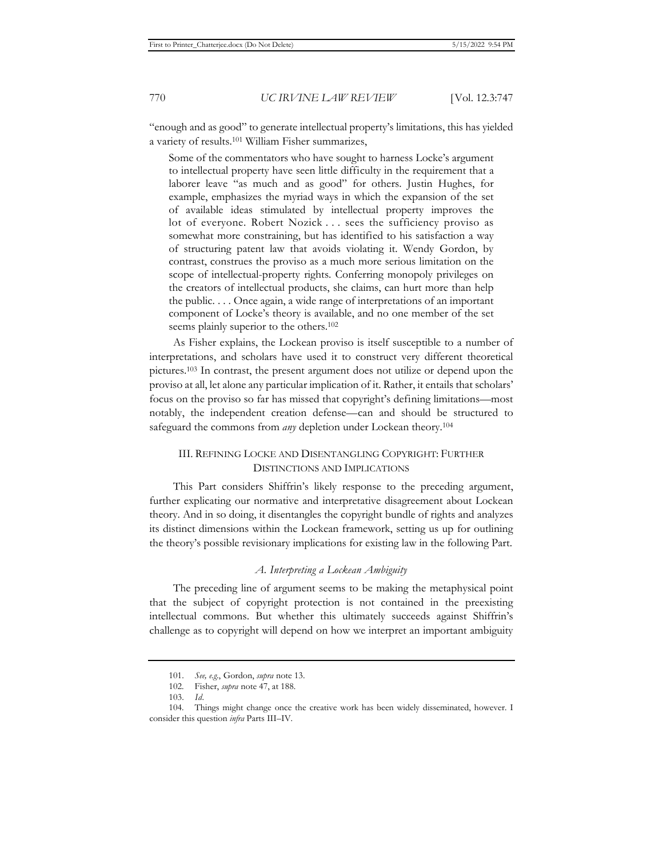"enough and as good" to generate intellectual property's limitations, this has yielded a variety of results.101 William Fisher summarizes,

Some of the commentators who have sought to harness Locke's argument to intellectual property have seen little difficulty in the requirement that a laborer leave "as much and as good" for others. Justin Hughes, for example, emphasizes the myriad ways in which the expansion of the set of available ideas stimulated by intellectual property improves the lot of everyone. Robert Nozick . . . sees the sufficiency proviso as somewhat more constraining, but has identified to his satisfaction a way of structuring patent law that avoids violating it. Wendy Gordon, by contrast, construes the proviso as a much more serious limitation on the scope of intellectual-property rights. Conferring monopoly privileges on the creators of intellectual products, she claims, can hurt more than help the public. . . . Once again, a wide range of interpretations of an important component of Locke's theory is available, and no one member of the set seems plainly superior to the others.<sup>102</sup>

As Fisher explains, the Lockean proviso is itself susceptible to a number of interpretations, and scholars have used it to construct very different theoretical pictures.103 In contrast, the present argument does not utilize or depend upon the proviso at all, let alone any particular implication of it. Rather, it entails that scholars' focus on the proviso so far has missed that copyright's defining limitations—most notably, the independent creation defense—can and should be structured to safeguard the commons from *any* depletion under Lockean theory.104

# III. REFINING LOCKE AND DISENTANGLING COPYRIGHT: FURTHER DISTINCTIONS AND IMPLICATIONS

This Part considers Shiffrin's likely response to the preceding argument, further explicating our normative and interpretative disagreement about Lockean theory. And in so doing, it disentangles the copyright bundle of rights and analyzes its distinct dimensions within the Lockean framework, setting us up for outlining the theory's possible revisionary implications for existing law in the following Part.

## *A. Interpreting a Lockean Ambiguity*

The preceding line of argument seems to be making the metaphysical point that the subject of copyright protection is not contained in the preexisting intellectual commons. But whether this ultimately succeeds against Shiffrin's challenge as to copyright will depend on how we interpret an important ambiguity

<sup>101.</sup> *See, e.g.*, Gordon, *supra* note 13.

<sup>102.</sup> Fisher, *supra* note 47, at 188.

<sup>103.</sup> *Id.*

<sup>104.</sup> Things might change once the creative work has been widely disseminated, however. I consider this question *infra* Parts III–IV.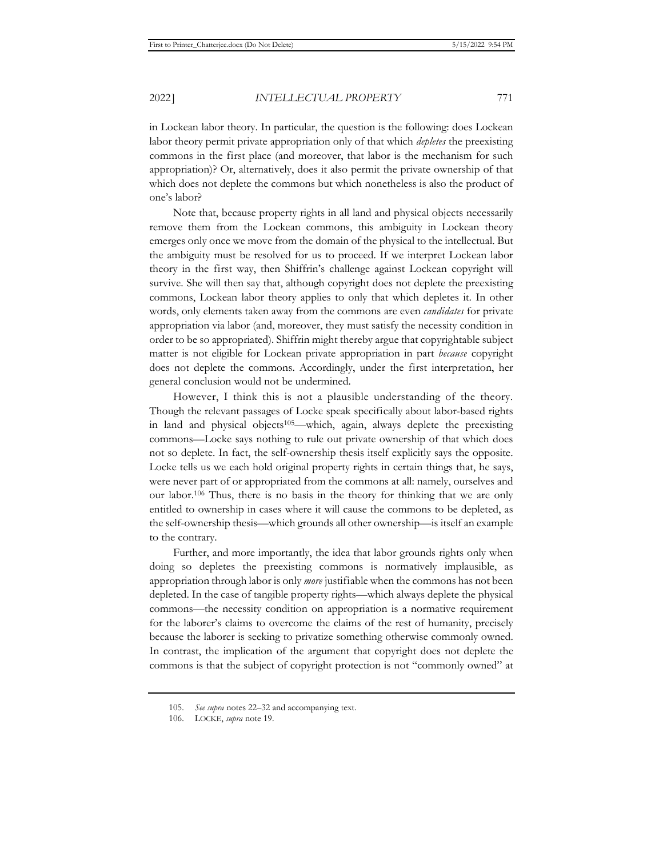in Lockean labor theory. In particular, the question is the following: does Lockean labor theory permit private appropriation only of that which *depletes* the preexisting commons in the first place (and moreover, that labor is the mechanism for such appropriation)? Or, alternatively, does it also permit the private ownership of that which does not deplete the commons but which nonetheless is also the product of one's labor?

Note that, because property rights in all land and physical objects necessarily remove them from the Lockean commons, this ambiguity in Lockean theory emerges only once we move from the domain of the physical to the intellectual. But the ambiguity must be resolved for us to proceed. If we interpret Lockean labor theory in the first way, then Shiffrin's challenge against Lockean copyright will survive. She will then say that, although copyright does not deplete the preexisting commons, Lockean labor theory applies to only that which depletes it. In other words, only elements taken away from the commons are even *candidates* for private appropriation via labor (and, moreover, they must satisfy the necessity condition in order to be so appropriated). Shiffrin might thereby argue that copyrightable subject matter is not eligible for Lockean private appropriation in part *because* copyright does not deplete the commons. Accordingly, under the first interpretation, her general conclusion would not be undermined.

However, I think this is not a plausible understanding of the theory. Though the relevant passages of Locke speak specifically about labor-based rights in land and physical objects105—which, again, always deplete the preexisting commons—Locke says nothing to rule out private ownership of that which does not so deplete. In fact, the self-ownership thesis itself explicitly says the opposite. Locke tells us we each hold original property rights in certain things that, he says, were never part of or appropriated from the commons at all: namely, ourselves and our labor.106 Thus, there is no basis in the theory for thinking that we are only entitled to ownership in cases where it will cause the commons to be depleted, as the self-ownership thesis—which grounds all other ownership—is itself an example to the contrary.

Further, and more importantly, the idea that labor grounds rights only when doing so depletes the preexisting commons is normatively implausible, as appropriation through labor is only *more* justifiable when the commons has not been depleted. In the case of tangible property rights—which always deplete the physical commons—the necessity condition on appropriation is a normative requirement for the laborer's claims to overcome the claims of the rest of humanity, precisely because the laborer is seeking to privatize something otherwise commonly owned. In contrast, the implication of the argument that copyright does not deplete the commons is that the subject of copyright protection is not "commonly owned" at

<sup>105.</sup> *See supra* notes 22–32 and accompanying text.

<sup>106.</sup> LOCKE, *supra* note 19.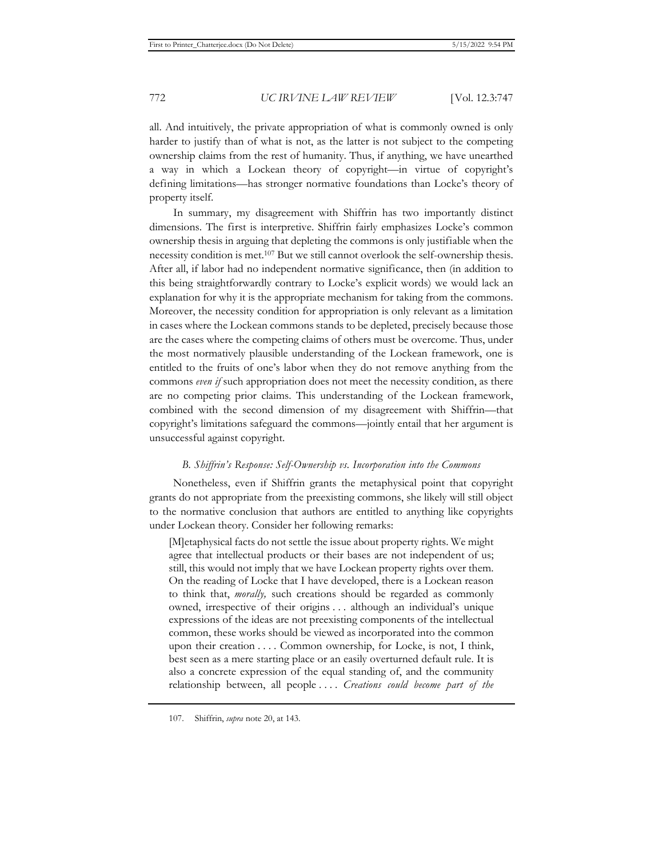all. And intuitively, the private appropriation of what is commonly owned is only harder to justify than of what is not, as the latter is not subject to the competing ownership claims from the rest of humanity. Thus, if anything, we have unearthed a way in which a Lockean theory of copyright—in virtue of copyright's defining limitations—has stronger normative foundations than Locke's theory of property itself.

In summary, my disagreement with Shiffrin has two importantly distinct dimensions. The first is interpretive. Shiffrin fairly emphasizes Locke's common ownership thesis in arguing that depleting the commons is only justifiable when the necessity condition is met.107 But we still cannot overlook the self-ownership thesis. After all, if labor had no independent normative significance, then (in addition to this being straightforwardly contrary to Locke's explicit words) we would lack an explanation for why it is the appropriate mechanism for taking from the commons. Moreover, the necessity condition for appropriation is only relevant as a limitation in cases where the Lockean commons stands to be depleted, precisely because those are the cases where the competing claims of others must be overcome. Thus, under the most normatively plausible understanding of the Lockean framework, one is entitled to the fruits of one's labor when they do not remove anything from the commons *even if* such appropriation does not meet the necessity condition, as there are no competing prior claims. This understanding of the Lockean framework, combined with the second dimension of my disagreement with Shiffrin—that copyright's limitations safeguard the commons—jointly entail that her argument is unsuccessful against copyright.

### *B. Shiffrin's Response: Self-Ownership vs. Incorporation into the Commons*

Nonetheless, even if Shiffrin grants the metaphysical point that copyright grants do not appropriate from the preexisting commons, she likely will still object to the normative conclusion that authors are entitled to anything like copyrights under Lockean theory. Consider her following remarks:

[M]etaphysical facts do not settle the issue about property rights. We might agree that intellectual products or their bases are not independent of us; still, this would not imply that we have Lockean property rights over them. On the reading of Locke that I have developed, there is a Lockean reason to think that, *morally,* such creations should be regarded as commonly owned, irrespective of their origins . . . although an individual's unique expressions of the ideas are not preexisting components of the intellectual common, these works should be viewed as incorporated into the common upon their creation . . . . Common ownership, for Locke, is not, I think, best seen as a mere starting place or an easily overturned default rule. It is also a concrete expression of the equal standing of, and the community relationship between, all people . . . . *Creations could become part of the* 

<sup>107.</sup> Shiffrin, *supra* note 20, at 143.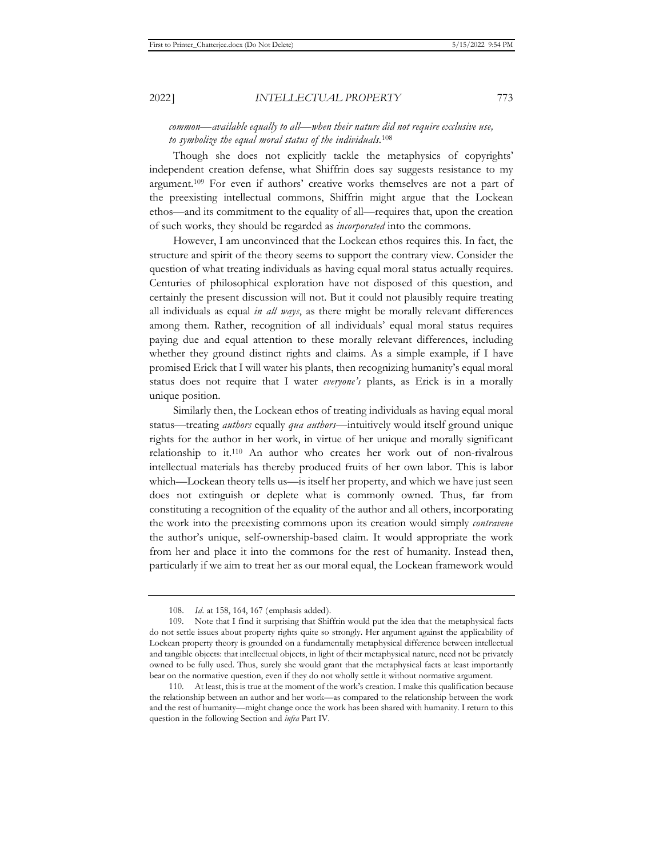# *common—available equally to all—when their nature did not require exclusive use, to symbolize the equal moral status of the individuals.*<sup>108</sup>

Though she does not explicitly tackle the metaphysics of copyrights' independent creation defense, what Shiffrin does say suggests resistance to my argument.109 For even if authors' creative works themselves are not a part of the preexisting intellectual commons, Shiffrin might argue that the Lockean ethos—and its commitment to the equality of all—requires that, upon the creation of such works, they should be regarded as *incorporated* into the commons.

However, I am unconvinced that the Lockean ethos requires this. In fact, the structure and spirit of the theory seems to support the contrary view. Consider the question of what treating individuals as having equal moral status actually requires. Centuries of philosophical exploration have not disposed of this question, and certainly the present discussion will not. But it could not plausibly require treating all individuals as equal *in all ways*, as there might be morally relevant differences among them. Rather, recognition of all individuals' equal moral status requires paying due and equal attention to these morally relevant differences, including whether they ground distinct rights and claims. As a simple example, if I have promised Erick that I will water his plants, then recognizing humanity's equal moral status does not require that I water *everyone's* plants, as Erick is in a morally unique position.

Similarly then, the Lockean ethos of treating individuals as having equal moral status—treating *authors* equally *qua authors*—intuitively would itself ground unique rights for the author in her work, in virtue of her unique and morally significant relationship to it.110 An author who creates her work out of non-rivalrous intellectual materials has thereby produced fruits of her own labor. This is labor which—Lockean theory tells us—is itself her property, and which we have just seen does not extinguish or deplete what is commonly owned. Thus, far from constituting a recognition of the equality of the author and all others, incorporating the work into the preexisting commons upon its creation would simply *contravene* the author's unique, self-ownership-based claim. It would appropriate the work from her and place it into the commons for the rest of humanity. Instead then, particularly if we aim to treat her as our moral equal, the Lockean framework would

<sup>108.</sup> *Id.* at 158, 164, 167 (emphasis added).

<sup>109.</sup> Note that I find it surprising that Shiffrin would put the idea that the metaphysical facts do not settle issues about property rights quite so strongly. Her argument against the applicability of Lockean property theory is grounded on a fundamentally metaphysical difference between intellectual and tangible objects: that intellectual objects, in light of their metaphysical nature, need not be privately owned to be fully used. Thus, surely she would grant that the metaphysical facts at least importantly bear on the normative question, even if they do not wholly settle it without normative argument.

<sup>110.</sup> At least, this is true at the moment of the work's creation. I make this qualification because the relationship between an author and her work—as compared to the relationship between the work and the rest of humanity—might change once the work has been shared with humanity. I return to this question in the following Section and *infra* Part IV.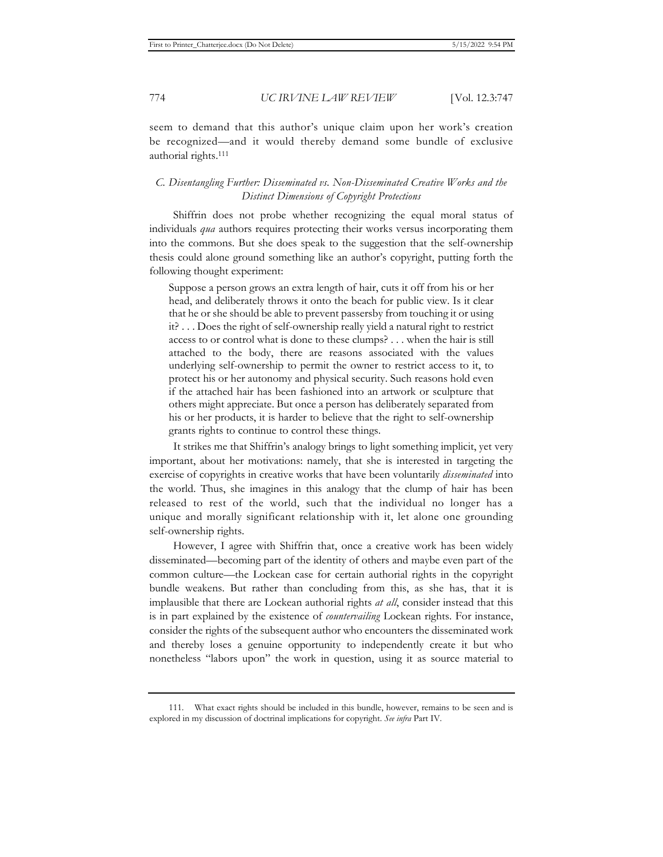seem to demand that this author's unique claim upon her work's creation be recognized—and it would thereby demand some bundle of exclusive authorial rights.111

# *C. Disentangling Further: Disseminated vs. Non-Disseminated Creative Works and the Distinct Dimensions of Copyright Protections*

Shiffrin does not probe whether recognizing the equal moral status of individuals *qua* authors requires protecting their works versus incorporating them into the commons. But she does speak to the suggestion that the self-ownership thesis could alone ground something like an author's copyright, putting forth the following thought experiment:

Suppose a person grows an extra length of hair, cuts it off from his or her head, and deliberately throws it onto the beach for public view. Is it clear that he or she should be able to prevent passersby from touching it or using it? . . . Does the right of self-ownership really yield a natural right to restrict access to or control what is done to these clumps? . . . when the hair is still attached to the body, there are reasons associated with the values underlying self-ownership to permit the owner to restrict access to it, to protect his or her autonomy and physical security. Such reasons hold even if the attached hair has been fashioned into an artwork or sculpture that others might appreciate. But once a person has deliberately separated from his or her products, it is harder to believe that the right to self-ownership grants rights to continue to control these things.

It strikes me that Shiffrin's analogy brings to light something implicit, yet very important, about her motivations: namely, that she is interested in targeting the exercise of copyrights in creative works that have been voluntarily *disseminated* into the world. Thus, she imagines in this analogy that the clump of hair has been released to rest of the world, such that the individual no longer has a unique and morally significant relationship with it, let alone one grounding self-ownership rights.

However, I agree with Shiffrin that, once a creative work has been widely disseminated—becoming part of the identity of others and maybe even part of the common culture—the Lockean case for certain authorial rights in the copyright bundle weakens. But rather than concluding from this, as she has, that it is implausible that there are Lockean authorial rights *at all*, consider instead that this is in part explained by the existence of *countervailing* Lockean rights. For instance, consider the rights of the subsequent author who encounters the disseminated work and thereby loses a genuine opportunity to independently create it but who nonetheless "labors upon" the work in question, using it as source material to

<sup>111.</sup> What exact rights should be included in this bundle, however, remains to be seen and is explored in my discussion of doctrinal implications for copyright. *See infra* Part IV.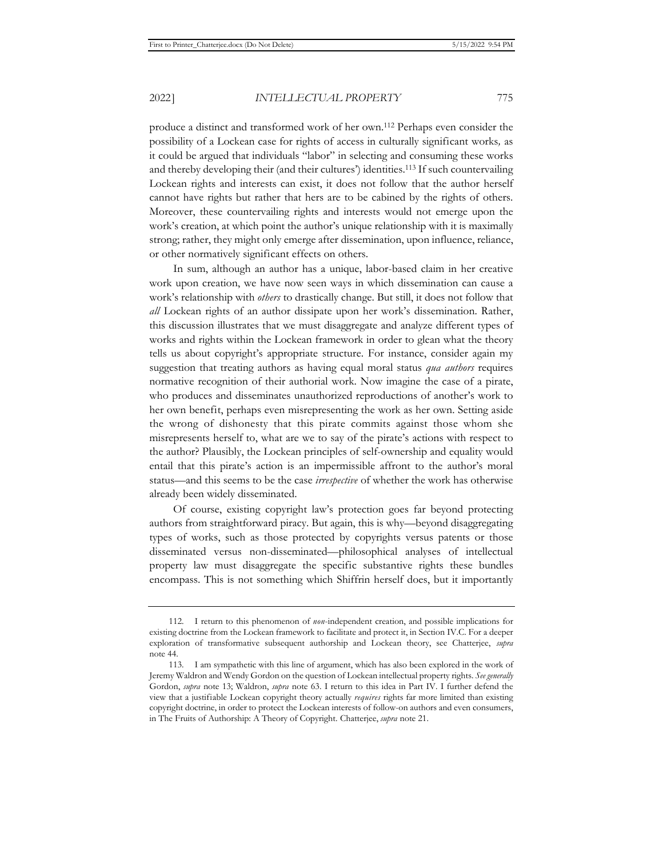produce a distinct and transformed work of her own.112 Perhaps even consider the possibility of a Lockean case for rights of access in culturally significant works*,* as it could be argued that individuals "labor" in selecting and consuming these works and thereby developing their (and their cultures') identities.113 If such countervailing Lockean rights and interests can exist, it does not follow that the author herself cannot have rights but rather that hers are to be cabined by the rights of others. Moreover, these countervailing rights and interests would not emerge upon the work's creation, at which point the author's unique relationship with it is maximally strong; rather, they might only emerge after dissemination, upon influence, reliance, or other normatively significant effects on others.

In sum, although an author has a unique, labor-based claim in her creative work upon creation, we have now seen ways in which dissemination can cause a work's relationship with *others* to drastically change. But still, it does not follow that *all* Lockean rights of an author dissipate upon her work's dissemination. Rather, this discussion illustrates that we must disaggregate and analyze different types of works and rights within the Lockean framework in order to glean what the theory tells us about copyright's appropriate structure. For instance, consider again my suggestion that treating authors as having equal moral status *qua authors* requires normative recognition of their authorial work. Now imagine the case of a pirate, who produces and disseminates unauthorized reproductions of another's work to her own benefit, perhaps even misrepresenting the work as her own. Setting aside the wrong of dishonesty that this pirate commits against those whom she misrepresents herself to, what are we to say of the pirate's actions with respect to the author? Plausibly, the Lockean principles of self-ownership and equality would entail that this pirate's action is an impermissible affront to the author's moral status—and this seems to be the case *irrespective* of whether the work has otherwise already been widely disseminated.

Of course, existing copyright law's protection goes far beyond protecting authors from straightforward piracy. But again, this is why—beyond disaggregating types of works, such as those protected by copyrights versus patents or those disseminated versus non-disseminated—philosophical analyses of intellectual property law must disaggregate the specific substantive rights these bundles encompass. This is not something which Shiffrin herself does, but it importantly

<sup>112.</sup> I return to this phenomenon of *non*-independent creation, and possible implications for existing doctrine from the Lockean framework to facilitate and protect it, in Section IV.C. For a deeper exploration of transformative subsequent authorship and Lockean theory, see Chatterjee, *supra*  note 44.

<sup>113.</sup> I am sympathetic with this line of argument, which has also been explored in the work of Jeremy Waldron and Wendy Gordon on the question of Lockean intellectual property rights. *See generally*  Gordon, *supra* note 13; Waldron, *supra* note 63. I return to this idea in Part IV. I further defend the view that a justifiable Lockean copyright theory actually *requires* rights far more limited than existing copyright doctrine, in order to protect the Lockean interests of follow-on authors and even consumers, in The Fruits of Authorship: A Theory of Copyright. Chatterjee, *supra* note 21.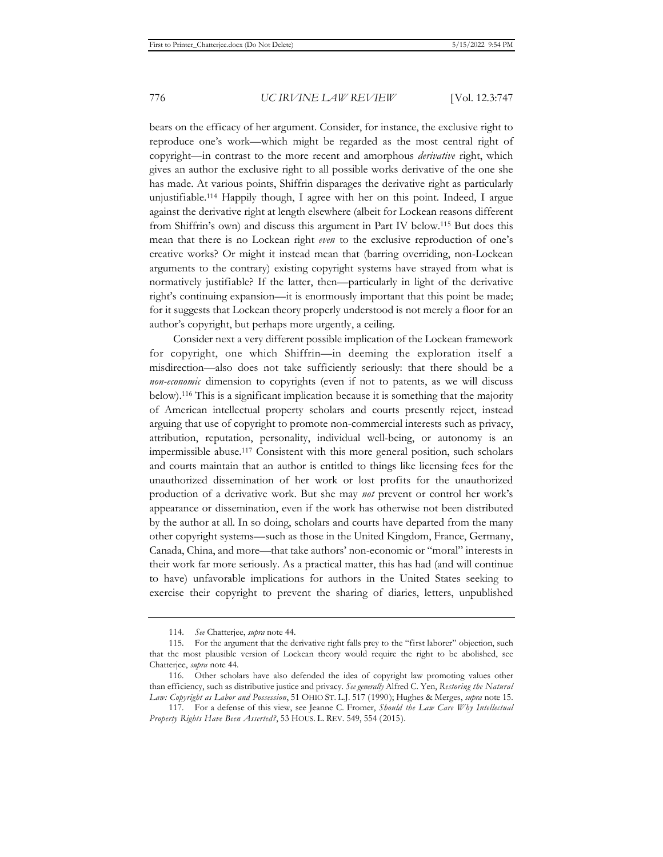bears on the efficacy of her argument. Consider, for instance, the exclusive right to reproduce one's work—which might be regarded as the most central right of copyright—in contrast to the more recent and amorphous *derivative* right, which gives an author the exclusive right to all possible works derivative of the one she has made. At various points, Shiffrin disparages the derivative right as particularly unjustifiable.114 Happily though, I agree with her on this point. Indeed, I argue against the derivative right at length elsewhere (albeit for Lockean reasons different from Shiffrin's own) and discuss this argument in Part IV below.115 But does this mean that there is no Lockean right *even* to the exclusive reproduction of one's creative works? Or might it instead mean that (barring overriding, non-Lockean arguments to the contrary) existing copyright systems have strayed from what is normatively justifiable? If the latter, then—particularly in light of the derivative right's continuing expansion—it is enormously important that this point be made; for it suggests that Lockean theory properly understood is not merely a floor for an author's copyright, but perhaps more urgently, a ceiling.

Consider next a very different possible implication of the Lockean framework for copyright, one which Shiffrin—in deeming the exploration itself a misdirection—also does not take sufficiently seriously: that there should be a *non-economic* dimension to copyrights (even if not to patents, as we will discuss below).116 This is a significant implication because it is something that the majority of American intellectual property scholars and courts presently reject, instead arguing that use of copyright to promote non-commercial interests such as privacy, attribution, reputation, personality, individual well-being, or autonomy is an impermissible abuse.117 Consistent with this more general position, such scholars and courts maintain that an author is entitled to things like licensing fees for the unauthorized dissemination of her work or lost profits for the unauthorized production of a derivative work. But she may *not* prevent or control her work's appearance or dissemination, even if the work has otherwise not been distributed by the author at all. In so doing, scholars and courts have departed from the many other copyright systems—such as those in the United Kingdom, France, Germany, Canada, China, and more—that take authors' non-economic or "moral" interests in their work far more seriously. As a practical matter, this has had (and will continue to have) unfavorable implications for authors in the United States seeking to exercise their copyright to prevent the sharing of diaries, letters, unpublished

<sup>114.</sup> *See* Chatterjee, *supra* note 44.

<sup>115.</sup> For the argument that the derivative right falls prey to the "first laborer" objection, such that the most plausible version of Lockean theory would require the right to be abolished, see Chatterjee, *supra* note 44.

<sup>116.</sup> Other scholars have also defended the idea of copyright law promoting values other than efficiency, such as distributive justice and privacy. *See generally* Alfred C. Yen, *Restoring the Natural Law: Copyright as Labor and Possession*, 51 OHIO ST. L.J. 517 (1990); Hughes & Merges, *supra* note 15.

<sup>117.</sup> For a defense of this view, see Jeanne C. Fromer, *Should the Law Care Why Intellectual Property Rights Have Been Asserted?*, 53 HOUS. L. REV. 549, 554 (2015).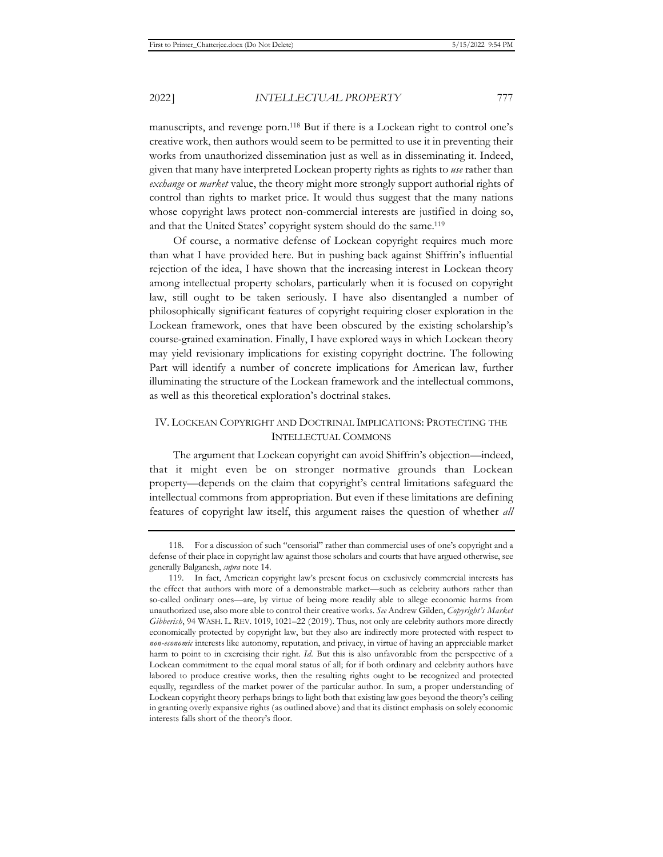manuscripts, and revenge porn.118 But if there is a Lockean right to control one's creative work, then authors would seem to be permitted to use it in preventing their works from unauthorized dissemination just as well as in disseminating it. Indeed, given that many have interpreted Lockean property rights as rights to *use* rather than *exchange* or *market* value, the theory might more strongly support authorial rights of control than rights to market price. It would thus suggest that the many nations whose copyright laws protect non-commercial interests are justified in doing so, and that the United States' copyright system should do the same.<sup>119</sup>

Of course, a normative defense of Lockean copyright requires much more than what I have provided here. But in pushing back against Shiffrin's influential rejection of the idea, I have shown that the increasing interest in Lockean theory among intellectual property scholars, particularly when it is focused on copyright law, still ought to be taken seriously. I have also disentangled a number of philosophically significant features of copyright requiring closer exploration in the Lockean framework, ones that have been obscured by the existing scholarship's course-grained examination. Finally, I have explored ways in which Lockean theory may yield revisionary implications for existing copyright doctrine. The following Part will identify a number of concrete implications for American law, further illuminating the structure of the Lockean framework and the intellectual commons, as well as this theoretical exploration's doctrinal stakes.

# IV. LOCKEAN COPYRIGHT AND DOCTRINAL IMPLICATIONS: PROTECTING THE INTELLECTUAL COMMONS

The argument that Lockean copyright can avoid Shiffrin's objection—indeed, that it might even be on stronger normative grounds than Lockean property—depends on the claim that copyright's central limitations safeguard the intellectual commons from appropriation. But even if these limitations are defining features of copyright law itself, this argument raises the question of whether *all*

<sup>118.</sup> For a discussion of such "censorial" rather than commercial uses of one's copyright and a defense of their place in copyright law against those scholars and courts that have argued otherwise, see generally Balganesh, *supra* note 14.

<sup>119.</sup> In fact, American copyright law's present focus on exclusively commercial interests has the effect that authors with more of a demonstrable market—such as celebrity authors rather than so-called ordinary ones—are, by virtue of being more readily able to allege economic harms from unauthorized use, also more able to control their creative works. *See* Andrew Gilden, *Copyright's Market Gibberish*, 94 WASH. L. REV. 1019, 1021–22 (2019). Thus, not only are celebrity authors more directly economically protected by copyright law, but they also are indirectly more protected with respect to *non-economic* interests like autonomy, reputation, and privacy, in virtue of having an appreciable market harm to point to in exercising their right. *Id.* But this is also unfavorable from the perspective of a Lockean commitment to the equal moral status of all; for if both ordinary and celebrity authors have labored to produce creative works, then the resulting rights ought to be recognized and protected equally, regardless of the market power of the particular author. In sum, a proper understanding of Lockean copyright theory perhaps brings to light both that existing law goes beyond the theory's ceiling in granting overly expansive rights (as outlined above) and that its distinct emphasis on solely economic interests falls short of the theory's floor.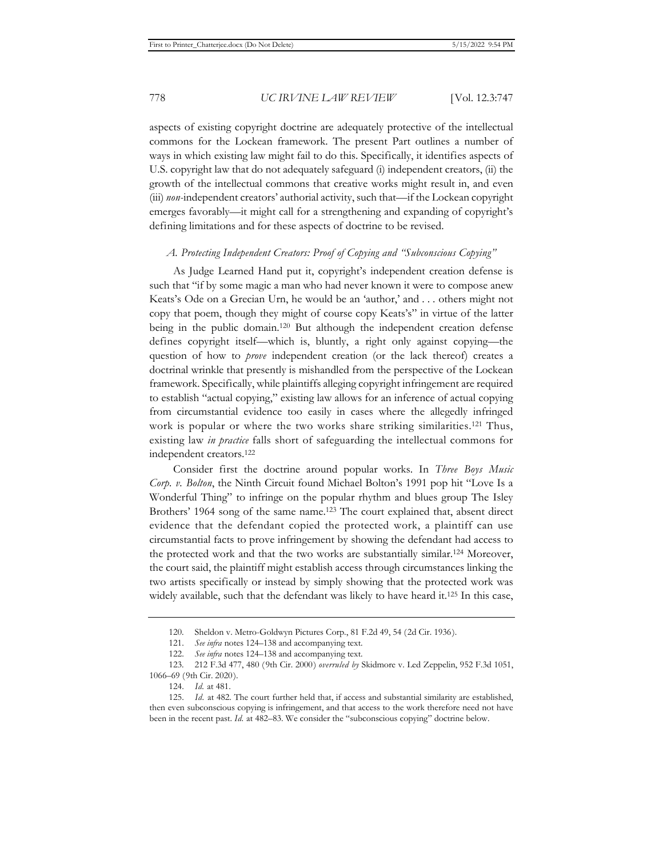aspects of existing copyright doctrine are adequately protective of the intellectual commons for the Lockean framework. The present Part outlines a number of ways in which existing law might fail to do this. Specifically, it identifies aspects of U.S. copyright law that do not adequately safeguard (i) independent creators, (ii) the growth of the intellectual commons that creative works might result in, and even (iii) *non-*independent creators' authorial activity, such that—if the Lockean copyright emerges favorably—it might call for a strengthening and expanding of copyright's defining limitations and for these aspects of doctrine to be revised.

### *A. Protecting Independent Creators: Proof of Copying and "Subconscious Copying"*

As Judge Learned Hand put it, copyright's independent creation defense is such that "if by some magic a man who had never known it were to compose anew Keats's Ode on a Grecian Urn, he would be an 'author,' and . . . others might not copy that poem, though they might of course copy Keats's" in virtue of the latter being in the public domain.120 But although the independent creation defense defines copyright itself—which is, bluntly, a right only against copying—the question of how to *prove* independent creation (or the lack thereof) creates a doctrinal wrinkle that presently is mishandled from the perspective of the Lockean framework. Specifically, while plaintiffs alleging copyright infringement are required to establish "actual copying," existing law allows for an inference of actual copying from circumstantial evidence too easily in cases where the allegedly infringed work is popular or where the two works share striking similarities.121 Thus, existing law *in practice* falls short of safeguarding the intellectual commons for independent creators.122

Consider first the doctrine around popular works. In *Three Boys Music Corp. v. Bolton*, the Ninth Circuit found Michael Bolton's 1991 pop hit "Love Is a Wonderful Thing" to infringe on the popular rhythm and blues group The Isley Brothers' 1964 song of the same name.<sup>123</sup> The court explained that, absent direct evidence that the defendant copied the protected work, a plaintiff can use circumstantial facts to prove infringement by showing the defendant had access to the protected work and that the two works are substantially similar.124 Moreover, the court said, the plaintiff might establish access through circumstances linking the two artists specifically or instead by simply showing that the protected work was widely available, such that the defendant was likely to have heard it.<sup>125</sup> In this case,

<sup>120.</sup> Sheldon v. Metro-Goldwyn Pictures Corp., 81 F.2d 49, 54 (2d Cir. 1936).

<sup>121.</sup> *See infra* notes 124–138 and accompanying text.

<sup>122.</sup> *See infra* notes 124–138 and accompanying text.

<sup>123. 212</sup> F.3d 477, 480 (9th Cir. 2000) *overruled by* Skidmore v. Led Zeppelin, 952 F.3d 1051, 1066–69 (9th Cir. 2020).

<sup>124.</sup> *Id.* at 481.

<sup>125.</sup> *Id.* at 482. The court further held that, if access and substantial similarity are established, then even subconscious copying is infringement, and that access to the work therefore need not have been in the recent past. *Id.* at 482–83. We consider the "subconscious copying" doctrine below.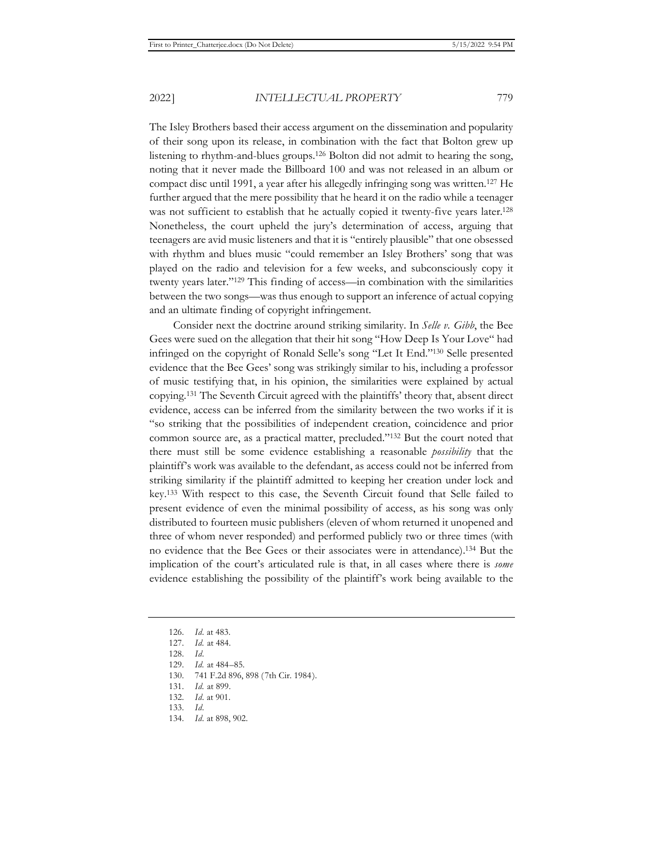The Isley Brothers based their access argument on the dissemination and popularity of their song upon its release, in combination with the fact that Bolton grew up listening to rhythm-and-blues groups.126 Bolton did not admit to hearing the song, noting that it never made the Billboard 100 and was not released in an album or compact disc until 1991, a year after his allegedly infringing song was written.127 He further argued that the mere possibility that he heard it on the radio while a teenager was not sufficient to establish that he actually copied it twenty-five years later.<sup>128</sup> Nonetheless, the court upheld the jury's determination of access, arguing that teenagers are avid music listeners and that it is "entirely plausible" that one obsessed with rhythm and blues music "could remember an Isley Brothers' song that was played on the radio and television for a few weeks, and subconsciously copy it twenty years later."129 This finding of access—in combination with the similarities between the two songs—was thus enough to support an inference of actual copying and an ultimate finding of copyright infringement.

Consider next the doctrine around striking similarity. In *Selle v. Gibb*, the Bee Gees were sued on the allegation that their hit song "How Deep Is Your Love" had infringed on the copyright of Ronald Selle's song "Let It End."130 Selle presented evidence that the Bee Gees' song was strikingly similar to his, including a professor of music testifying that, in his opinion, the similarities were explained by actual copying.131 The Seventh Circuit agreed with the plaintiffs' theory that, absent direct evidence, access can be inferred from the similarity between the two works if it is "so striking that the possibilities of independent creation, coincidence and prior common source are, as a practical matter, precluded."132 But the court noted that there must still be some evidence establishing a reasonable *possibility* that the plaintiff's work was available to the defendant, as access could not be inferred from striking similarity if the plaintiff admitted to keeping her creation under lock and key.133 With respect to this case, the Seventh Circuit found that Selle failed to present evidence of even the minimal possibility of access, as his song was only distributed to fourteen music publishers (eleven of whom returned it unopened and three of whom never responded) and performed publicly two or three times (with no evidence that the Bee Gees or their associates were in attendance).134 But the implication of the court's articulated rule is that, in all cases where there is *some* evidence establishing the possibility of the plaintiff's work being available to the

- 130. 741 F.2d 896, 898 (7th Cir. 1984).
- 131. *Id.* at 899.

- 133. *Id.*
- 134. *Id.* at 898, 902.

<sup>126.</sup> *Id.* at 483.

<sup>127.</sup> *Id.* at 484.

<sup>128.</sup> *Id.*

<sup>129.</sup> *Id.* at 484–85.

<sup>132.</sup> *Id.* at 901.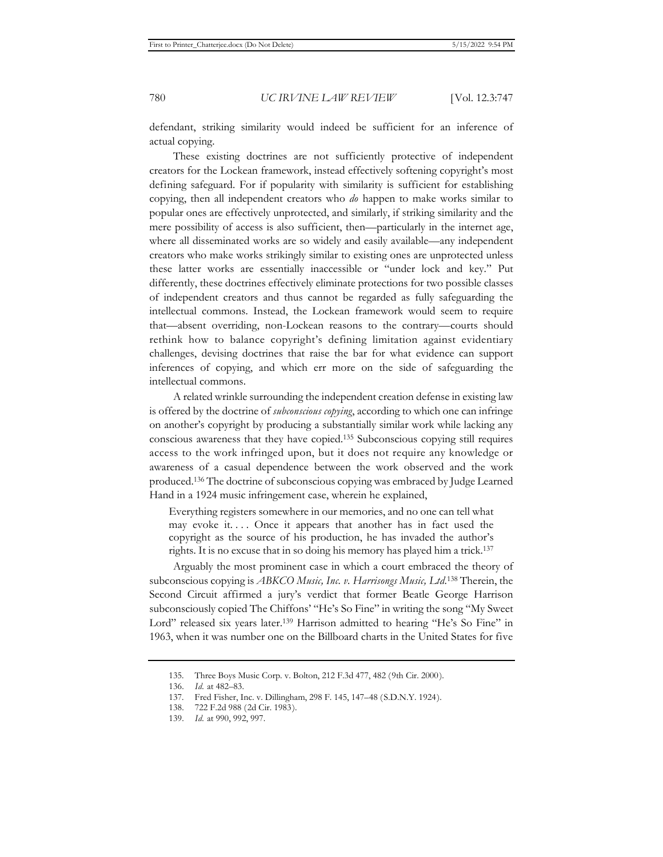defendant, striking similarity would indeed be sufficient for an inference of actual copying.

These existing doctrines are not sufficiently protective of independent creators for the Lockean framework, instead effectively softening copyright's most defining safeguard. For if popularity with similarity is sufficient for establishing copying, then all independent creators who *do* happen to make works similar to popular ones are effectively unprotected, and similarly, if striking similarity and the mere possibility of access is also sufficient, then—particularly in the internet age, where all disseminated works are so widely and easily available—any independent creators who make works strikingly similar to existing ones are unprotected unless these latter works are essentially inaccessible or "under lock and key." Put differently, these doctrines effectively eliminate protections for two possible classes of independent creators and thus cannot be regarded as fully safeguarding the intellectual commons. Instead, the Lockean framework would seem to require that—absent overriding, non-Lockean reasons to the contrary—courts should rethink how to balance copyright's defining limitation against evidentiary challenges, devising doctrines that raise the bar for what evidence can support inferences of copying, and which err more on the side of safeguarding the intellectual commons.

A related wrinkle surrounding the independent creation defense in existing law is offered by the doctrine of *subconscious copying*, according to which one can infringe on another's copyright by producing a substantially similar work while lacking any conscious awareness that they have copied.135 Subconscious copying still requires access to the work infringed upon, but it does not require any knowledge or awareness of a casual dependence between the work observed and the work produced.136 The doctrine of subconscious copying was embraced by Judge Learned Hand in a 1924 music infringement case, wherein he explained,

Everything registers somewhere in our memories, and no one can tell what may evoke it.... Once it appears that another has in fact used the copyright as the source of his production, he has invaded the author's rights. It is no excuse that in so doing his memory has played him a trick.137

Arguably the most prominent case in which a court embraced the theory of subconscious copying is *ABKCO Music, Inc. v. Harrisongs Music, Ltd*. 138 Therein, the Second Circuit affirmed a jury's verdict that former Beatle George Harrison subconsciously copied The Chiffons' "He's So Fine" in writing the song "My Sweet Lord" released six years later.<sup>139</sup> Harrison admitted to hearing "He's So Fine" in 1963, when it was number one on the Billboard charts in the United States for five

<sup>135.</sup> Three Boys Music Corp. v. Bolton, 212 F.3d 477, 482 (9th Cir. 2000).

<sup>136.</sup> *Id.* at 482–83.

<sup>137.</sup> Fred Fisher, Inc. v. Dillingham, 298 F. 145, 147–48 (S.D.N.Y. 1924).

<sup>138. 722</sup> F.2d 988 (2d Cir. 1983).

<sup>139.</sup> *Id.* at 990, 992, 997.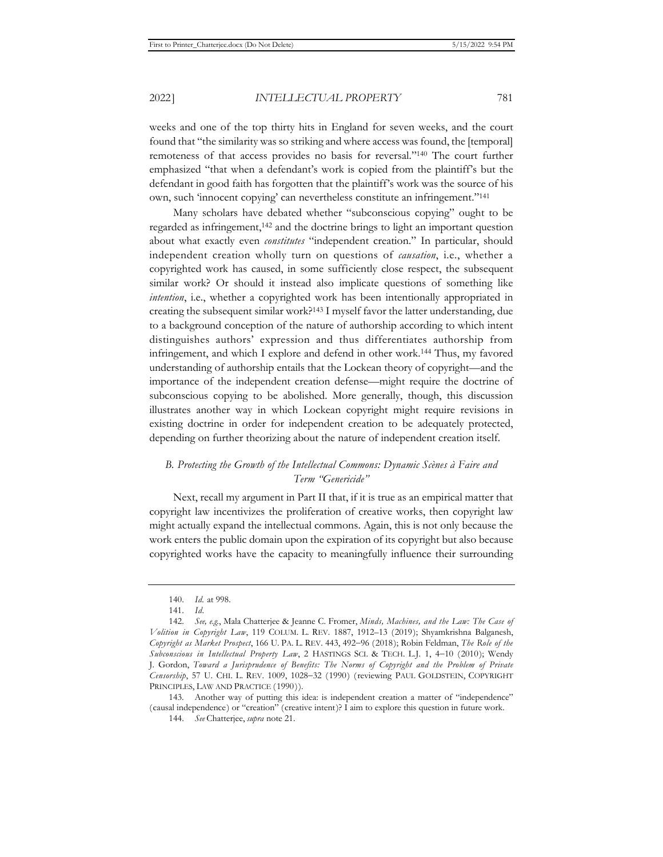weeks and one of the top thirty hits in England for seven weeks, and the court found that "the similarity was so striking and where access was found, the [temporal] remoteness of that access provides no basis for reversal."140 The court further emphasized "that when a defendant's work is copied from the plaintiff's but the defendant in good faith has forgotten that the plaintiff's work was the source of his own, such 'innocent copying' can nevertheless constitute an infringement."141

Many scholars have debated whether "subconscious copying" ought to be regarded as infringement,142 and the doctrine brings to light an important question about what exactly even *constitutes* "independent creation." In particular, should independent creation wholly turn on questions of *causation*, i.e., whether a copyrighted work has caused, in some sufficiently close respect, the subsequent similar work? Or should it instead also implicate questions of something like *intention*, i.e., whether a copyrighted work has been intentionally appropriated in creating the subsequent similar work?143 I myself favor the latter understanding, due to a background conception of the nature of authorship according to which intent distinguishes authors' expression and thus differentiates authorship from infringement, and which I explore and defend in other work.144 Thus, my favored understanding of authorship entails that the Lockean theory of copyright—and the importance of the independent creation defense—might require the doctrine of subconscious copying to be abolished. More generally, though, this discussion illustrates another way in which Lockean copyright might require revisions in existing doctrine in order for independent creation to be adequately protected, depending on further theorizing about the nature of independent creation itself.

# *B. Protecting the Growth of the Intellectual Commons: Dynamic Scènes à Faire and Term "Genericide"*

Next, recall my argument in Part II that, if it is true as an empirical matter that copyright law incentivizes the proliferation of creative works, then copyright law might actually expand the intellectual commons. Again, this is not only because the work enters the public domain upon the expiration of its copyright but also because copyrighted works have the capacity to meaningfully influence their surrounding

<sup>140.</sup> *Id.* at 998.

<sup>141.</sup> *Id.*

<sup>142.</sup> *See, e.g.*, Mala Chatterjee & Jeanne C. Fromer, *Minds, Machines, and the Law: The Case of Volition in Copyright Law*, 119 COLUM. L. REV. 1887, 1912–13 (2019); Shyamkrishna Balganesh, Copyright as Market Prospect, 166 U. PA. L. REV. 443, 492-96 (2018); Robin Feldman, The Role of the Subconscious in Intellectual Property Law, 2 HASTINGS SCI. & TECH. L.J. 1, 4-10 (2010); Wendy J. Gordon, *Toward a Jurisprudence of Benefits: The Norms of Copyright and the Problem of Private Censorship*, 57 U. CHI. L. REV. 1009, 1028-32 (1990) (reviewing PAUL GOLDSTEIN, COPYRIGHT PRINCIPLES, LAW AND PRACTICE (1990)).

<sup>143.</sup> Another way of putting this idea: is independent creation a matter of "independence" (causal independence) or "creation" (creative intent)? I aim to explore this question in future work.

<sup>144.</sup> *See* Chatterjee, *supra* note 21.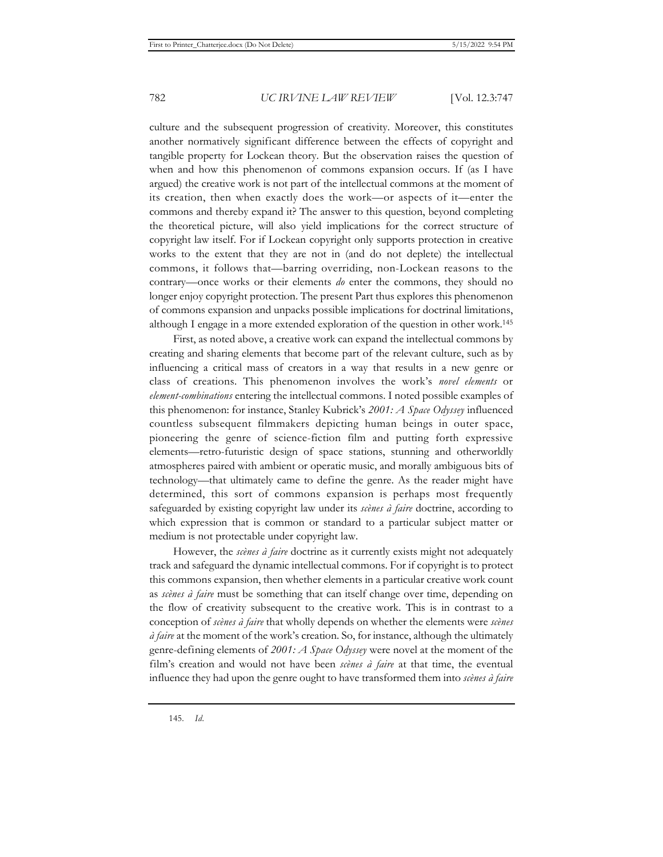culture and the subsequent progression of creativity. Moreover, this constitutes another normatively significant difference between the effects of copyright and tangible property for Lockean theory. But the observation raises the question of when and how this phenomenon of commons expansion occurs. If (as I have argued) the creative work is not part of the intellectual commons at the moment of its creation, then when exactly does the work—or aspects of it—enter the commons and thereby expand it? The answer to this question, beyond completing the theoretical picture, will also yield implications for the correct structure of copyright law itself. For if Lockean copyright only supports protection in creative works to the extent that they are not in (and do not deplete) the intellectual commons, it follows that—barring overriding, non-Lockean reasons to the contrary—once works or their elements *do* enter the commons, they should no longer enjoy copyright protection. The present Part thus explores this phenomenon of commons expansion and unpacks possible implications for doctrinal limitations, although I engage in a more extended exploration of the question in other work.145

First, as noted above, a creative work can expand the intellectual commons by creating and sharing elements that become part of the relevant culture, such as by influencing a critical mass of creators in a way that results in a new genre or class of creations. This phenomenon involves the work's *novel elements* or *element-combinations* entering the intellectual commons. I noted possible examples of this phenomenon: for instance, Stanley Kubrick's *2001: A Space Odyssey* influenced countless subsequent filmmakers depicting human beings in outer space, pioneering the genre of science-fiction film and putting forth expressive elements—retro-futuristic design of space stations, stunning and otherworldly atmospheres paired with ambient or operatic music, and morally ambiguous bits of technology—that ultimately came to define the genre. As the reader might have determined, this sort of commons expansion is perhaps most frequently safeguarded by existing copyright law under its *scènes à faire* doctrine, according to which expression that is common or standard to a particular subject matter or medium is not protectable under copyright law.

However, the *scènes à faire* doctrine as it currently exists might not adequately track and safeguard the dynamic intellectual commons. For if copyright is to protect this commons expansion, then whether elements in a particular creative work count as *scènes à faire* must be something that can itself change over time, depending on the flow of creativity subsequent to the creative work. This is in contrast to a conception of *scènes à faire* that wholly depends on whether the elements were *scènes à faire* at the moment of the work's creation. So, for instance, although the ultimately genre-defining elements of *2001: A Space Odyssey* were novel at the moment of the film's creation and would not have been *scènes à faire* at that time, the eventual influence they had upon the genre ought to have transformed them into *scènes à faire*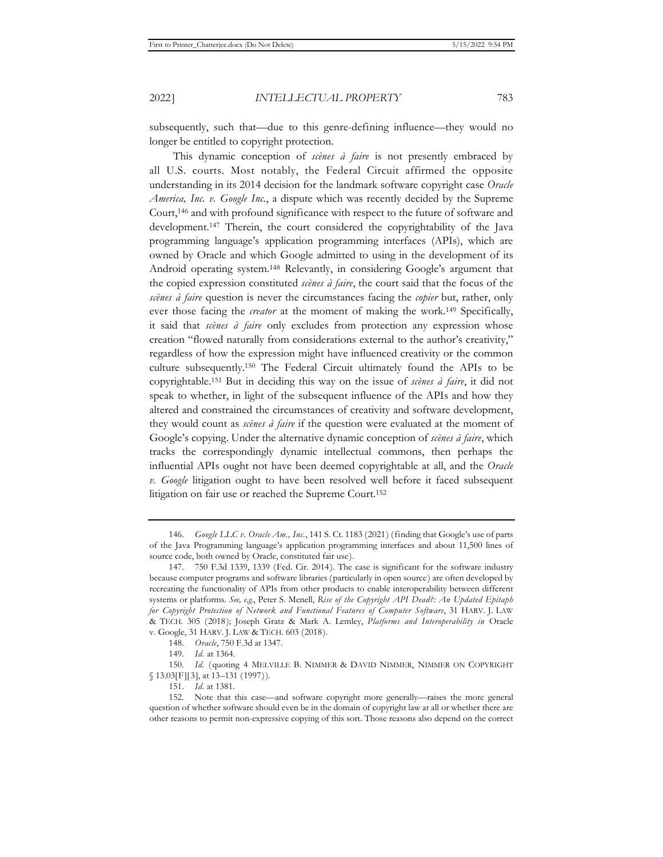subsequently, such that—due to this genre-defining influence—they would no longer be entitled to copyright protection.

This dynamic conception of *scènes à faire* is not presently embraced by all U.S. courts. Most notably, the Federal Circuit affirmed the opposite understanding in its 2014 decision for the landmark software copyright case *Oracle America, Inc. v. Google Inc.*, a dispute which was recently decided by the Supreme Court,146 and with profound significance with respect to the future of software and development.147 Therein, the court considered the copyrightability of the Java programming language's application programming interfaces (APIs), which are owned by Oracle and which Google admitted to using in the development of its Android operating system.148 Relevantly, in considering Google's argument that the copied expression constituted *scènes à faire*, the court said that the focus of the *scènes à faire* question is never the circumstances facing the *copier* but, rather, only ever those facing the *creator* at the moment of making the work.149 Specifically, it said that *scènes à faire* only excludes from protection any expression whose creation "flowed naturally from considerations external to the author's creativity," regardless of how the expression might have influenced creativity or the common culture subsequently.150 The Federal Circuit ultimately found the APIs to be copyrightable.151 But in deciding this way on the issue of *scènes à faire*, it did not speak to whether, in light of the subsequent influence of the APIs and how they altered and constrained the circumstances of creativity and software development, they would count as *scènes à faire* if the question were evaluated at the moment of Google's copying. Under the alternative dynamic conception of *scènes à faire*, which tracks the correspondingly dynamic intellectual commons, then perhaps the influential APIs ought not have been deemed copyrightable at all, and the *Oracle v. Google* litigation ought to have been resolved well before it faced subsequent litigation on fair use or reached the Supreme Court.152

<sup>146.</sup> *Google LLC v. Oracle Am., Inc.*, 141 S. Ct. 1183 (2021) (finding that Google's use of parts of the Java Programming language's application programming interfaces and about 11,500 lines of source code, both owned by Oracle, constituted fair use).

<sup>147. 750</sup> F.3d 1339, 1339 (Fed. Cir. 2014). The case is significant for the software industry because computer programs and software libraries (particularly in open source) are often developed by recreating the functionality of APIs from other products to enable interoperability between different systems or platforms. *See, e.g.*, Peter S. Menell, *Rise of the Copyright API Dead?: An Updated Epitaph for Copyright Protection of Network and Functional Features of Computer Software*, 31 HARV. J. LAW & TECH. 305 (2018); Joseph Gratz & Mark A. Lemley, *Platforms and Interoperability in* Oracle v. Google, 31 HARV. J. LAW & TECH. 603 (2018).

<sup>148.</sup> *Oracle*, 750 F.3d at 1347.

<sup>149.</sup> *Id.* at 1364.

<sup>150.</sup> *Id.* (quoting 4 MELVILLE B. NIMMER & DAVID NIMMER, NIMMER ON COPYRIGHT § 13.03[F][3], at 13-131 (1997)).

<sup>151.</sup> *Id.* at 1381.

<sup>152.</sup> Note that this case—and software copyright more generally—raises the more general question of whether software should even be in the domain of copyright law at all or whether there are other reasons to permit non-expressive copying of this sort. Those reasons also depend on the correct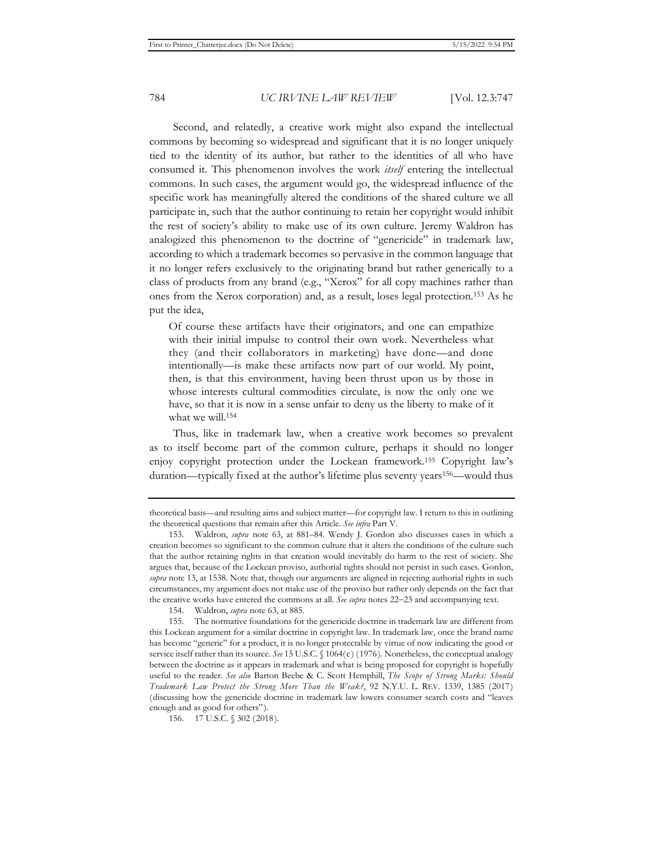Second, and relatedly, a creative work might also expand the intellectual commons by becoming so widespread and significant that it is no longer uniquely tied to the identity of its author, but rather to the identities of all who have consumed it. This phenomenon involves the work *itself* entering the intellectual commons. In such cases, the argument would go, the widespread influence of the specific work has meaningfully altered the conditions of the shared culture we all participate in, such that the author continuing to retain her copyright would inhibit the rest of society's ability to make use of its own culture. Jeremy Waldron has analogized this phenomenon to the doctrine of "genericide" in trademark law, according to which a trademark becomes so pervasive in the common language that it no longer refers exclusively to the originating brand but rather generically to a class of products from any brand (e.g., "Xerox" for all copy machines rather than ones from the Xerox corporation) and, as a result, loses legal protection.153 As he put the idea,

Of course these artifacts have their originators, and one can empathize with their initial impulse to control their own work. Nevertheless what they (and their collaborators in marketing) have done—and done intentionally—is make these artifacts now part of our world. My point, then, is that this environment, having been thrust upon us by those in whose interests cultural commodities circulate, is now the only one we have, so that it is now in a sense unfair to deny us the liberty to make of it what we will.154

Thus, like in trademark law, when a creative work becomes so prevalent as to itself become part of the common culture, perhaps it should no longer enjoy copyright protection under the Lockean framework.155 Copyright law's duration—typically fixed at the author's lifetime plus seventy years<sup>156</sup>—would thus

theoretical basis—and resulting aims and subject matter—for copyright law. I return to this in outlining the theoretical questions that remain after this Article. *See infra* Part V.

<sup>153.</sup> Waldron, *supra* note 63, at 881–84. Wendy J. Gordon also discusses cases in which a creation becomes so significant to the common culture that it alters the conditions of the culture such that the author retaining rights in that creation would inevitably do harm to the rest of society. She argues that, because of the Lockean proviso, authorial rights should not persist in such cases. Gordon, *supra* note 13, at 1538. Note that, though our arguments are aligned in rejecting authorial rights in such circumstances, my argument does not make use of the proviso but rather only depends on the fact that the creative works have entered the commons at all. *See supra* notes 22–23 and accompanying text.

<sup>154.</sup> Waldron, *supra* note 63, at 885.

<sup>155.</sup> The normative foundations for the genericide doctrine in trademark law are different from this Lockean argument for a similar doctrine in copyright law. In trademark law, once the brand name has become "generic" for a product, it is no longer protectable by virtue of now indicating the good or service itself rather than its source. *See* 15 U.S.C. § 1064(c) (1976). Nonetheless, the conceptual analogy between the doctrine as it appears in trademark and what is being proposed for copyright is hopefully useful to the reader. *See also* Barton Beebe & C. Scott Hemphill, *The Scope of Strong Marks: Should Trademark Law Protect the Strong More Than the Weak?*, 92 N.Y.U. L. REV. 1339, 1385 (2017) (discussing how the genericide doctrine in trademark law lowers consumer search costs and "leaves enough and as good for others").

<sup>156. 17</sup> U.S.C. § 302 (2018).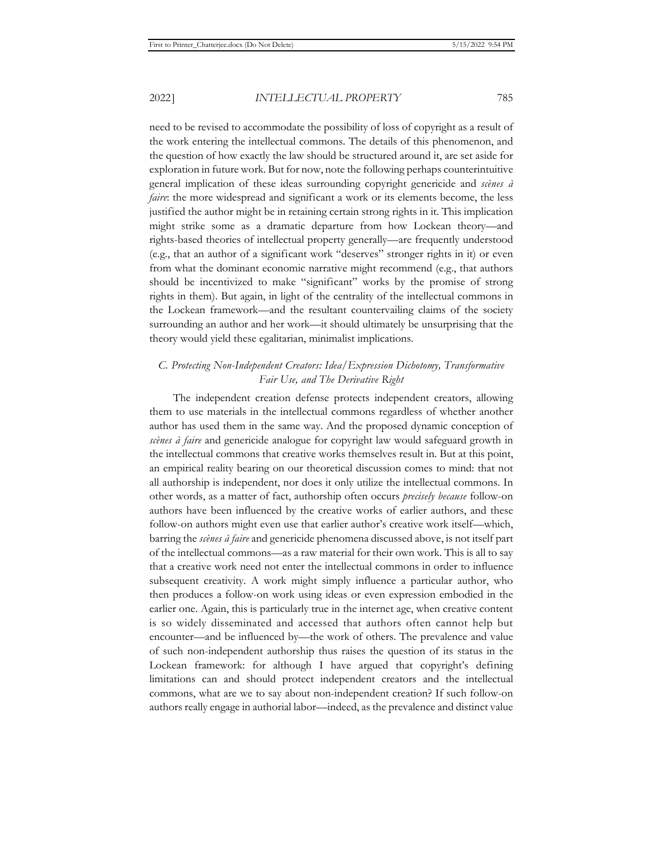need to be revised to accommodate the possibility of loss of copyright as a result of the work entering the intellectual commons. The details of this phenomenon, and the question of how exactly the law should be structured around it, are set aside for exploration in future work. But for now, note the following perhaps counterintuitive general implication of these ideas surrounding copyright genericide and *scènes à faire*: the more widespread and significant a work or its elements become, the less justified the author might be in retaining certain strong rights in it. This implication might strike some as a dramatic departure from how Lockean theory—and rights-based theories of intellectual property generally—are frequently understood (e.g., that an author of a significant work "deserves" stronger rights in it) or even from what the dominant economic narrative might recommend (e.g., that authors should be incentivized to make "significant" works by the promise of strong rights in them). But again, in light of the centrality of the intellectual commons in the Lockean framework—and the resultant countervailing claims of the society surrounding an author and her work—it should ultimately be unsurprising that the theory would yield these egalitarian, minimalist implications.

# *C. Protecting Non-Independent Creators: Idea/Expression Dichotomy, Transformative Fair Use, and The Derivative Right*

The independent creation defense protects independent creators, allowing them to use materials in the intellectual commons regardless of whether another author has used them in the same way. And the proposed dynamic conception of *scènes à faire* and genericide analogue for copyright law would safeguard growth in the intellectual commons that creative works themselves result in. But at this point, an empirical reality bearing on our theoretical discussion comes to mind: that not all authorship is independent, nor does it only utilize the intellectual commons. In other words, as a matter of fact, authorship often occurs *precisely because* follow-on authors have been influenced by the creative works of earlier authors, and these follow-on authors might even use that earlier author's creative work itself—which, barring the *scènes à faire* and genericide phenomena discussed above, is not itself part of the intellectual commons—as a raw material for their own work. This is all to say that a creative work need not enter the intellectual commons in order to influence subsequent creativity. A work might simply influence a particular author, who then produces a follow-on work using ideas or even expression embodied in the earlier one. Again, this is particularly true in the internet age, when creative content is so widely disseminated and accessed that authors often cannot help but encounter—and be influenced by—the work of others. The prevalence and value of such non-independent authorship thus raises the question of its status in the Lockean framework: for although I have argued that copyright's defining limitations can and should protect independent creators and the intellectual commons, what are we to say about non-independent creation? If such follow-on authors really engage in authorial labor—indeed, as the prevalence and distinct value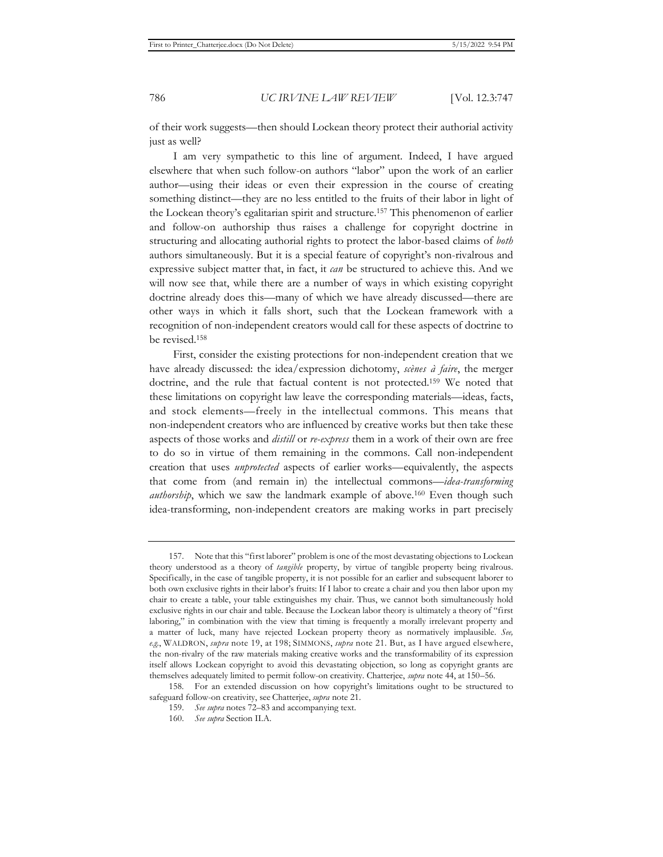of their work suggests—then should Lockean theory protect their authorial activity just as well?

I am very sympathetic to this line of argument. Indeed, I have argued elsewhere that when such follow-on authors "labor" upon the work of an earlier author—using their ideas or even their expression in the course of creating something distinct—they are no less entitled to the fruits of their labor in light of the Lockean theory's egalitarian spirit and structure.157 This phenomenon of earlier and follow-on authorship thus raises a challenge for copyright doctrine in structuring and allocating authorial rights to protect the labor-based claims of *both*  authors simultaneously. But it is a special feature of copyright's non-rivalrous and expressive subject matter that, in fact, it *can* be structured to achieve this. And we will now see that, while there are a number of ways in which existing copyright doctrine already does this—many of which we have already discussed—there are other ways in which it falls short, such that the Lockean framework with a recognition of non-independent creators would call for these aspects of doctrine to be revised.158

First, consider the existing protections for non-independent creation that we have already discussed: the idea/expression dichotomy, *scènes à faire*, the merger doctrine, and the rule that factual content is not protected.159 We noted that these limitations on copyright law leave the corresponding materials—ideas, facts, and stock elements—freely in the intellectual commons. This means that non-independent creators who are influenced by creative works but then take these aspects of those works and *distill* or *re-express* them in a work of their own are free to do so in virtue of them remaining in the commons. Call non-independent creation that uses *unprotected* aspects of earlier works—equivalently, the aspects that come from (and remain in) the intellectual commons—*idea-transforming authorship*, which we saw the landmark example of above.<sup>160</sup> Even though such idea-transforming, non-independent creators are making works in part precisely

158. For an extended discussion on how copyright's limitations ought to be structured to safeguard follow-on creativity, see Chatterjee, *supra* note 21.

<sup>157.</sup> Note that this "first laborer" problem is one of the most devastating objections to Lockean theory understood as a theory of *tangible* property, by virtue of tangible property being rivalrous. Specifically, in the case of tangible property, it is not possible for an earlier and subsequent laborer to both own exclusive rights in their labor's fruits: If I labor to create a chair and you then labor upon my chair to create a table, your table extinguishes my chair. Thus, we cannot both simultaneously hold exclusive rights in our chair and table. Because the Lockean labor theory is ultimately a theory of "first laboring," in combination with the view that timing is frequently a morally irrelevant property and a matter of luck, many have rejected Lockean property theory as normatively implausible. *See, e.g.*, WALDRON, *supra* note 19, at 198; SIMMONS, *supra* note 21. But, as I have argued elsewhere, the non-rivalry of the raw materials making creative works and the transformability of its expression itself allows Lockean copyright to avoid this devastating objection, so long as copyright grants are themselves adequately limited to permit follow-on creativity. Chatterjee, *supra* note 44, at 150–56.

<sup>159.</sup> *See supra* notes 72–83 and accompanying text.

<sup>160.</sup> *See supra* Section II.A.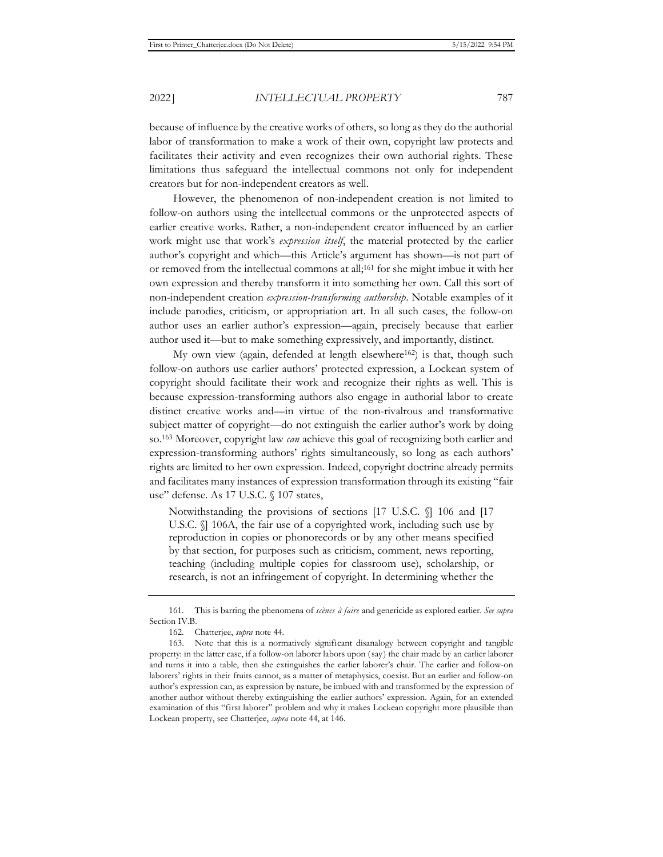because of influence by the creative works of others, so long as they do the authorial labor of transformation to make a work of their own, copyright law protects and facilitates their activity and even recognizes their own authorial rights. These limitations thus safeguard the intellectual commons not only for independent creators but for non-independent creators as well.

However, the phenomenon of non-independent creation is not limited to follow-on authors using the intellectual commons or the unprotected aspects of earlier creative works. Rather, a non-independent creator influenced by an earlier work might use that work's *expression itself*, the material protected by the earlier author's copyright and which—this Article's argument has shown—is not part of or removed from the intellectual commons at all;161 for she might imbue it with her own expression and thereby transform it into something her own. Call this sort of non-independent creation *expression-transforming authorship*. Notable examples of it include parodies, criticism, or appropriation art. In all such cases, the follow-on author uses an earlier author's expression—again, precisely because that earlier author used it—but to make something expressively, and importantly, distinct.

My own view (again, defended at length elsewhere<sup>162</sup>) is that, though such follow-on authors use earlier authors' protected expression, a Lockean system of copyright should facilitate their work and recognize their rights as well. This is because expression-transforming authors also engage in authorial labor to create distinct creative works and—in virtue of the non-rivalrous and transformative subject matter of copyright—do not extinguish the earlier author's work by doing so.163 Moreover, copyright law *can* achieve this goal of recognizing both earlier and expression-transforming authors' rights simultaneously, so long as each authors' rights are limited to her own expression. Indeed, copyright doctrine already permits and facilitates many instances of expression transformation through its existing "fair use" defense. As 17 U.S.C. § 107 states,

Notwithstanding the provisions of sections [17 U.S.C. §] 106 and [17 U.S.C. §] 106A, the fair use of a copyrighted work, including such use by reproduction in copies or phonorecords or by any other means specified by that section, for purposes such as criticism, comment, news reporting, teaching (including multiple copies for classroom use), scholarship, or research, is not an infringement of copyright. In determining whether the

<sup>161.</sup> This is barring the phenomena of *scènes à faire* and genericide as explored earlier. *See supra* Section IV.B.

<sup>162.</sup> Chatterjee, *supra* note 44.

<sup>163.</sup> Note that this is a normatively significant disanalogy between copyright and tangible property: in the latter case, if a follow-on laborer labors upon (say) the chair made by an earlier laborer and turns it into a table, then she extinguishes the earlier laborer's chair. The earlier and follow-on laborers' rights in their fruits cannot, as a matter of metaphysics, coexist. But an earlier and follow-on author's expression can, as expression by nature, be imbued with and transformed by the expression of another author without thereby extinguishing the earlier authors' expression. Again, for an extended examination of this "first laborer" problem and why it makes Lockean copyright more plausible than Lockean property, see Chatterjee, *supra* note 44, at 146.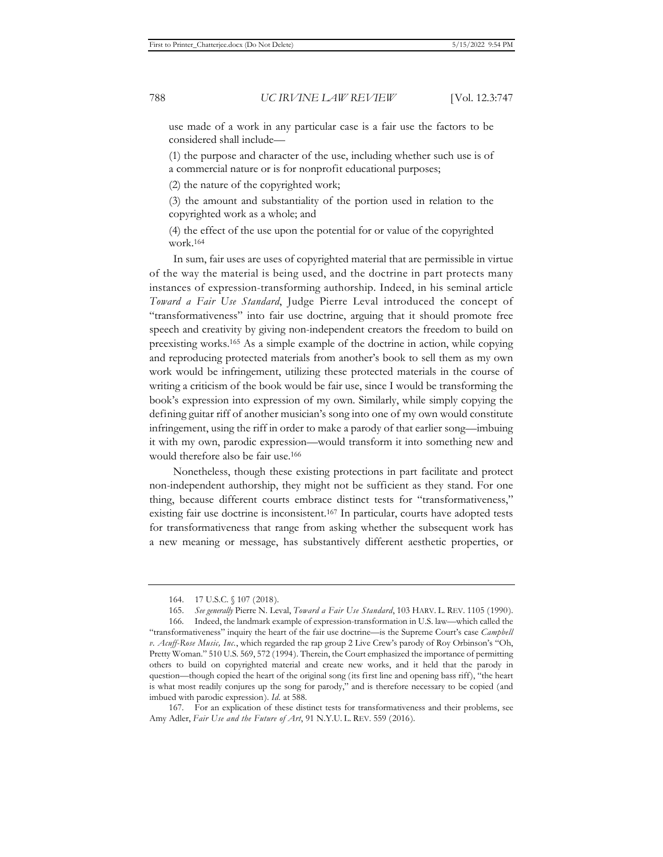use made of a work in any particular case is a fair use the factors to be considered shall include—

(1) the purpose and character of the use, including whether such use is of a commercial nature or is for nonprofit educational purposes;

(2) the nature of the copyrighted work;

(3) the amount and substantiality of the portion used in relation to the copyrighted work as a whole; and

(4) the effect of the use upon the potential for or value of the copyrighted work.164

In sum, fair uses are uses of copyrighted material that are permissible in virtue of the way the material is being used, and the doctrine in part protects many instances of expression-transforming authorship. Indeed, in his seminal article *Toward a Fair Use Standard*, Judge Pierre Leval introduced the concept of "transformativeness" into fair use doctrine, arguing that it should promote free speech and creativity by giving non-independent creators the freedom to build on preexisting works.165 As a simple example of the doctrine in action, while copying and reproducing protected materials from another's book to sell them as my own work would be infringement, utilizing these protected materials in the course of writing a criticism of the book would be fair use, since I would be transforming the book's expression into expression of my own. Similarly, while simply copying the defining guitar riff of another musician's song into one of my own would constitute infringement, using the riff in order to make a parody of that earlier song—imbuing it with my own, parodic expression—would transform it into something new and would therefore also be fair use.166

Nonetheless, though these existing protections in part facilitate and protect non-independent authorship, they might not be sufficient as they stand. For one thing, because different courts embrace distinct tests for "transformativeness," existing fair use doctrine is inconsistent.167 In particular, courts have adopted tests for transformativeness that range from asking whether the subsequent work has a new meaning or message, has substantively different aesthetic properties, or

167. For an explication of these distinct tests for transformativeness and their problems, see Amy Adler, *Fair Use and the Future of Art*, 91 N.Y.U. L. REV. 559 (2016).

<sup>164. 17</sup> U.S.C. § 107 (2018).

<sup>165.</sup> *See generally* Pierre N. Leval, *Toward a Fair Use Standard*, 103 HARV. L. REV. 1105 (1990).

<sup>166.</sup> Indeed, the landmark example of expression-transformation in U.S. law—which called the "transformativeness" inquiry the heart of the fair use doctrine—is the Supreme Court's case *Campbell v. Acuff-Rose Music, Inc.*, which regarded the rap group 2 Live Crew's parody of Roy Orbinson's "Oh, Pretty Woman." 510 U.S. 569, 572 (1994). Therein, the Court emphasized the importance of permitting others to build on copyrighted material and create new works, and it held that the parody in question—though copied the heart of the original song (its first line and opening bass riff), "the heart is what most readily conjures up the song for parody," and is therefore necessary to be copied (and imbued with parodic expression). *Id.* at 588.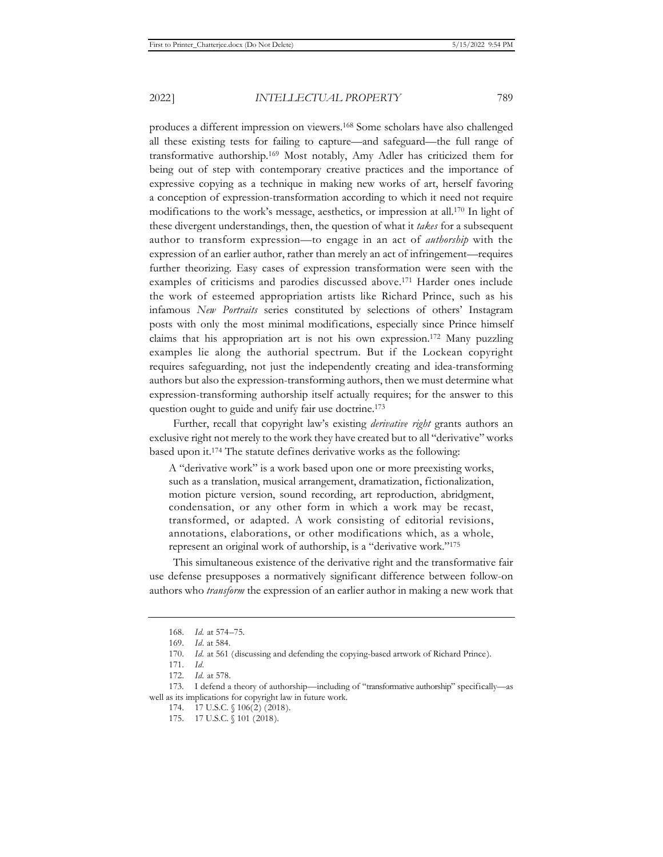transformative authorship.169 Most notably, Amy Adler has criticized them for being out of step with contemporary creative practices and the importance of expressive copying as a technique in making new works of art, herself favoring a conception of expression-transformation according to which it need not require modifications to the work's message, aesthetics, or impression at all.170 In light of these divergent understandings, then, the question of what it *takes* for a subsequent author to transform expression—to engage in an act of *authorship* with the expression of an earlier author, rather than merely an act of infringement—requires further theorizing. Easy cases of expression transformation were seen with the examples of criticisms and parodies discussed above.171 Harder ones include the work of esteemed appropriation artists like Richard Prince, such as his infamous *New Portraits* series constituted by selections of others' Instagram posts with only the most minimal modifications, especially since Prince himself claims that his appropriation art is not his own expression.172 Many puzzling examples lie along the authorial spectrum. But if the Lockean copyright requires safeguarding, not just the independently creating and idea-transforming authors but also the expression-transforming authors, then we must determine what expression-transforming authorship itself actually requires; for the answer to this question ought to guide and unify fair use doctrine.173

Further, recall that copyright law's existing *derivative right* grants authors an exclusive right not merely to the work they have created but to all "derivative" works based upon it.174 The statute defines derivative works as the following:

A "derivative work" is a work based upon one or more preexisting works, such as a translation, musical arrangement, dramatization, fictionalization, motion picture version, sound recording, art reproduction, abridgment, condensation, or any other form in which a work may be recast, transformed, or adapted. A work consisting of editorial revisions, annotations, elaborations, or other modifications which, as a whole, represent an original work of authorship, is a "derivative work."175

This simultaneous existence of the derivative right and the transformative fair use defense presupposes a normatively significant difference between follow-on authors who *transform* the expression of an earlier author in making a new work that

<sup>168.</sup> *Id.* at 574–75.

<sup>169.</sup> *Id.* at 584.

<sup>170.</sup> *Id.* at 561 (discussing and defending the copying-based artwork of Richard Prince).

<sup>171.</sup> *Id.*

<sup>172.</sup> *Id.* at 578.

<sup>173.</sup> I defend a theory of authorship—including of "transformative authorship" specifically—as well as its implications for copyright law in future work.

<sup>174. 17</sup> U.S.C. § 106(2) (2018).

<sup>175. 17</sup> U.S.C. § 101 (2018).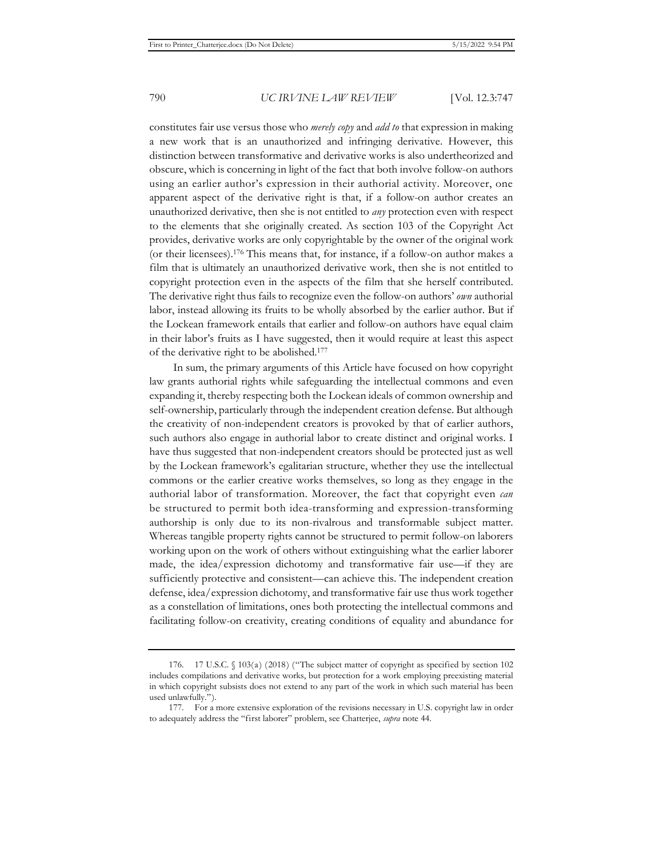constitutes fair use versus those who *merely copy* and *add to* that expression in making a new work that is an unauthorized and infringing derivative. However, this distinction between transformative and derivative works is also undertheorized and obscure, which is concerning in light of the fact that both involve follow-on authors using an earlier author's expression in their authorial activity. Moreover, one apparent aspect of the derivative right is that, if a follow-on author creates an unauthorized derivative, then she is not entitled to *any* protection even with respect to the elements that she originally created. As section 103 of the Copyright Act provides, derivative works are only copyrightable by the owner of the original work (or their licensees).176 This means that, for instance, if a follow-on author makes a film that is ultimately an unauthorized derivative work, then she is not entitled to copyright protection even in the aspects of the film that she herself contributed. The derivative right thus fails to recognize even the follow-on authors' *own* authorial labor, instead allowing its fruits to be wholly absorbed by the earlier author. But if the Lockean framework entails that earlier and follow-on authors have equal claim in their labor's fruits as I have suggested, then it would require at least this aspect of the derivative right to be abolished.177

In sum, the primary arguments of this Article have focused on how copyright law grants authorial rights while safeguarding the intellectual commons and even expanding it, thereby respecting both the Lockean ideals of common ownership and self-ownership, particularly through the independent creation defense. But although the creativity of non-independent creators is provoked by that of earlier authors, such authors also engage in authorial labor to create distinct and original works. I have thus suggested that non-independent creators should be protected just as well by the Lockean framework's egalitarian structure, whether they use the intellectual commons or the earlier creative works themselves, so long as they engage in the authorial labor of transformation. Moreover, the fact that copyright even *can* be structured to permit both idea-transforming and expression-transforming authorship is only due to its non-rivalrous and transformable subject matter. Whereas tangible property rights cannot be structured to permit follow-on laborers working upon on the work of others without extinguishing what the earlier laborer made, the idea/expression dichotomy and transformative fair use—if they are sufficiently protective and consistent—can achieve this. The independent creation defense, idea/expression dichotomy, and transformative fair use thus work together as a constellation of limitations, ones both protecting the intellectual commons and facilitating follow-on creativity, creating conditions of equality and abundance for

<sup>176. 17</sup> U.S.C. § 103(a) (2018) ("The subject matter of copyright as specified by section 102 includes compilations and derivative works, but protection for a work employing preexisting material in which copyright subsists does not extend to any part of the work in which such material has been used unlawfully.").

<sup>177.</sup> For a more extensive exploration of the revisions necessary in U.S. copyright law in order to adequately address the "first laborer" problem, see Chatterjee, *supra* note 44.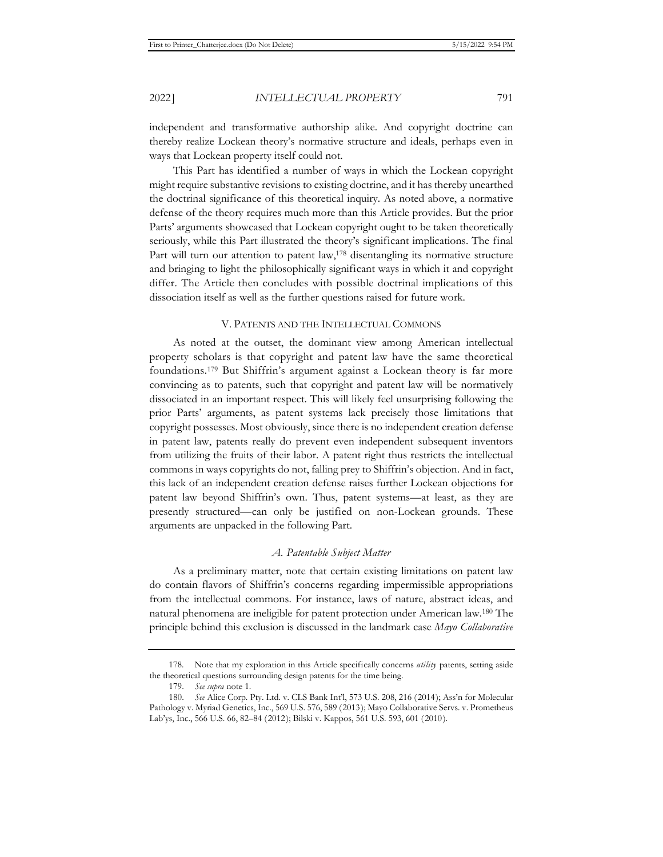independent and transformative authorship alike. And copyright doctrine can thereby realize Lockean theory's normative structure and ideals, perhaps even in ways that Lockean property itself could not.

This Part has identified a number of ways in which the Lockean copyright might require substantive revisions to existing doctrine, and it has thereby unearthed the doctrinal significance of this theoretical inquiry. As noted above, a normative defense of the theory requires much more than this Article provides. But the prior Parts' arguments showcased that Lockean copyright ought to be taken theoretically seriously, while this Part illustrated the theory's significant implications. The final Part will turn our attention to patent law,<sup>178</sup> disentangling its normative structure and bringing to light the philosophically significant ways in which it and copyright differ. The Article then concludes with possible doctrinal implications of this dissociation itself as well as the further questions raised for future work.

## V. PATENTS AND THE INTELLECTUAL COMMONS

As noted at the outset, the dominant view among American intellectual property scholars is that copyright and patent law have the same theoretical foundations.179 But Shiffrin's argument against a Lockean theory is far more convincing as to patents, such that copyright and patent law will be normatively dissociated in an important respect. This will likely feel unsurprising following the prior Parts' arguments, as patent systems lack precisely those limitations that copyright possesses. Most obviously, since there is no independent creation defense in patent law, patents really do prevent even independent subsequent inventors from utilizing the fruits of their labor. A patent right thus restricts the intellectual commons in ways copyrights do not, falling prey to Shiffrin's objection. And in fact, this lack of an independent creation defense raises further Lockean objections for patent law beyond Shiffrin's own. Thus, patent systems—at least, as they are presently structured—can only be justified on non-Lockean grounds. These arguments are unpacked in the following Part.

# *A. Patentable Subject Matter*

As a preliminary matter, note that certain existing limitations on patent law do contain flavors of Shiffrin's concerns regarding impermissible appropriations from the intellectual commons. For instance, laws of nature, abstract ideas, and natural phenomena are ineligible for patent protection under American law.180 The principle behind this exclusion is discussed in the landmark case *Mayo Collaborative* 

<sup>178.</sup> Note that my exploration in this Article specifically concerns *utility* patents, setting aside the theoretical questions surrounding design patents for the time being.

<sup>179.</sup> *See supra* note 1.

<sup>180.</sup> *See* Alice Corp. Pty. Ltd. v. CLS Bank Int'l, 573 U.S. 208, 216 (2014); Ass'n for Molecular Pathology v. Myriad Genetics, Inc., 569 U.S. 576, 589 (2013); Mayo Collaborative Servs. v. Prometheus Lab'ys, Inc., 566 U.S. 66, 82–84 (2012); Bilski v. Kappos, 561 U.S. 593, 601 (2010).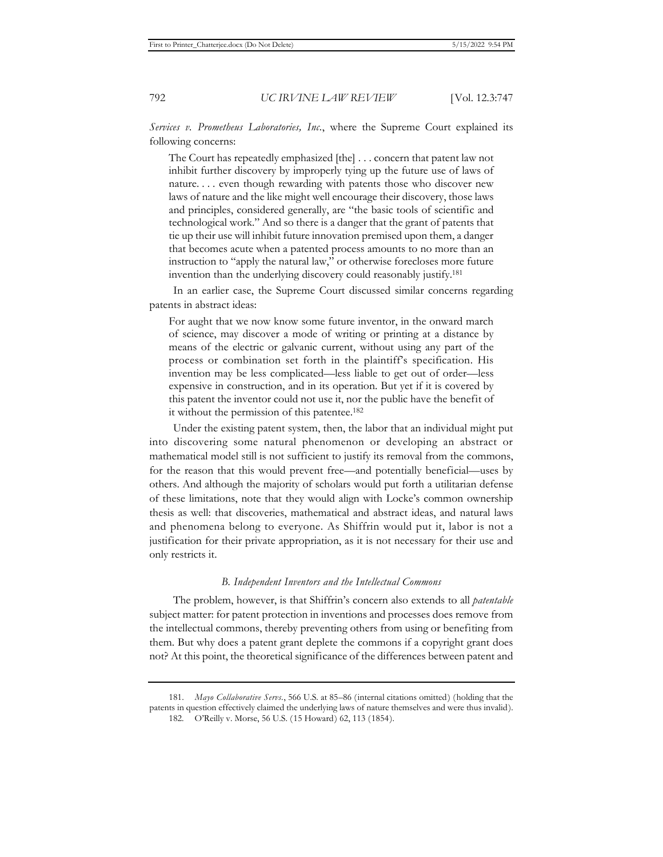*Services v. Prometheus Laboratories, Inc.*, where the Supreme Court explained its following concerns:

The Court has repeatedly emphasized [the] . . . concern that patent law not inhibit further discovery by improperly tying up the future use of laws of nature. . . . even though rewarding with patents those who discover new laws of nature and the like might well encourage their discovery, those laws and principles, considered generally, are "the basic tools of scientific and technological work." And so there is a danger that the grant of patents that tie up their use will inhibit future innovation premised upon them, a danger that becomes acute when a patented process amounts to no more than an instruction to "apply the natural law," or otherwise forecloses more future invention than the underlying discovery could reasonably justify.181

In an earlier case, the Supreme Court discussed similar concerns regarding patents in abstract ideas:

For aught that we now know some future inventor, in the onward march of science, may discover a mode of writing or printing at a distance by means of the electric or galvanic current, without using any part of the process or combination set forth in the plaintiff's specification. His invention may be less complicated—less liable to get out of order—less expensive in construction, and in its operation. But yet if it is covered by this patent the inventor could not use it, nor the public have the benefit of it without the permission of this patentee.182

Under the existing patent system, then, the labor that an individual might put into discovering some natural phenomenon or developing an abstract or mathematical model still is not sufficient to justify its removal from the commons, for the reason that this would prevent free—and potentially beneficial—uses by others. And although the majority of scholars would put forth a utilitarian defense of these limitations, note that they would align with Locke's common ownership thesis as well: that discoveries, mathematical and abstract ideas, and natural laws and phenomena belong to everyone. As Shiffrin would put it, labor is not a justification for their private appropriation, as it is not necessary for their use and only restricts it.

### *B. Independent Inventors and the Intellectual Commons*

The problem, however, is that Shiffrin's concern also extends to all *patentable* subject matter: for patent protection in inventions and processes does remove from the intellectual commons, thereby preventing others from using or benefiting from them. But why does a patent grant deplete the commons if a copyright grant does not? At this point, the theoretical significance of the differences between patent and

<sup>181.</sup> *Mayo Collaborative Servs.*, 566 U.S. at 85–86 (internal citations omitted) (holding that the patents in question effectively claimed the underlying laws of nature themselves and were thus invalid). 182. O'Reilly v. Morse, 56 U.S. (15 Howard) 62, 113 (1854).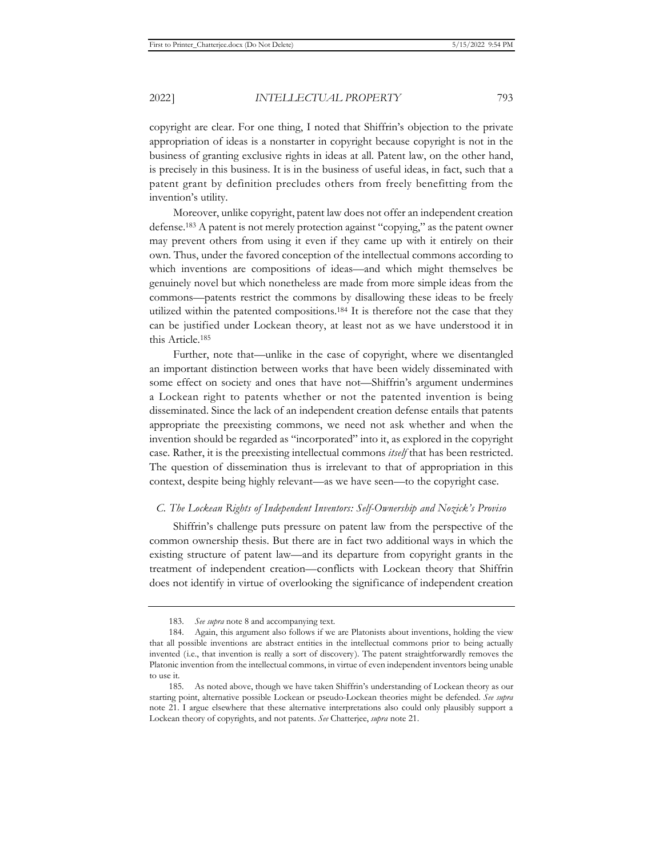copyright are clear. For one thing, I noted that Shiffrin's objection to the private appropriation of ideas is a nonstarter in copyright because copyright is not in the business of granting exclusive rights in ideas at all. Patent law, on the other hand, is precisely in this business. It is in the business of useful ideas, in fact, such that a patent grant by definition precludes others from freely benefitting from the invention's utility.

Moreover, unlike copyright, patent law does not offer an independent creation defense.183 A patent is not merely protection against "copying," as the patent owner may prevent others from using it even if they came up with it entirely on their own. Thus, under the favored conception of the intellectual commons according to which inventions are compositions of ideas—and which might themselves be genuinely novel but which nonetheless are made from more simple ideas from the commons—patents restrict the commons by disallowing these ideas to be freely utilized within the patented compositions.184 It is therefore not the case that they can be justified under Lockean theory, at least not as we have understood it in this Article.185

Further, note that—unlike in the case of copyright, where we disentangled an important distinction between works that have been widely disseminated with some effect on society and ones that have not—Shiffrin's argument undermines a Lockean right to patents whether or not the patented invention is being disseminated. Since the lack of an independent creation defense entails that patents appropriate the preexisting commons, we need not ask whether and when the invention should be regarded as "incorporated" into it, as explored in the copyright case. Rather, it is the preexisting intellectual commons *itself* that has been restricted. The question of dissemination thus is irrelevant to that of appropriation in this context, despite being highly relevant—as we have seen—to the copyright case.

#### *C. The Lockean Rights of Independent Inventors: Self-Ownership and Nozick's Proviso*

Shiffrin's challenge puts pressure on patent law from the perspective of the common ownership thesis. But there are in fact two additional ways in which the existing structure of patent law—and its departure from copyright grants in the treatment of independent creation—conflicts with Lockean theory that Shiffrin does not identify in virtue of overlooking the significance of independent creation

<sup>183.</sup> *See supra* note 8 and accompanying text.

<sup>184.</sup> Again, this argument also follows if we are Platonists about inventions, holding the view that all possible inventions are abstract entities in the intellectual commons prior to being actually invented (i.e., that invention is really a sort of discovery). The patent straightforwardly removes the Platonic invention from the intellectual commons, in virtue of even independent inventors being unable to use it.

<sup>185.</sup> As noted above, though we have taken Shiffrin's understanding of Lockean theory as our starting point, alternative possible Lockean or pseudo-Lockean theories might be defended. *See supra*  note 21. I argue elsewhere that these alternative interpretations also could only plausibly support a Lockean theory of copyrights, and not patents. *See* Chatterjee, *supra* note 21.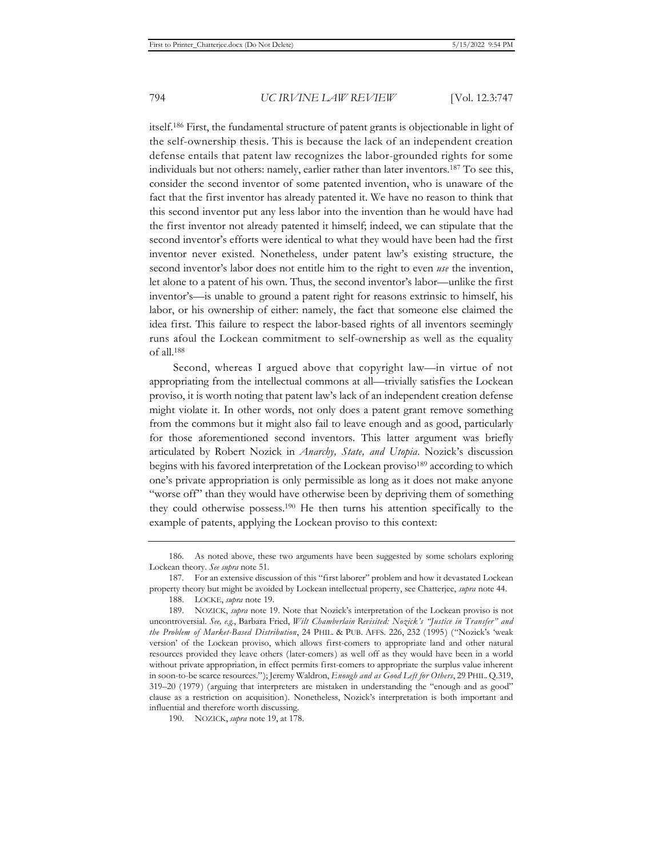itself.186 First, the fundamental structure of patent grants is objectionable in light of the self-ownership thesis. This is because the lack of an independent creation defense entails that patent law recognizes the labor-grounded rights for some individuals but not others: namely, earlier rather than later inventors.187 To see this, consider the second inventor of some patented invention, who is unaware of the fact that the first inventor has already patented it. We have no reason to think that this second inventor put any less labor into the invention than he would have had the first inventor not already patented it himself; indeed, we can stipulate that the second inventor's efforts were identical to what they would have been had the first inventor never existed. Nonetheless, under patent law's existing structure, the second inventor's labor does not entitle him to the right to even *use* the invention, let alone to a patent of his own. Thus, the second inventor's labor—unlike the first inventor's—is unable to ground a patent right for reasons extrinsic to himself, his labor, or his ownership of either: namely, the fact that someone else claimed the idea first. This failure to respect the labor-based rights of all inventors seemingly runs afoul the Lockean commitment to self-ownership as well as the equality of all.188

Second, whereas I argued above that copyright law—in virtue of not appropriating from the intellectual commons at all—trivially satisfies the Lockean proviso, it is worth noting that patent law's lack of an independent creation defense might violate it. In other words, not only does a patent grant remove something from the commons but it might also fail to leave enough and as good, particularly for those aforementioned second inventors. This latter argument was briefly articulated by Robert Nozick in *Anarchy, State, and Utopia*. Nozick's discussion begins with his favored interpretation of the Lockean proviso189 according to which one's private appropriation is only permissible as long as it does not make anyone "worse off" than they would have otherwise been by depriving them of something they could otherwise possess.190 He then turns his attention specifically to the example of patents, applying the Lockean proviso to this context:

<sup>186.</sup> As noted above, these two arguments have been suggested by some scholars exploring Lockean theory. *See supra* note 51.

<sup>187.</sup> For an extensive discussion of this "first laborer" problem and how it devastated Lockean property theory but might be avoided by Lockean intellectual property, see Chatterjee, *supra* note 44.

<sup>188.</sup> LOCKE, *supra* note 19.

<sup>189.</sup> NOZICK, *supra* note 19. Note that Nozick's interpretation of the Lockean proviso is not uncontroversial. *See, e.g.*, Barbara Fried, *Wilt Chamberlain Revisited: Nozick's "Justice in Transfer" and the Problem of Market-Based Distribution*, 24 PHIL. & PUB. AFFS. 226, 232 (1995) ("Nozick's 'weak version' of the Lockean proviso, which allows first-comers to appropriate land and other natural resources provided they leave others (later-comers) as well off as they would have been in a world without private appropriation, in effect permits first-comers to appropriate the surplus value inherent in soon-to-be scarce resources."); Jeremy Waldron, *Enough and as Good Left for Others*, 29 PHIL. Q.319, 319–20 (1979) (arguing that interpreters are mistaken in understanding the "enough and as good" clause as a restriction on acquisition). Nonetheless, Nozick's interpretation is both important and influential and therefore worth discussing.

<sup>190.</sup> NOZICK, *supra* note 19, at 178.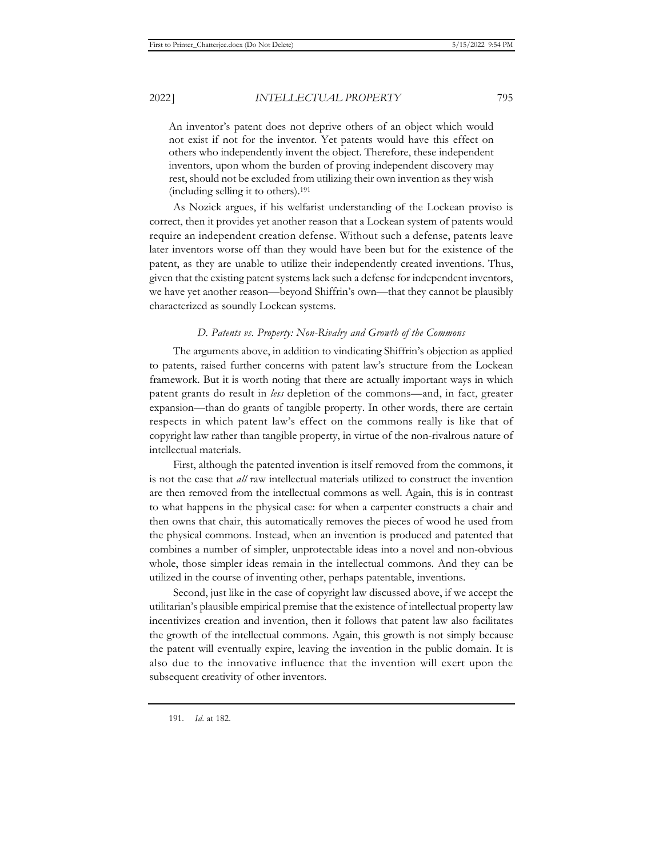An inventor's patent does not deprive others of an object which would not exist if not for the inventor. Yet patents would have this effect on others who independently invent the object. Therefore, these independent inventors, upon whom the burden of proving independent discovery may rest, should not be excluded from utilizing their own invention as they wish (including selling it to others).191

As Nozick argues, if his welfarist understanding of the Lockean proviso is correct, then it provides yet another reason that a Lockean system of patents would require an independent creation defense. Without such a defense, patents leave later inventors worse off than they would have been but for the existence of the patent, as they are unable to utilize their independently created inventions. Thus, given that the existing patent systems lack such a defense for independent inventors, we have yet another reason—beyond Shiffrin's own—that they cannot be plausibly characterized as soundly Lockean systems.

#### *D. Patents vs. Property: Non-Rivalry and Growth of the Commons*

The arguments above, in addition to vindicating Shiffrin's objection as applied to patents, raised further concerns with patent law's structure from the Lockean framework. But it is worth noting that there are actually important ways in which patent grants do result in *less* depletion of the commons—and, in fact, greater expansion—than do grants of tangible property. In other words, there are certain respects in which patent law's effect on the commons really is like that of copyright law rather than tangible property, in virtue of the non-rivalrous nature of intellectual materials.

First, although the patented invention is itself removed from the commons, it is not the case that *all* raw intellectual materials utilized to construct the invention are then removed from the intellectual commons as well. Again, this is in contrast to what happens in the physical case: for when a carpenter constructs a chair and then owns that chair, this automatically removes the pieces of wood he used from the physical commons. Instead, when an invention is produced and patented that combines a number of simpler, unprotectable ideas into a novel and non-obvious whole, those simpler ideas remain in the intellectual commons. And they can be utilized in the course of inventing other, perhaps patentable, inventions.

Second, just like in the case of copyright law discussed above, if we accept the utilitarian's plausible empirical premise that the existence of intellectual property law incentivizes creation and invention, then it follows that patent law also facilitates the growth of the intellectual commons. Again, this growth is not simply because the patent will eventually expire, leaving the invention in the public domain. It is also due to the innovative influence that the invention will exert upon the subsequent creativity of other inventors.

191. *Id.* at 182.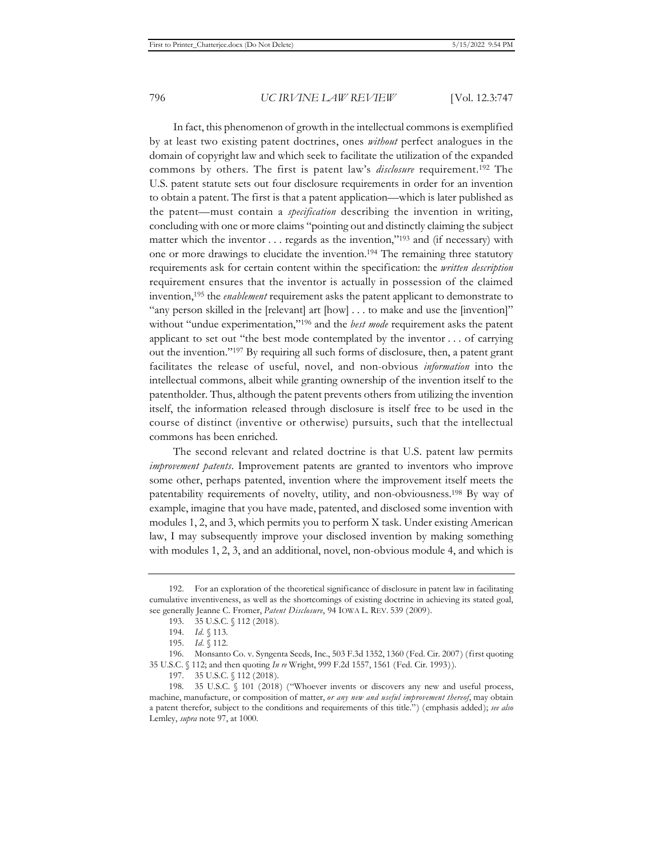In fact, this phenomenon of growth in the intellectual commons is exemplified by at least two existing patent doctrines, ones *without* perfect analogues in the domain of copyright law and which seek to facilitate the utilization of the expanded commons by others. The first is patent law's *disclosure* requirement.192 The U.S. patent statute sets out four disclosure requirements in order for an invention to obtain a patent. The first is that a patent application—which is later published as the patent—must contain a *specification* describing the invention in writing, concluding with one or more claims "pointing out and distinctly claiming the subject matter which the inventor . . . regards as the invention,"193 and (if necessary) with one or more drawings to elucidate the invention.194 The remaining three statutory requirements ask for certain content within the specification: the *written description* requirement ensures that the inventor is actually in possession of the claimed invention,195 the *enablement* requirement asks the patent applicant to demonstrate to "any person skilled in the [relevant] art [how] . . . to make and use the [invention]" without "undue experimentation,"196 and the *best mode* requirement asks the patent applicant to set out "the best mode contemplated by the inventor . . . of carrying out the invention."197 By requiring all such forms of disclosure, then, a patent grant facilitates the release of useful, novel, and non-obvious *information* into the intellectual commons, albeit while granting ownership of the invention itself to the patentholder. Thus, although the patent prevents others from utilizing the invention itself, the information released through disclosure is itself free to be used in the course of distinct (inventive or otherwise) pursuits, such that the intellectual commons has been enriched.

The second relevant and related doctrine is that U.S. patent law permits *improvement patents*. Improvement patents are granted to inventors who improve some other, perhaps patented, invention where the improvement itself meets the patentability requirements of novelty, utility, and non-obviousness.198 By way of example, imagine that you have made, patented, and disclosed some invention with modules 1, 2, and 3, which permits you to perform X task. Under existing American law, I may subsequently improve your disclosed invention by making something with modules 1, 2, 3, and an additional, novel, non-obvious module 4, and which is

<sup>192.</sup> For an exploration of the theoretical significance of disclosure in patent law in facilitating cumulative inventiveness, as well as the shortcomings of existing doctrine in achieving its stated goal, see generally Jeanne C. Fromer, *Patent Disclosure*, 94 IOWA L. REV. 539 (2009).

<sup>193. 35</sup> U.S.C. § 112 (2018).

<sup>194.</sup> *Id.* § 113.

<sup>195.</sup> *Id.* § 112.

<sup>196.</sup> Monsanto Co. v. Syngenta Seeds, Inc., 503 F.3d 1352, 1360 (Fed. Cir. 2007) (first quoting 35 U.S.C. § 112; and then quoting *In re* Wright, 999 F.2d 1557, 1561 (Fed. Cir. 1993)).

<sup>197. 35</sup> U.S.C. § 112 (2018).

<sup>198. 35</sup> U.S.C. § 101 (2018) ("Whoever invents or discovers any new and useful process, machine, manufacture, or composition of matter, *or any new and useful improvement thereof*, may obtain a patent therefor, subject to the conditions and requirements of this title.") (emphasis added); *see also*  Lemley, *supra* note 97, at 1000.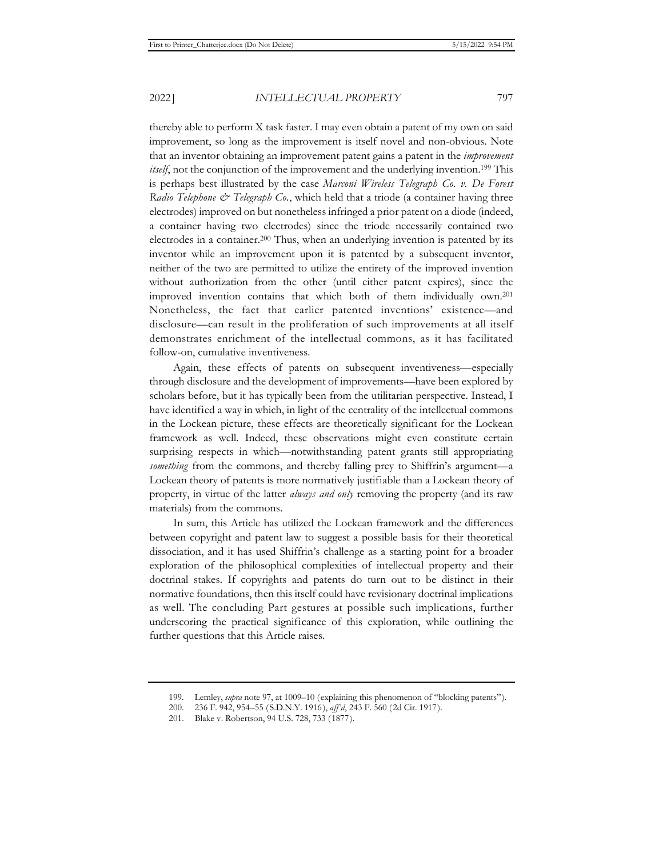thereby able to perform X task faster. I may even obtain a patent of my own on said improvement, so long as the improvement is itself novel and non-obvious. Note that an inventor obtaining an improvement patent gains a patent in the *improvement itself*, not the conjunction of the improvement and the underlying invention.<sup>199</sup> This is perhaps best illustrated by the case *Marconi Wireless Telegraph Co. v. De Forest Radio Telephone & Telegraph Co.*, which held that a triode (a container having three electrodes) improved on but nonetheless infringed a prior patent on a diode (indeed, a container having two electrodes) since the triode necessarily contained two electrodes in a container.200 Thus, when an underlying invention is patented by its inventor while an improvement upon it is patented by a subsequent inventor, neither of the two are permitted to utilize the entirety of the improved invention without authorization from the other (until either patent expires), since the improved invention contains that which both of them individually own.201 Nonetheless, the fact that earlier patented inventions' existence—and disclosure—can result in the proliferation of such improvements at all itself demonstrates enrichment of the intellectual commons, as it has facilitated follow-on, cumulative inventiveness.

Again, these effects of patents on subsequent inventiveness—especially through disclosure and the development of improvements—have been explored by scholars before, but it has typically been from the utilitarian perspective. Instead, I have identified a way in which, in light of the centrality of the intellectual commons in the Lockean picture, these effects are theoretically significant for the Lockean framework as well. Indeed, these observations might even constitute certain surprising respects in which—notwithstanding patent grants still appropriating *something* from the commons, and thereby falling prey to Shiffrin's argument—a Lockean theory of patents is more normatively justifiable than a Lockean theory of property, in virtue of the latter *always and only* removing the property (and its raw materials) from the commons.

In sum, this Article has utilized the Lockean framework and the differences between copyright and patent law to suggest a possible basis for their theoretical dissociation, and it has used Shiffrin's challenge as a starting point for a broader exploration of the philosophical complexities of intellectual property and their doctrinal stakes. If copyrights and patents do turn out to be distinct in their normative foundations, then this itself could have revisionary doctrinal implications as well. The concluding Part gestures at possible such implications, further underscoring the practical significance of this exploration, while outlining the further questions that this Article raises.

<sup>199.</sup> Lemley, *supra* note 97, at 1009–10 (explaining this phenomenon of "blocking patents").

<sup>200. 236</sup> F. 942, 954–55 (S.D.N.Y. 1916), *aff'd*, 243 F. 560 (2d Cir. 1917).

<sup>201.</sup> Blake v. Robertson, 94 U.S. 728, 733 (1877).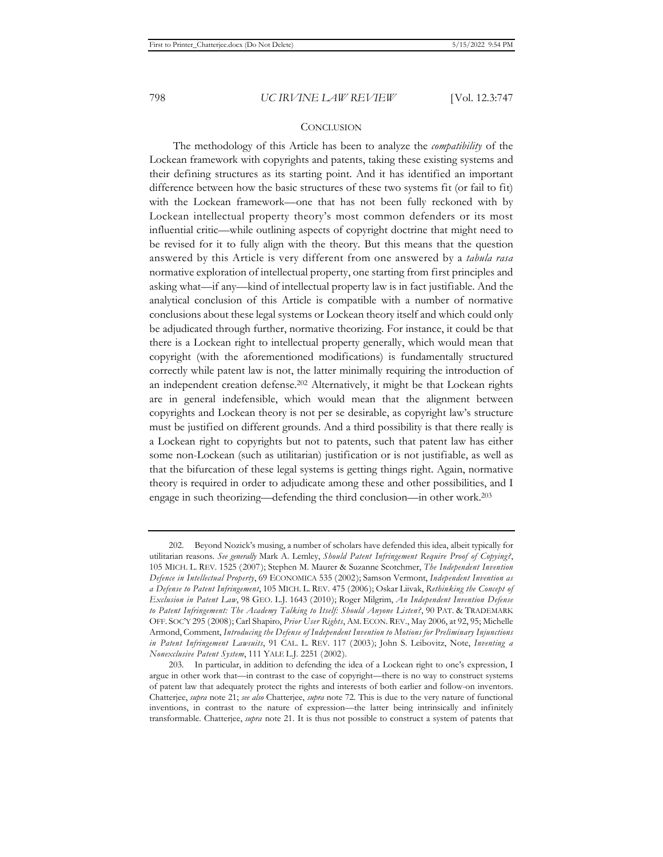## **CONCLUSION**

The methodology of this Article has been to analyze the *compatibility* of the Lockean framework with copyrights and patents, taking these existing systems and their defining structures as its starting point. And it has identified an important difference between how the basic structures of these two systems fit (or fail to fit) with the Lockean framework—one that has not been fully reckoned with by Lockean intellectual property theory's most common defenders or its most influential critic—while outlining aspects of copyright doctrine that might need to be revised for it to fully align with the theory. But this means that the question answered by this Article is very different from one answered by a *tabula rasa*  normative exploration of intellectual property, one starting from first principles and asking what—if any—kind of intellectual property law is in fact justifiable. And the analytical conclusion of this Article is compatible with a number of normative conclusions about these legal systems or Lockean theory itself and which could only be adjudicated through further, normative theorizing. For instance, it could be that there is a Lockean right to intellectual property generally, which would mean that copyright (with the aforementioned modifications) is fundamentally structured correctly while patent law is not, the latter minimally requiring the introduction of an independent creation defense.202 Alternatively, it might be that Lockean rights are in general indefensible, which would mean that the alignment between copyrights and Lockean theory is not per se desirable, as copyright law's structure must be justified on different grounds. And a third possibility is that there really is a Lockean right to copyrights but not to patents, such that patent law has either some non-Lockean (such as utilitarian) justification or is not justifiable, as well as that the bifurcation of these legal systems is getting things right. Again, normative theory is required in order to adjudicate among these and other possibilities, and I engage in such theorizing—defending the third conclusion—in other work.203

<sup>202.</sup> Beyond Nozick's musing, a number of scholars have defended this idea, albeit typically for utilitarian reasons. *See generally* Mark A. Lemley, *Should Patent Infringement Require Proof of Copying?*, 105 MICH. L. REV. 1525 (2007); Stephen M. Maurer & Suzanne Scotchmer, *The Independent Invention Defence in Intellectual Property*, 69 ECONOMICA 535 (2002); Samson Vermont, *Independent Invention as a Defense to Patent Infringement*, 105 MICH. L. REV. 475 (2006); Oskar Liivak, *Rethinking the Concept of Exclusion in Patent Law*, 98 GEO. L.J. 1643 (2010); Roger Milgrim, *An Independent Invention Defense to Patent Infringement: The Academy Talking to Itself: Should Anyone Listen?*, 90 PAT. & TRADEMARK OFF. SOC'Y 295 (2008); Carl Shapiro, *Prior User Rights*, AM. ECON. REV., May 2006, at 92, 95; Michelle Armond, Comment, *Introducing the Defense of Independent Invention to Motions for Preliminary Injunctions in Patent Infringement Lawsuits*, 91 CAL. L. REV. 117 (2003); John S. Leibovitz, Note, *Inventing a Nonexclusive Patent System*, 111 YALE L.J. 2251 (2002).

<sup>203.</sup> In particular, in addition to defending the idea of a Lockean right to one's expression, I argue in other work that—in contrast to the case of copyright—there is no way to construct systems of patent law that adequately protect the rights and interests of both earlier and follow-on inventors. Chatterjee, *supra* note 21; *see also* Chatterjee, *supra* note 72. This is due to the very nature of functional inventions, in contrast to the nature of expression—the latter being intrinsically and infinitely transformable. Chatterjee, *supra* note 21. It is thus not possible to construct a system of patents that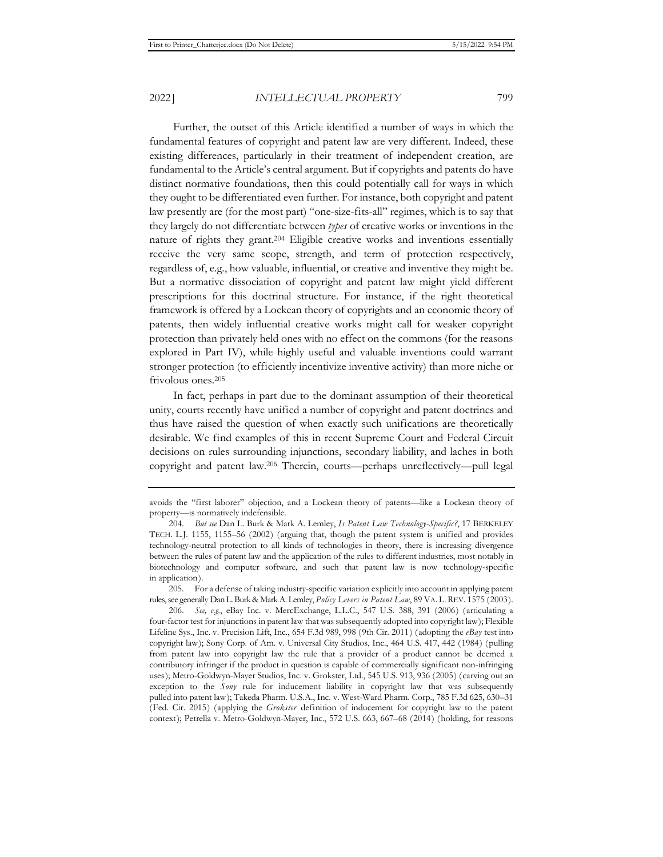Further, the outset of this Article identified a number of ways in which the fundamental features of copyright and patent law are very different. Indeed, these existing differences, particularly in their treatment of independent creation, are fundamental to the Article's central argument. But if copyrights and patents do have distinct normative foundations, then this could potentially call for ways in which they ought to be differentiated even further. For instance, both copyright and patent law presently are (for the most part) "one-size-fits-all" regimes, which is to say that they largely do not differentiate between *types* of creative works or inventions in the nature of rights they grant.204 Eligible creative works and inventions essentially receive the very same scope, strength, and term of protection respectively, regardless of, e.g., how valuable, influential, or creative and inventive they might be. But a normative dissociation of copyright and patent law might yield different prescriptions for this doctrinal structure. For instance, if the right theoretical

framework is offered by a Lockean theory of copyrights and an economic theory of patents, then widely influential creative works might call for weaker copyright protection than privately held ones with no effect on the commons (for the reasons explored in Part IV), while highly useful and valuable inventions could warrant stronger protection (to efficiently incentivize inventive activity) than more niche or frivolous ones.205

In fact, perhaps in part due to the dominant assumption of their theoretical unity, courts recently have unified a number of copyright and patent doctrines and thus have raised the question of when exactly such unifications are theoretically desirable. We find examples of this in recent Supreme Court and Federal Circuit decisions on rules surrounding injunctions, secondary liability, and laches in both copyright and patent law.206 Therein, courts—perhaps unreflectively—pull legal

205. For a defense of taking industry-specific variation explicitly into account in applying patent rules,see generally Dan L. Burk & Mark A. Lemley, *Policy Levers in Patent Law*, 89 VA. L. REV. 1575 (2003).

206. *See, e.g.*, eBay Inc. v. MercExchange, L.L.C., 547 U.S. 388, 391 (2006) (articulating a four-factor test for injunctions in patent law that was subsequently adopted into copyright law); Flexible Lifeline Sys., Inc. v. Precision Lift, Inc., 654 F.3d 989, 998 (9th Cir. 2011) (adopting the *eBay* test into copyright law); Sony Corp. of Am. v. Universal City Studios, Inc., 464 U.S. 417, 442 (1984) (pulling from patent law into copyright law the rule that a provider of a product cannot be deemed a contributory infringer if the product in question is capable of commercially significant non-infringing uses); Metro-Goldwyn-Mayer Studios, Inc. v. Grokster, Ltd., 545 U.S. 913, 936 (2005) (carving out an exception to the *Sony* rule for inducement liability in copyright law that was subsequently pulled into patent law); Takeda Pharm. U.S.A., Inc. v. West-Ward Pharm. Corp., 785 F.3d 625, 630–31 (Fed. Cir. 2015) (applying the *Grokster* definition of inducement for copyright law to the patent context); Petrella v. Metro-Goldwyn-Mayer, Inc., 572 U.S. 663, 667–68 (2014) (holding, for reasons

avoids the "first laborer" objection, and a Lockean theory of patents—like a Lockean theory of property—is normatively indefensible.

<sup>204.</sup> *But see* Dan L. Burk & Mark A. Lemley, *Is Patent Law Technology-Specific?*, 17 BERKELEY TECH. L.J. 1155, 1155–56 (2002) (arguing that, though the patent system is unified and provides technology-neutral protection to all kinds of technologies in theory, there is increasing divergence between the rules of patent law and the application of the rules to different industries, most notably in biotechnology and computer software, and such that patent law is now technology-specific in application).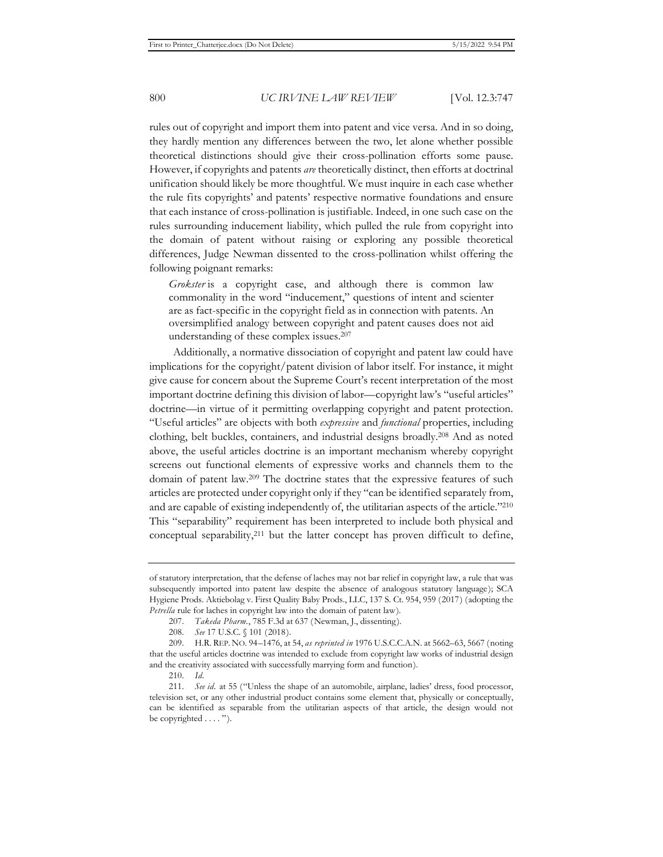rules out of copyright and import them into patent and vice versa. And in so doing, they hardly mention any differences between the two, let alone whether possible theoretical distinctions should give their cross-pollination efforts some pause. However, if copyrights and patents *are* theoretically distinct, then efforts at doctrinal unification should likely be more thoughtful. We must inquire in each case whether the rule fits copyrights' and patents' respective normative foundations and ensure that each instance of cross-pollination is justifiable. Indeed, in one such case on the rules surrounding inducement liability, which pulled the rule from copyright into the domain of patent without raising or exploring any possible theoretical differences, Judge Newman dissented to the cross-pollination whilst offering the following poignant remarks:

*Grokster* is a copyright case, and although there is common law commonality in the word "inducement," questions of intent and scienter are as fact-specific in the copyright field as in connection with patents. An oversimplified analogy between copyright and patent causes does not aid understanding of these complex issues.207

Additionally, a normative dissociation of copyright and patent law could have implications for the copyright/patent division of labor itself. For instance, it might give cause for concern about the Supreme Court's recent interpretation of the most important doctrine defining this division of labor—copyright law's "useful articles" doctrine—in virtue of it permitting overlapping copyright and patent protection. "Useful articles" are objects with both *expressive* and *functional* properties, including clothing, belt buckles, containers, and industrial designs broadly.208 And as noted above, the useful articles doctrine is an important mechanism whereby copyright screens out functional elements of expressive works and channels them to the domain of patent law.209 The doctrine states that the expressive features of such articles are protected under copyright only if they "can be identified separately from, and are capable of existing independently of, the utilitarian aspects of the article."210 This "separability" requirement has been interpreted to include both physical and conceptual separability,211 but the latter concept has proven difficult to define,

of statutory interpretation, that the defense of laches may not bar relief in copyright law, a rule that was subsequently imported into patent law despite the absence of analogous statutory language); SCA Hygiene Prods. Aktiebolag v. First Quality Baby Prods., LLC, 137 S. Ct. 954, 959 (2017) (adopting the *Petrella* rule for laches in copyright law into the domain of patent law).

<sup>207.</sup> *Takeda Pharm.*, 785 F.3d at 637 (Newman, J., dissenting).

<sup>208.</sup> *See* 17 U.S.C. § 101 (2018).

<sup>209.</sup> H.R. REP. NO. 94–1476, at 54, *as reprinted in* 1976 U.S.C.C.A.N. at 5662–63, 5667 (noting that the useful articles doctrine was intended to exclude from copyright law works of industrial design and the creativity associated with successfully marrying form and function).

<sup>210.</sup> *Id.*

<sup>211.</sup> *See id.* at 55 ("Unless the shape of an automobile, airplane, ladies' dress, food processor, television set, or any other industrial product contains some element that, physically or conceptually, can be identified as separable from the utilitarian aspects of that article, the design would not be copyrighted . . . . ").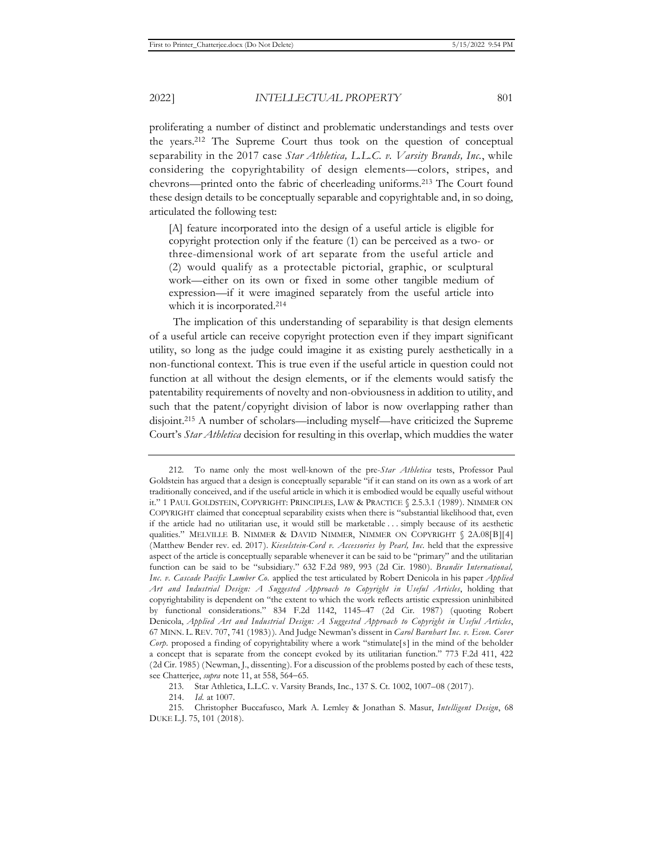proliferating a number of distinct and problematic understandings and tests over the years.212 The Supreme Court thus took on the question of conceptual separability in the 2017 case *Star Athletica, L.L.C. v. Varsity Brands, Inc.*, while considering the copyrightability of design elements—colors, stripes, and chevrons—printed onto the fabric of cheerleading uniforms.213 The Court found these design details to be conceptually separable and copyrightable and, in so doing, articulated the following test:

[A] feature incorporated into the design of a useful article is eligible for copyright protection only if the feature (1) can be perceived as a two- or three-dimensional work of art separate from the useful article and (2) would qualify as a protectable pictorial, graphic, or sculptural work—either on its own or fixed in some other tangible medium of expression—if it were imagined separately from the useful article into which it is incorporated.<sup>214</sup>

The implication of this understanding of separability is that design elements of a useful article can receive copyright protection even if they impart significant utility, so long as the judge could imagine it as existing purely aesthetically in a non-functional context. This is true even if the useful article in question could not function at all without the design elements, or if the elements would satisfy the patentability requirements of novelty and non-obviousness in addition to utility, and such that the patent/copyright division of labor is now overlapping rather than disjoint.215 A number of scholars—including myself—have criticized the Supreme Court's *Star Athletica* decision for resulting in this overlap, which muddies the water

<sup>212.</sup> To name only the most well-known of the pre-*Star Athletica* tests, Professor Paul Goldstein has argued that a design is conceptually separable "if it can stand on its own as a work of art traditionally conceived, and if the useful article in which it is embodied would be equally useful without it." 1 PAUL GOLDSTEIN, COPYRIGHT: PRINCIPLES, LAW & PRACTICE § 2.5.3.1 (1989). NIMMER ON COPYRIGHT claimed that conceptual separability exists when there is "substantial likelihood that, even if the article had no utilitarian use, it would still be marketable . . . simply because of its aesthetic qualities." MELVILLE B. NIMMER & DAVID NIMMER, NIMMER ON COPYRIGHT § 2A.08[B][4] (Matthew Bender rev. ed. 2017). *Kieselstein-Cord v. Accessories by Pearl, Inc.* held that the expressive aspect of the article is conceptually separable whenever it can be said to be "primary" and the utilitarian function can be said to be "subsidiary." 632 F.2d 989, 993 (2d Cir. 1980). *Brandir International, Inc. v. Cascade Pacific Lumber Co.* applied the test articulated by Robert Denicola in his paper *Applied Art and Industrial Design: A Suggested Approach to Copyright in Useful Articles*, holding that copyrightability is dependent on "the extent to which the work reflects artistic expression uninhibited by functional considerations." 834 F.2d 1142, 1145–47 (2d Cir. 1987) (quoting Robert Denicola, *Applied Art and Industrial Design: A Suggested Approach to Copyright in Useful Articles*, 67 MINN. L. REV. 707, 741 (1983)). And Judge Newman's dissent in *Carol Barnhart Inc. v. Econ. Cover Corp.* proposed a finding of copyrightability where a work "stimulate[s] in the mind of the beholder a concept that is separate from the concept evoked by its utilitarian function." 773 F.2d 411, 422 (2d Cir. 1985) (Newman, J., dissenting). For a discussion of the problems posted by each of these tests, see Chatterjee, *supra* note 11, at 558, 564-65.

<sup>213.</sup> Star Athletica, L.L.C. v. Varsity Brands, Inc., 137 S. Ct. 1002, 1007–08 (2017).

<sup>214.</sup> *Id.* at 1007.

<sup>215.</sup> Christopher Buccafusco, Mark A. Lemley & Jonathan S. Masur, *Intelligent Design*, 68 DUKE L.J. 75, 101 (2018).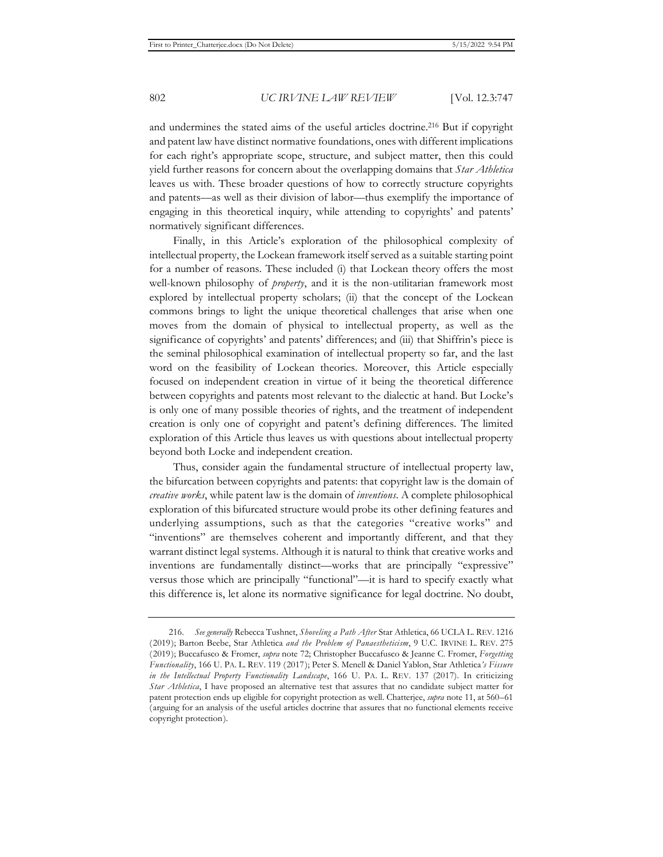and undermines the stated aims of the useful articles doctrine.216 But if copyright and patent law have distinct normative foundations, ones with different implications for each right's appropriate scope, structure, and subject matter, then this could yield further reasons for concern about the overlapping domains that *Star Athletica*  leaves us with. These broader questions of how to correctly structure copyrights and patents—as well as their division of labor—thus exemplify the importance of engaging in this theoretical inquiry, while attending to copyrights' and patents' normatively significant differences.

Finally, in this Article's exploration of the philosophical complexity of intellectual property, the Lockean framework itself served as a suitable starting point for a number of reasons. These included (i) that Lockean theory offers the most well-known philosophy of *property*, and it is the non-utilitarian framework most explored by intellectual property scholars; (ii) that the concept of the Lockean commons brings to light the unique theoretical challenges that arise when one moves from the domain of physical to intellectual property, as well as the significance of copyrights' and patents' differences; and (iii) that Shiffrin's piece is the seminal philosophical examination of intellectual property so far, and the last word on the feasibility of Lockean theories. Moreover, this Article especially focused on independent creation in virtue of it being the theoretical difference between copyrights and patents most relevant to the dialectic at hand. But Locke's is only one of many possible theories of rights, and the treatment of independent creation is only one of copyright and patent's defining differences. The limited exploration of this Article thus leaves us with questions about intellectual property beyond both Locke and independent creation.

Thus, consider again the fundamental structure of intellectual property law, the bifurcation between copyrights and patents: that copyright law is the domain of *creative works*, while patent law is the domain of *inventions*. A complete philosophical exploration of this bifurcated structure would probe its other defining features and underlying assumptions, such as that the categories "creative works" and "inventions" are themselves coherent and importantly different, and that they warrant distinct legal systems. Although it is natural to think that creative works and inventions are fundamentally distinct—works that are principally "expressive" versus those which are principally "functional"—it is hard to specify exactly what this difference is, let alone its normative significance for legal doctrine. No doubt,

<sup>216.</sup> *See generally* Rebecca Tushnet, *Shoveling a Path After* Star Athletica, 66 UCLA L. REV. 1216 (2019); Barton Beebe, Star Athletica *and the Problem of Panaestheticism*, 9 U.C. IRVINE L. REV. 275 (2019); Buccafusco & Fromer, *supra* note 72; Christopher Buccafusco & Jeanne C. Fromer, *Forgetting Functionality*, 166 U. PA. L. REV. 119 (2017); Peter S. Menell & Daniel Yablon, Star Athletica*'s Fissure in the Intellectual Property Functionality Landscape*, 166 U. PA. L. REV. 137 (2017). In criticizing *Star Athletica*, I have proposed an alternative test that assures that no candidate subject matter for patent protection ends up eligible for copyright protection as well. Chatterjee, *supra* note 11, at 560–61 (arguing for an analysis of the useful articles doctrine that assures that no functional elements receive copyright protection).